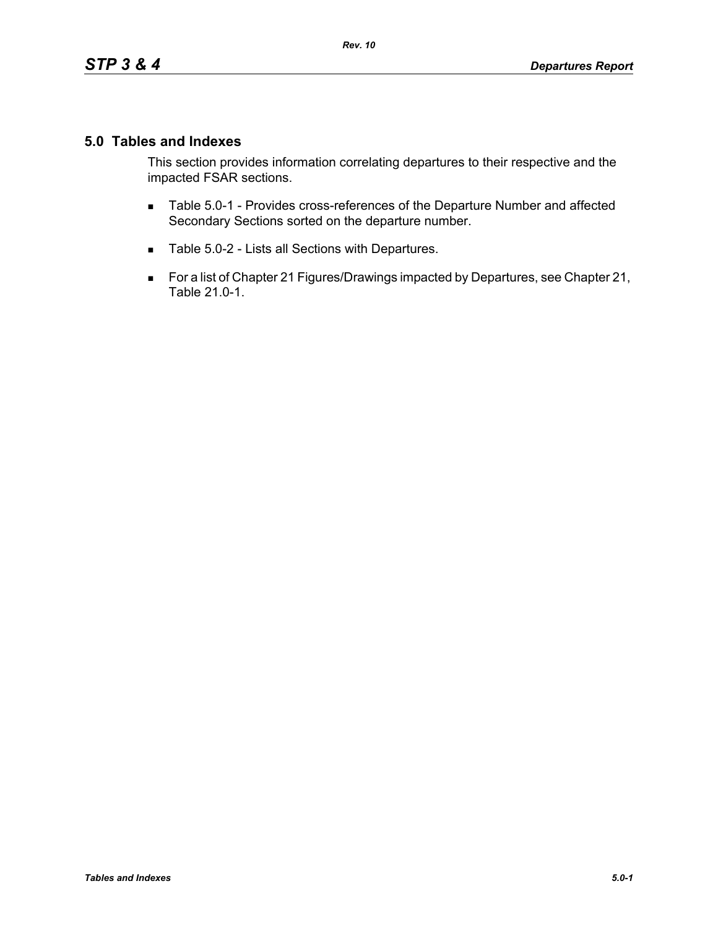## **5.0 Tables and Indexes**

This section provides information correlating departures to their respective and the impacted FSAR sections.

- **Table 5.0-1 Provides cross-references of the Departure Number and affected** Secondary Sections sorted on the departure number.
- Table 5.0-2 Lists all Sections with Departures.
- For a list of Chapter 21 Figures/Drawings impacted by Departures, see Chapter 21, Table 21.0-1.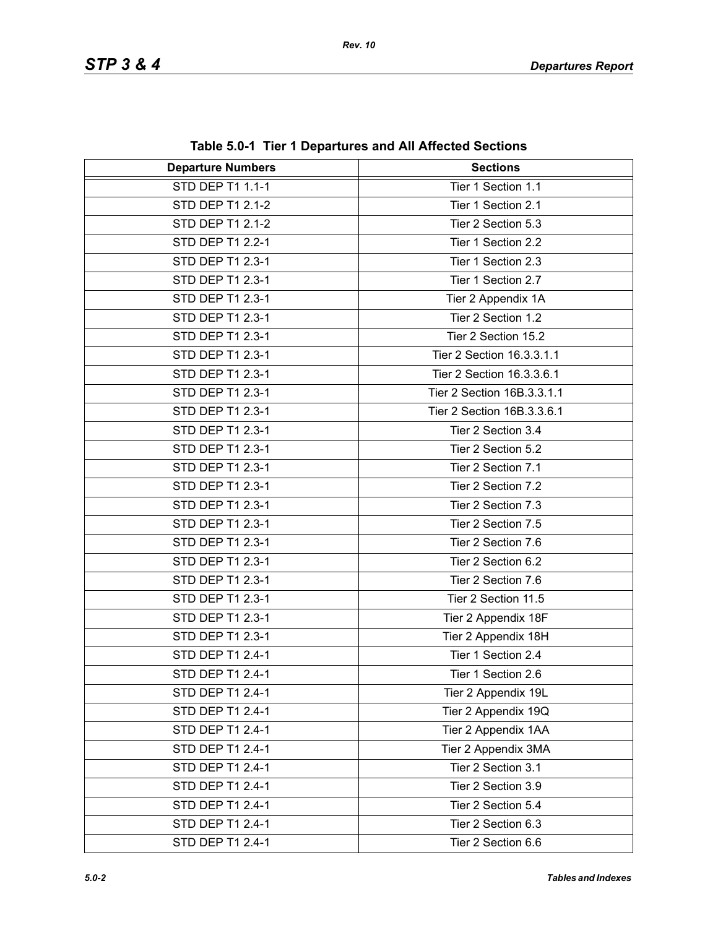| <b>Departure Numbers</b> | <b>Sections</b>            |
|--------------------------|----------------------------|
| <b>STD DEP T1 1.1-1</b>  | Tier 1 Section 1.1         |
| STD DEP T1 2.1-2         | Tier 1 Section 2.1         |
| STD DEP T1 2.1-2         | Tier 2 Section 5.3         |
| STD DEP T1 2.2-1         | Tier 1 Section 2.2         |
| STD DEP T1 2.3-1         | Tier 1 Section 2.3         |
| STD DEP T1 2.3-1         | Tier 1 Section 2.7         |
| STD DEP T1 2.3-1         | Tier 2 Appendix 1A         |
| STD DEP T1 2.3-1         | Tier 2 Section 1.2         |
| STD DEP T1 2.3-1         | Tier 2 Section 15.2        |
| STD DEP T1 2.3-1         | Tier 2 Section 16.3.3.1.1  |
| STD DEP T1 2.3-1         | Tier 2 Section 16.3.3.6.1  |
| STD DEP T1 2.3-1         | Tier 2 Section 16B.3.3.1.1 |
| STD DEP T1 2.3-1         | Tier 2 Section 16B.3.3.6.1 |
| STD DEP T1 2.3-1         | Tier 2 Section 3.4         |
| <b>STD DEP T1 2.3-1</b>  | Tier 2 Section 5.2         |
| STD DEP T1 2.3-1         | Tier 2 Section 7.1         |
| STD DEP T1 2.3-1         | Tier 2 Section 7.2         |
| STD DEP T1 2.3-1         | Tier 2 Section 7.3         |
| STD DEP T1 2.3-1         | Tier 2 Section 7.5         |
| STD DEP T1 2.3-1         | Tier 2 Section 7.6         |
| STD DEP T1 2.3-1         | Tier 2 Section 6.2         |
| STD DEP T1 2.3-1         | Tier 2 Section 7.6         |
| STD DEP T1 2.3-1         | Tier 2 Section 11.5        |
| STD DEP T1 2.3-1         | Tier 2 Appendix 18F        |
| STD DEP T1 2.3-1         | Tier 2 Appendix 18H        |
| STD DEP T1 2.4-1         | Tier 1 Section 2.4         |
| STD DEP T1 2.4-1         | Tier 1 Section 2.6         |
| STD DEP T1 2.4-1         | Tier 2 Appendix 19L        |
| STD DEP T1 2.4-1         | Tier 2 Appendix 19Q        |
| STD DEP T1 2.4-1         | Tier 2 Appendix 1AA        |
| STD DEP T1 2.4-1         | Tier 2 Appendix 3MA        |
| STD DEP T1 2.4-1         | Tier 2 Section 3.1         |
| STD DEP T1 2.4-1         | Tier 2 Section 3.9         |
| STD DEP T1 2.4-1         | Tier 2 Section 5.4         |
| STD DEP T1 2.4-1         | Tier 2 Section 6.3         |
| STD DEP T1 2.4-1         | Tier 2 Section 6.6         |

**Table 5.0-1 Tier 1 Departures and All Affected Sections**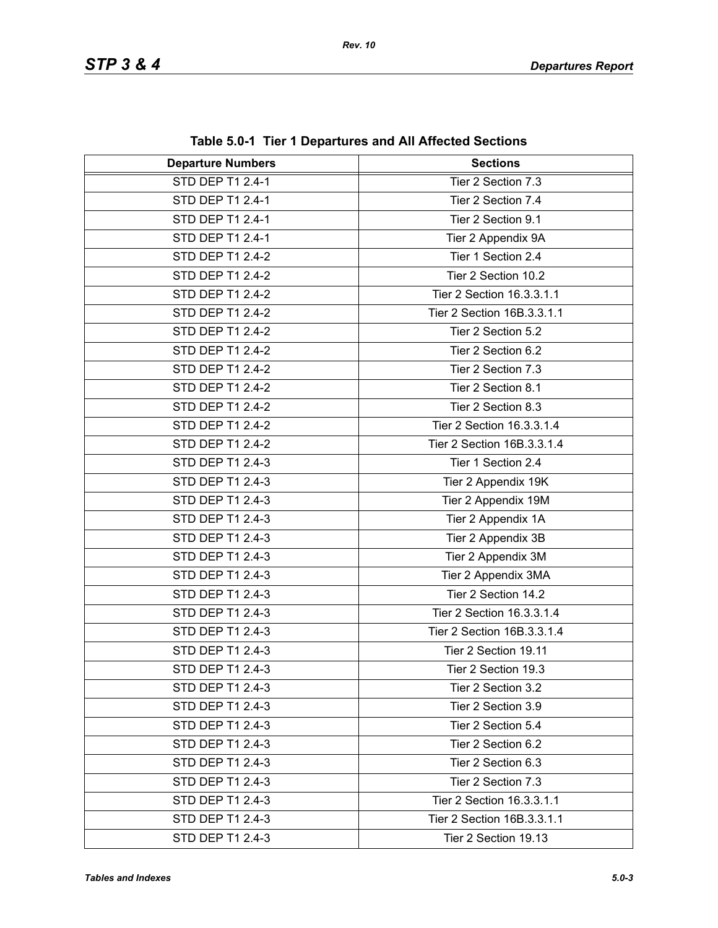| <b>Departure Numbers</b> | <b>Sections</b>            |
|--------------------------|----------------------------|
| <b>STD DEP T1 2.4-1</b>  | Tier 2 Section 7.3         |
| STD DEP T1 2.4-1         | Tier 2 Section 7.4         |
| STD DEP T1 2.4-1         | Tier 2 Section 9.1         |
| STD DEP T1 2.4-1         | Tier 2 Appendix 9A         |
| STD DEP T1 2.4-2         | Tier 1 Section 2.4         |
| STD DEP T1 2.4-2         | Tier 2 Section 10.2        |
| STD DEP T1 2.4-2         | Tier 2 Section 16.3.3.1.1  |
| STD DEP T1 2.4-2         | Tier 2 Section 16B.3.3.1.1 |
| STD DEP T1 2.4-2         | Tier 2 Section 5.2         |
| STD DEP T1 2.4-2         | Tier 2 Section 6.2         |
| STD DEP T1 2.4-2         | Tier 2 Section 7.3         |
| STD DEP T1 2.4-2         | Tier 2 Section 8.1         |
| STD DEP T1 2.4-2         | Tier 2 Section 8.3         |
| STD DEP T1 2.4-2         | Tier 2 Section 16.3.3.1.4  |
| STD DEP T1 2.4-2         | Tier 2 Section 16B.3.3.1.4 |
| STD DEP T1 2.4-3         | Tier 1 Section 2.4         |
| STD DEP T1 2.4-3         | Tier 2 Appendix 19K        |
| STD DEP T1 2.4-3         | Tier 2 Appendix 19M        |
| STD DEP T1 2.4-3         | Tier 2 Appendix 1A         |
| STD DEP T1 2.4-3         | Tier 2 Appendix 3B         |
| STD DEP T1 2.4-3         | Tier 2 Appendix 3M         |
| STD DEP T1 2.4-3         | Tier 2 Appendix 3MA        |
| STD DEP T1 2.4-3         | Tier 2 Section 14.2        |
| STD DEP T1 2.4-3         | Tier 2 Section 16.3.3.1.4  |
| STD DEP T1 2.4-3         | Tier 2 Section 16B.3.3.1.4 |
| STD DEP T1 2.4-3         | Tier 2 Section 19.11       |
| STD DEP T1 2.4-3         | Tier 2 Section 19.3        |
| STD DEP T1 2.4-3         | Tier 2 Section 3.2         |
| STD DEP T1 2.4-3         | Tier 2 Section 3.9         |
| STD DEP T1 2.4-3         | Tier 2 Section 5.4         |
| STD DEP T1 2.4-3         | Tier 2 Section 6.2         |
| STD DEP T1 2.4-3         | Tier 2 Section 6.3         |
| STD DEP T1 2.4-3         | Tier 2 Section 7.3         |
| STD DEP T1 2.4-3         | Tier 2 Section 16.3.3.1.1  |
| STD DEP T1 2.4-3         | Tier 2 Section 16B.3.3.1.1 |
| STD DEP T1 2.4-3         | Tier 2 Section 19.13       |

**Table 5.0-1 Tier 1 Departures and All Affected Sections**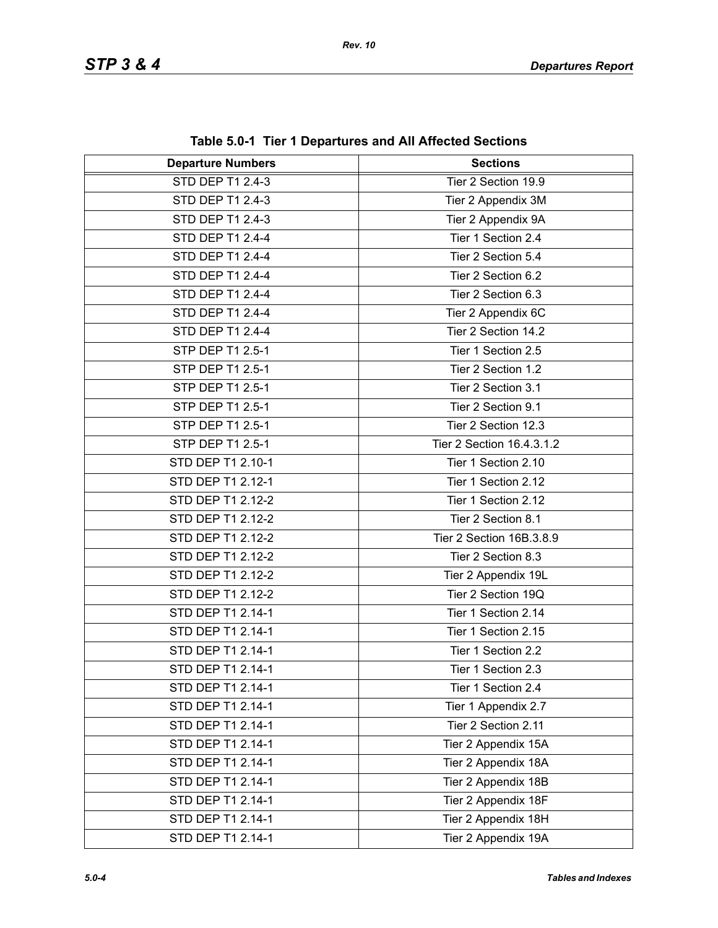| <b>Departure Numbers</b> | $\frac{1}{2}$ and $\frac{1}{2}$ . The TDepartures and All Anected Sections<br><b>Sections</b> |
|--------------------------|-----------------------------------------------------------------------------------------------|
| <b>STD DEP T1 2.4-3</b>  | Tier 2 Section 19.9                                                                           |
| STD DEP T1 2.4-3         |                                                                                               |
|                          | Tier 2 Appendix 3M                                                                            |
| STD DEP T1 2.4-3         | Tier 2 Appendix 9A                                                                            |
| STD DEP T1 2.4-4         | Tier 1 Section 2.4                                                                            |
| STD DEP T1 2.4-4         | Tier 2 Section 5.4                                                                            |
| STD DEP T1 2.4-4         | Tier 2 Section 6.2                                                                            |
| STD DEP T1 2.4-4         | Tier 2 Section 6.3                                                                            |
| STD DEP T1 2.4-4         | Tier 2 Appendix 6C                                                                            |
| STD DEP T1 2.4-4         | Tier 2 Section 14.2                                                                           |
| STP DEP T1 2.5-1         | Tier 1 Section 2.5                                                                            |
| STP DEP T1 2.5-1         | Tier 2 Section 1.2                                                                            |
| STP DEP T1 2.5-1         | Tier 2 Section 3.1                                                                            |
| STP DEP T1 2.5-1         | Tier 2 Section 9.1                                                                            |
| STP DEP T1 2.5-1         | Tier 2 Section 12.3                                                                           |
| STP DEP T1 2.5-1         | Tier 2 Section 16.4.3.1.2                                                                     |
| STD DEP T1 2.10-1        | Tier 1 Section 2.10                                                                           |
| STD DEP T1 2.12-1        | Tier 1 Section 2.12                                                                           |
| STD DEP T1 2.12-2        | Tier 1 Section 2.12                                                                           |
| STD DEP T1 2.12-2        | Tier 2 Section 8.1                                                                            |
| STD DEP T1 2.12-2        | Tier 2 Section 16B.3.8.9                                                                      |
| STD DEP T1 2.12-2        | Tier 2 Section 8.3                                                                            |
| STD DEP T1 2.12-2        | Tier 2 Appendix 19L                                                                           |
| STD DEP T1 2.12-2        | Tier 2 Section 19Q                                                                            |
| STD DEP T1 2.14-1        | Tier 1 Section 2.14                                                                           |
| STD DEP T1 2.14-1        | Tier 1 Section 2.15                                                                           |
| STD DEP T1 2.14-1        | Tier 1 Section 2.2                                                                            |
| STD DEP T1 2.14-1        | Tier 1 Section 2.3                                                                            |
| STD DEP T1 2.14-1        | Tier 1 Section 2.4                                                                            |
| STD DEP T1 2.14-1        | Tier 1 Appendix 2.7                                                                           |
| STD DEP T1 2.14-1        | Tier 2 Section 2.11                                                                           |
| STD DEP T1 2.14-1        | Tier 2 Appendix 15A                                                                           |
| STD DEP T1 2.14-1        | Tier 2 Appendix 18A                                                                           |
| STD DEP T1 2.14-1        | Tier 2 Appendix 18B                                                                           |
| STD DEP T1 2.14-1        | Tier 2 Appendix 18F                                                                           |
| STD DEP T1 2.14-1        | Tier 2 Appendix 18H                                                                           |
| STD DEP T1 2.14-1        | Tier 2 Appendix 19A                                                                           |

**Table 5.0-1 Tier 1 Departures and All Affected Sections**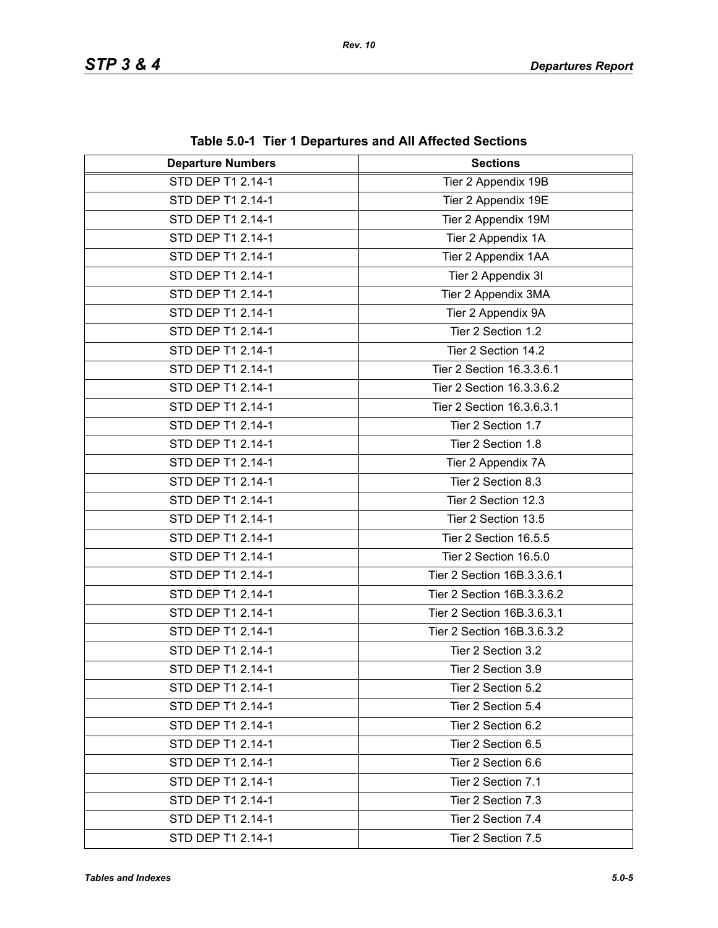| rable 5.0-1 Tier T Departures and All Anected Sections |                            |
|--------------------------------------------------------|----------------------------|
| <b>Departure Numbers</b>                               | <b>Sections</b>            |
| STD DEP T1 2.14-1                                      | Tier 2 Appendix 19B        |
| STD DEP T1 2.14-1                                      | Tier 2 Appendix 19E        |
| STD DEP T1 2.14-1                                      | Tier 2 Appendix 19M        |
| STD DEP T1 2.14-1                                      | Tier 2 Appendix 1A         |
| STD DEP T1 2.14-1                                      | Tier 2 Appendix 1AA        |
| STD DEP T1 2.14-1                                      | Tier 2 Appendix 3I         |
| STD DEP T1 2.14-1                                      | Tier 2 Appendix 3MA        |
| STD DEP T1 2.14-1                                      | Tier 2 Appendix 9A         |
| STD DEP T1 2.14-1                                      | Tier 2 Section 1.2         |
| STD DEP T1 2.14-1                                      | Tier 2 Section 14.2        |
| STD DEP T1 2.14-1                                      | Tier 2 Section 16.3.3.6.1  |
| STD DEP T1 2.14-1                                      | Tier 2 Section 16.3.3.6.2  |
| STD DEP T1 2.14-1                                      | Tier 2 Section 16.3.6.3.1  |
| STD DEP T1 2.14-1                                      | Tier 2 Section 1.7         |
| STD DEP T1 2.14-1                                      | Tier 2 Section 1.8         |
| STD DEP T1 2.14-1                                      | Tier 2 Appendix 7A         |
| STD DEP T1 2.14-1                                      | Tier 2 Section 8.3         |
| STD DEP T1 2.14-1                                      | Tier 2 Section 12.3        |
| STD DEP T1 2.14-1                                      | Tier 2 Section 13.5        |
| STD DEP T1 2.14-1                                      | Tier 2 Section 16.5.5      |
| STD DEP T1 2.14-1                                      | Tier 2 Section 16.5.0      |
| STD DEP T1 2.14-1                                      | Tier 2 Section 16B.3.3.6.1 |
| STD DEP T1 2.14-1                                      | Tier 2 Section 16B.3.3.6.2 |
| STD DEP T1 2.14-1                                      | Tier 2 Section 16B.3.6.3.1 |
| STD DEP T1 2.14-1                                      | Tier 2 Section 16B.3.6.3.2 |
| STD DEP T1 2.14-1                                      | Tier 2 Section 3.2         |
| STD DEP T1 2.14-1                                      | Tier 2 Section 3.9         |
| STD DEP T1 2.14-1                                      | Tier 2 Section 5.2         |
| STD DEP T1 2.14-1                                      | Tier 2 Section 5.4         |
| STD DEP T1 2.14-1                                      | Tier 2 Section 6.2         |
| STD DEP T1 2.14-1                                      | Tier 2 Section 6.5         |
| STD DEP T1 2.14-1                                      | Tier 2 Section 6.6         |
| STD DEP T1 2.14-1                                      | Tier 2 Section 7.1         |
| STD DEP T1 2.14-1                                      | Tier 2 Section 7.3         |
| STD DEP T1 2.14-1                                      | Tier 2 Section 7.4         |
| STD DEP T1 2.14-1                                      | Tier 2 Section 7.5         |

**Table 5.0-1 Tier 1 Departures and All Affected Sections**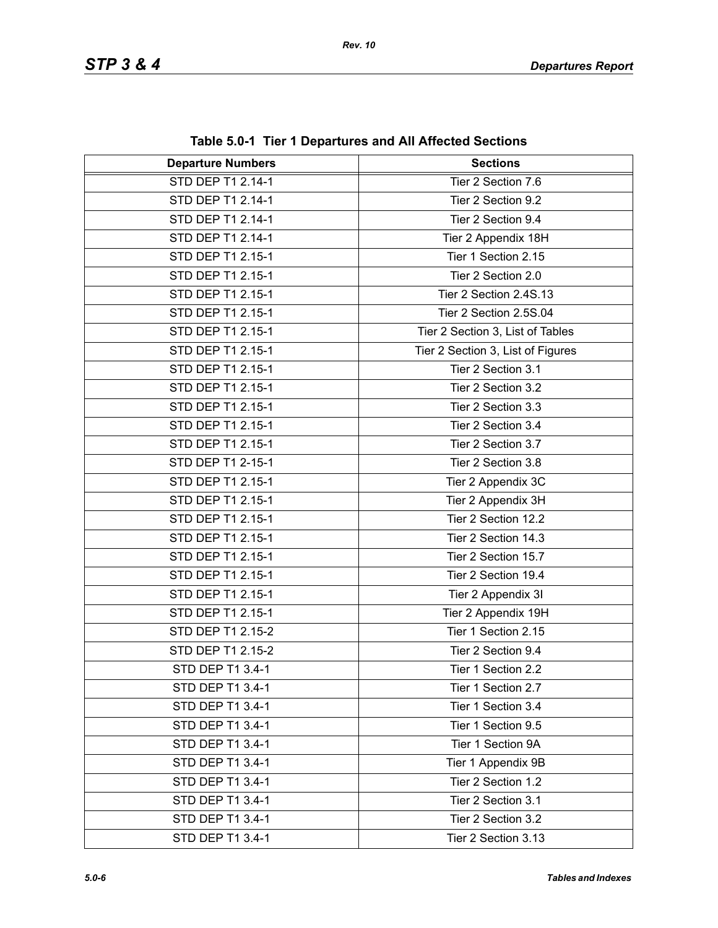| <b>Departure Numbers</b> | $1000$ v.v. The TD begin turbs and Amaphotod Occupits<br><b>Sections</b> |
|--------------------------|--------------------------------------------------------------------------|
| STD DEP T1 2.14-1        | Tier 2 Section 7.6                                                       |
| STD DEP T1 2.14-1        | Tier 2 Section 9.2                                                       |
| STD DEP T1 2.14-1        | Tier 2 Section 9.4                                                       |
| STD DEP T1 2.14-1        | Tier 2 Appendix 18H                                                      |
| STD DEP T1 2.15-1        | Tier 1 Section 2.15                                                      |
| STD DEP T1 2.15-1        | Tier 2 Section 2.0                                                       |
| STD DEP T1 2.15-1        | Tier 2 Section 2.4S.13                                                   |
| STD DEP T1 2.15-1        | Tier 2 Section 2.5S.04                                                   |
| STD DEP T1 2.15-1        | Tier 2 Section 3, List of Tables                                         |
| STD DEP T1 2.15-1        | Tier 2 Section 3, List of Figures                                        |
| STD DEP T1 2.15-1        | Tier 2 Section 3.1                                                       |
| STD DEP T1 2.15-1        | Tier 2 Section 3.2                                                       |
| STD DEP T1 2.15-1        | Tier 2 Section 3.3                                                       |
| STD DEP T1 2.15-1        | Tier 2 Section 3.4                                                       |
| STD DEP T1 2.15-1        | Tier 2 Section 3.7                                                       |
| STD DEP T1 2-15-1        | Tier 2 Section 3.8                                                       |
| STD DEP T1 2.15-1        | Tier 2 Appendix 3C                                                       |
| STD DEP T1 2.15-1        | Tier 2 Appendix 3H                                                       |
| STD DEP T1 2.15-1        | Tier 2 Section 12.2                                                      |
| STD DEP T1 2.15-1        | Tier 2 Section 14.3                                                      |
| STD DEP T1 2.15-1        | Tier 2 Section 15.7                                                      |
| STD DEP T1 2.15-1        | Tier 2 Section 19.4                                                      |
| STD DEP T1 2.15-1        | Tier 2 Appendix 3I                                                       |
| STD DEP T1 2.15-1        | Tier 2 Appendix 19H                                                      |
| STD DEP T1 2.15-2        | Tier 1 Section 2.15                                                      |
| STD DEP T1 2.15-2        | Tier 2 Section 9.4                                                       |
| STD DEP T1 3.4-1         | Tier 1 Section 2.2                                                       |
| STD DEP T1 3.4-1         | Tier 1 Section 2.7                                                       |
| STD DEP T1 3.4-1         | Tier 1 Section 3.4                                                       |
| STD DEP T1 3.4-1         | Tier 1 Section 9.5                                                       |
| STD DEP T1 3.4-1         | Tier 1 Section 9A                                                        |
| STD DEP T1 3.4-1         | Tier 1 Appendix 9B                                                       |
| STD DEP T1 3.4-1         | Tier 2 Section 1.2                                                       |
| STD DEP T1 3.4-1         | Tier 2 Section 3.1                                                       |
| STD DEP T1 3.4-1         | Tier 2 Section 3.2                                                       |
| STD DEP T1 3.4-1         | Tier 2 Section 3.13                                                      |

**Table 5.0-1 Tier 1 Departures and All Affected Sections**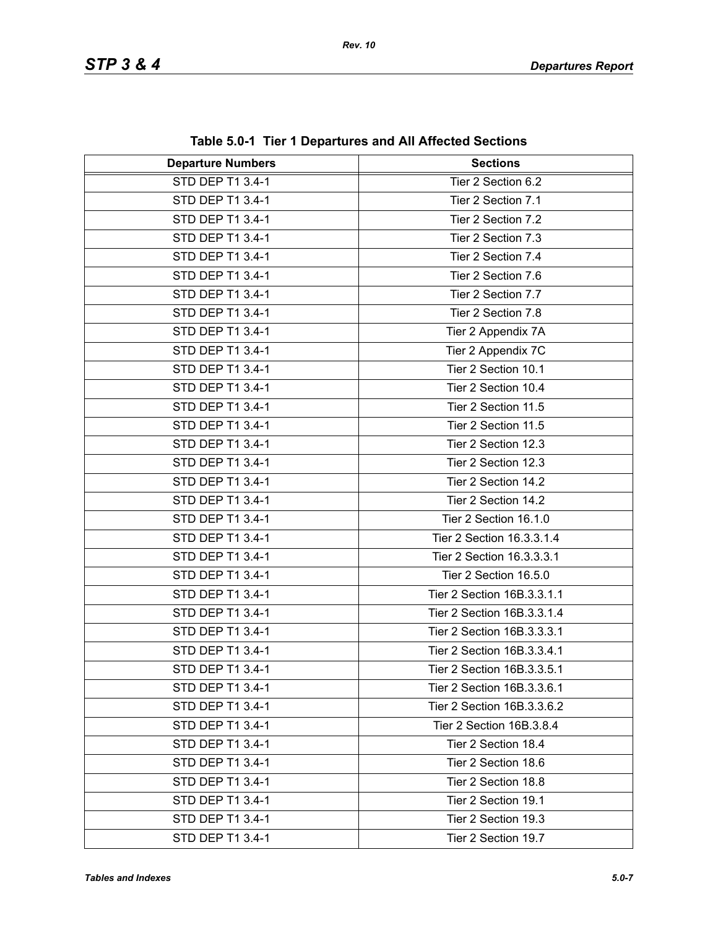| <b>Departure Numbers</b> | rable J.0-1 Tier T Departures and All Affected Occupits<br><b>Sections</b> |
|--------------------------|----------------------------------------------------------------------------|
| STD DEP T1 3.4-1         | Tier 2 Section 6.2                                                         |
| STD DEP T1 3.4-1         | Tier 2 Section 7.1                                                         |
| STD DEP T1 3.4-1         | Tier 2 Section 7.2                                                         |
| STD DEP T1 3.4-1         | Tier 2 Section 7.3                                                         |
| STD DEP T1 3.4-1         | Tier 2 Section 7.4                                                         |
| STD DEP T1 3.4-1         | Tier 2 Section 7.6                                                         |
| STD DEP T1 3.4-1         | Tier 2 Section 7.7                                                         |
| STD DEP T1 3.4-1         | Tier 2 Section 7.8                                                         |
| STD DEP T1 3.4-1         | Tier 2 Appendix 7A                                                         |
| STD DEP T1 3.4-1         | Tier 2 Appendix 7C                                                         |
| STD DEP T1 3.4-1         | Tier 2 Section 10.1                                                        |
| STD DEP T1 3.4-1         | Tier 2 Section 10.4                                                        |
| STD DEP T1 3.4-1         | Tier 2 Section 11.5                                                        |
| STD DEP T1 3.4-1         | Tier 2 Section 11.5                                                        |
| STD DEP T1 3.4-1         | Tier 2 Section 12.3                                                        |
| STD DEP T1 3.4-1         | Tier 2 Section 12.3                                                        |
| STD DEP T1 3.4-1         | Tier 2 Section 14.2                                                        |
| STD DEP T1 3.4-1         | Tier 2 Section 14.2                                                        |
| STD DEP T1 3.4-1         | Tier 2 Section 16.1.0                                                      |
| STD DEP T1 3.4-1         | Tier 2 Section 16.3.3.1.4                                                  |
| STD DEP T1 3.4-1         | Tier 2 Section 16.3.3.3.1                                                  |
| STD DEP T1 3.4-1         | Tier 2 Section 16.5.0                                                      |
| STD DEP T1 3.4-1         | Tier 2 Section 16B.3.3.1.1                                                 |
| STD DEP T1 3.4-1         | Tier 2 Section 16B.3.3.1.4                                                 |
| STD DEP T1 3.4-1         | Tier 2 Section 16B.3.3.3.1                                                 |
| STD DEP T1 3.4-1         | Tier 2 Section 16B.3.3.4.1                                                 |
| STD DEP T1 3.4-1         | Tier 2 Section 16B.3.3.5.1                                                 |
| STD DEP T1 3.4-1         | Tier 2 Section 16B.3.3.6.1                                                 |
| STD DEP T1 3.4-1         | Tier 2 Section 16B.3.3.6.2                                                 |
| STD DEP T1 3.4-1         | Tier 2 Section 16B.3.8.4                                                   |
| STD DEP T1 3.4-1         | Tier 2 Section 18.4                                                        |
| STD DEP T1 3.4-1         | Tier 2 Section 18.6                                                        |
| STD DEP T1 3.4-1         | Tier 2 Section 18.8                                                        |
| STD DEP T1 3.4-1         | Tier 2 Section 19.1                                                        |
| STD DEP T1 3.4-1         | Tier 2 Section 19.3                                                        |
| STD DEP T1 3.4-1         | Tier 2 Section 19.7                                                        |

**Table 5.0-1 Tier 1 Departures and All Affected Sections**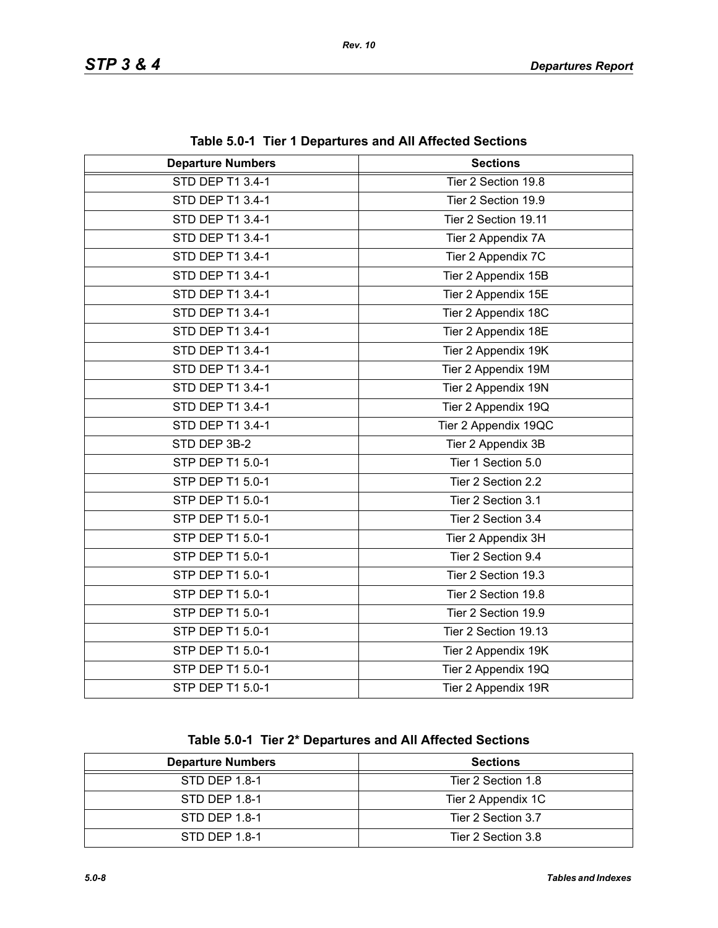| <b>Departure Numbers</b> | <b>Sections</b>      |
|--------------------------|----------------------|
| <b>STD DEP T1 3.4-1</b>  | Tier 2 Section 19.8  |
| STD DEP T1 3.4-1         | Tier 2 Section 19.9  |
| STD DEP T1 3.4-1         | Tier 2 Section 19.11 |
| STD DEP T1 3.4-1         | Tier 2 Appendix 7A   |
| STD DEP T1 3.4-1         | Tier 2 Appendix 7C   |
| STD DEP T1 3.4-1         | Tier 2 Appendix 15B  |
| STD DEP T1 3.4-1         | Tier 2 Appendix 15E  |
| STD DEP T1 3.4-1         | Tier 2 Appendix 18C  |
| STD DEP T1 3.4-1         | Tier 2 Appendix 18E  |
| STD DEP T1 3.4-1         | Tier 2 Appendix 19K  |
| STD DEP T1 3.4-1         | Tier 2 Appendix 19M  |
| STD DEP T1 3.4-1         | Tier 2 Appendix 19N  |
| STD DEP T1 3.4-1         | Tier 2 Appendix 19Q  |
| STD DEP T1 3.4-1         | Tier 2 Appendix 19QC |
| STD DEP 3B-2             | Tier 2 Appendix 3B   |
| STP DEP T1 5.0-1         | Tier 1 Section 5.0   |
| STP DEP T1 5.0-1         | Tier 2 Section 2.2   |
| STP DEP T1 5.0-1         | Tier 2 Section 3.1   |
| STP DEP T1 5.0-1         | Tier 2 Section 3.4   |
| STP DEP T1 5.0-1         | Tier 2 Appendix 3H   |
| STP DEP T1 5.0-1         | Tier 2 Section 9.4   |
| STP DEP T1 5.0-1         | Tier 2 Section 19.3  |
| STP DEP T1 5.0-1         | Tier 2 Section 19.8  |
| STP DEP T1 5.0-1         | Tier 2 Section 19.9  |
| STP DEP T1 5.0-1         | Tier 2 Section 19.13 |
| STP DEP T1 5.0-1         | Tier 2 Appendix 19K  |
| STP DEP T1 5.0-1         | Tier 2 Appendix 19Q  |
| STP DEP T1 5.0-1         | Tier 2 Appendix 19R  |

**Table 5.0-1 Tier 1 Departures and All Affected Sections**

**Table 5.0-1 Tier 2\* Departures and All Affected Sections**

| <b>Departure Numbers</b> | <b>Sections</b>    |
|--------------------------|--------------------|
| STD DEP 1.8-1            | Tier 2 Section 1.8 |
| STD DEP 1.8-1            | Tier 2 Appendix 1C |
| STD DEP 1.8-1            | Tier 2 Section 3.7 |
| STD DEP 1.8-1            | Tier 2 Section 3.8 |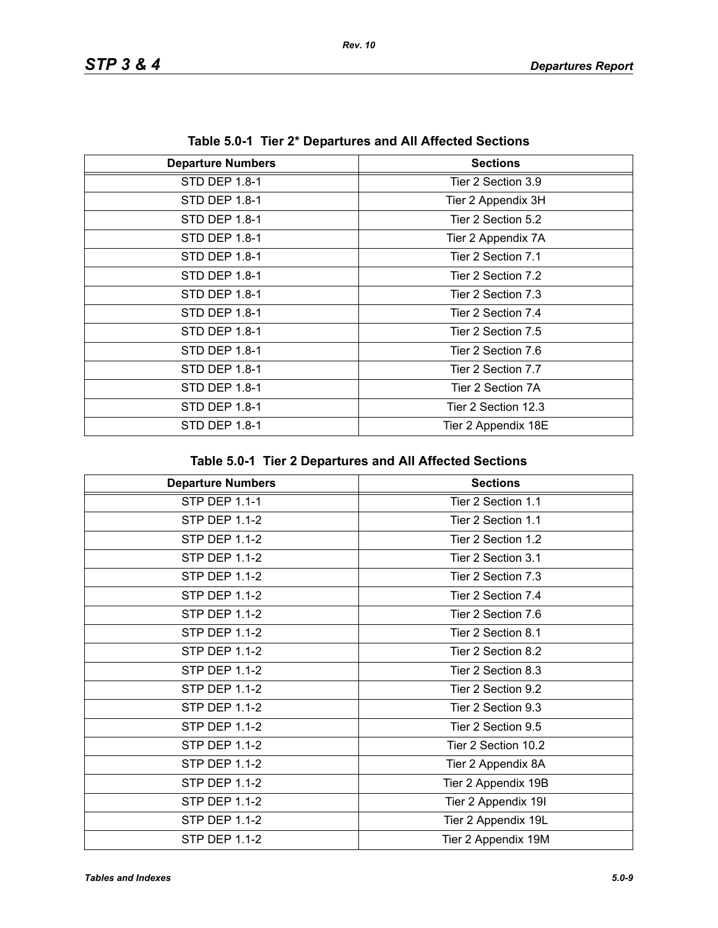| Table 5.0-1 Tiel 2 Departules and All Allected Sections |                     |
|---------------------------------------------------------|---------------------|
| <b>Departure Numbers</b>                                | <b>Sections</b>     |
| STD DEP 1.8-1                                           | Tier 2 Section 3.9  |
| STD DEP 1.8-1                                           | Tier 2 Appendix 3H  |
| STD DEP 1.8-1                                           | Tier 2 Section 5.2  |
| STD DEP 1.8-1                                           | Tier 2 Appendix 7A  |
| STD DEP 1.8-1                                           | Tier 2 Section 7.1  |
| STD DEP 1.8-1                                           | Tier 2 Section 7.2  |
| STD DEP 1.8-1                                           | Tier 2 Section 7.3  |
| STD DEP 1.8-1                                           | Tier 2 Section 7.4  |
| STD DEP 1.8-1                                           | Tier 2 Section 7.5  |
| STD DEP 1.8-1                                           | Tier 2 Section 7.6  |
| STD DEP 1.8-1                                           | Tier 2 Section 7.7  |
| STD DEP 1.8-1                                           | Tier 2 Section 7A   |
| STD DEP 1.8-1                                           | Tier 2 Section 12.3 |
| STD DEP 1.8-1                                           | Tier 2 Appendix 18E |

**Table 5.0-1 Tier 2\* Departures and All Affected Sections**

| <b>Departure Numbers</b> | <b>Sections</b>     |
|--------------------------|---------------------|
| <b>STP DEP 1.1-1</b>     | Tier 2 Section 1.1  |
| <b>STP DEP 1.1-2</b>     | Tier 2 Section 1.1  |
| <b>STP DEP 1.1-2</b>     | Tier 2 Section 1.2  |
| STP DEP 1.1-2            | Tier 2 Section 3.1  |
| <b>STP DEP 1.1-2</b>     | Tier 2 Section 7.3  |
| <b>STP DEP 1.1-2</b>     | Tier 2 Section 7.4  |
| <b>STP DEP 1.1-2</b>     | Tier 2 Section 7.6  |
| <b>STP DEP 1.1-2</b>     | Tier 2 Section 8.1  |
| <b>STP DEP 1.1-2</b>     | Tier 2 Section 8.2  |
| <b>STP DEP 1.1-2</b>     | Tier 2 Section 8.3  |
| <b>STP DEP 1.1-2</b>     | Tier 2 Section 9.2  |
| <b>STP DEP 1.1-2</b>     | Tier 2 Section 9.3  |
| STP DEP 1.1-2            | Tier 2 Section 9.5  |
| STP DEP 1.1-2            | Tier 2 Section 10.2 |
| <b>STP DEP 1.1-2</b>     | Tier 2 Appendix 8A  |
| <b>STP DEP 1.1-2</b>     | Tier 2 Appendix 19B |
| <b>STP DEP 1.1-2</b>     | Tier 2 Appendix 19I |
| <b>STP DEP 1.1-2</b>     | Tier 2 Appendix 19L |
| STP DEP 1.1-2            | Tier 2 Appendix 19M |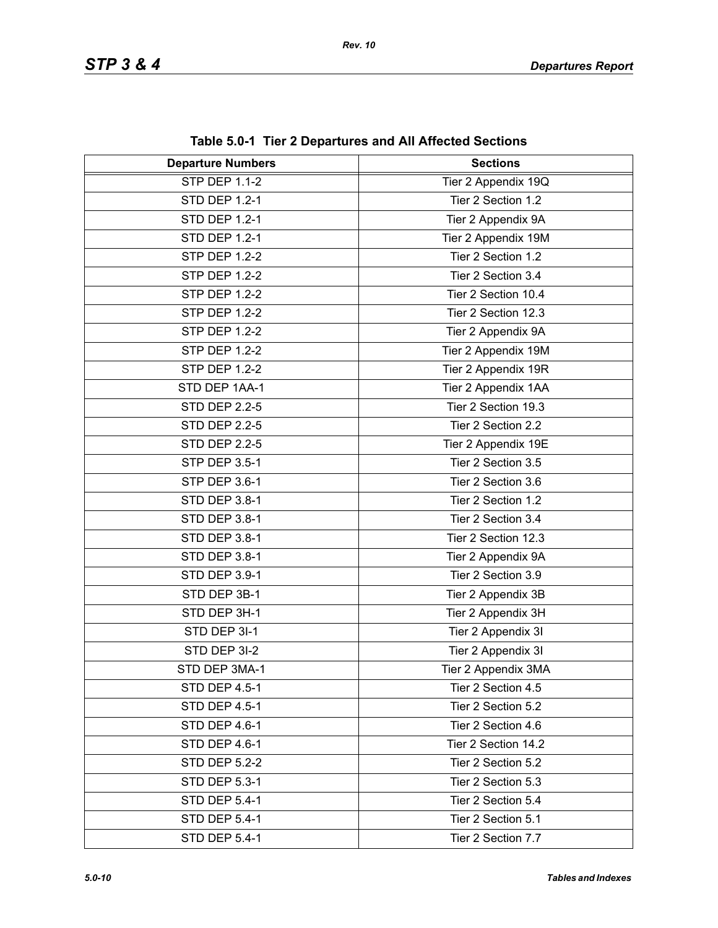| <b>Departure Numbers</b> | <b>Sections</b>     |
|--------------------------|---------------------|
| <b>STP DEP 1.1-2</b>     | Tier 2 Appendix 19Q |
| <b>STD DEP 1.2-1</b>     | Tier 2 Section 1.2  |
| <b>STD DEP 1.2-1</b>     | Tier 2 Appendix 9A  |
| <b>STD DEP 1.2-1</b>     | Tier 2 Appendix 19M |
| <b>STP DEP 1.2-2</b>     | Tier 2 Section 1.2  |
| <b>STP DEP 1.2-2</b>     | Tier 2 Section 3.4  |
| <b>STP DEP 1.2-2</b>     | Tier 2 Section 10.4 |
| <b>STP DEP 1.2-2</b>     | Tier 2 Section 12.3 |
| <b>STP DEP 1.2-2</b>     | Tier 2 Appendix 9A  |
| <b>STP DEP 1.2-2</b>     | Tier 2 Appendix 19M |
| <b>STP DEP 1.2-2</b>     | Tier 2 Appendix 19R |
| STD DEP 1AA-1            | Tier 2 Appendix 1AA |
| <b>STD DEP 2.2-5</b>     | Tier 2 Section 19.3 |
| <b>STD DEP 2.2-5</b>     | Tier 2 Section 2.2  |
| <b>STD DEP 2.2-5</b>     | Tier 2 Appendix 19E |
| <b>STP DEP 3.5-1</b>     | Tier 2 Section 3.5  |
| STP DEP 3.6-1            | Tier 2 Section 3.6  |
| STD DEP 3.8-1            | Tier 2 Section 1.2  |
| STD DEP 3.8-1            | Tier 2 Section 3.4  |
| STD DEP 3.8-1            | Tier 2 Section 12.3 |
| STD DEP 3.8-1            | Tier 2 Appendix 9A  |
| STD DEP 3.9-1            | Tier 2 Section 3.9  |
| STD DEP 3B-1             | Tier 2 Appendix 3B  |
| STD DEP 3H-1             | Tier 2 Appendix 3H  |
| STD DEP 3I-1             | Tier 2 Appendix 3I  |
| STD DEP 3I-2             | Tier 2 Appendix 3I  |
| STD DEP 3MA-1            | Tier 2 Appendix 3MA |
| STD DEP 4.5-1            | Tier 2 Section 4.5  |
| STD DEP 4.5-1            | Tier 2 Section 5.2  |
| STD DEP 4.6-1            | Tier 2 Section 4.6  |
| STD DEP 4.6-1            | Tier 2 Section 14.2 |
| <b>STD DEP 5.2-2</b>     | Tier 2 Section 5.2  |
| <b>STD DEP 5.3-1</b>     | Tier 2 Section 5.3  |
| <b>STD DEP 5.4-1</b>     | Tier 2 Section 5.4  |
| <b>STD DEP 5.4-1</b>     | Tier 2 Section 5.1  |
| <b>STD DEP 5.4-1</b>     | Tier 2 Section 7.7  |

**Table 5.0-1 Tier 2 Departures and All Affected Sections**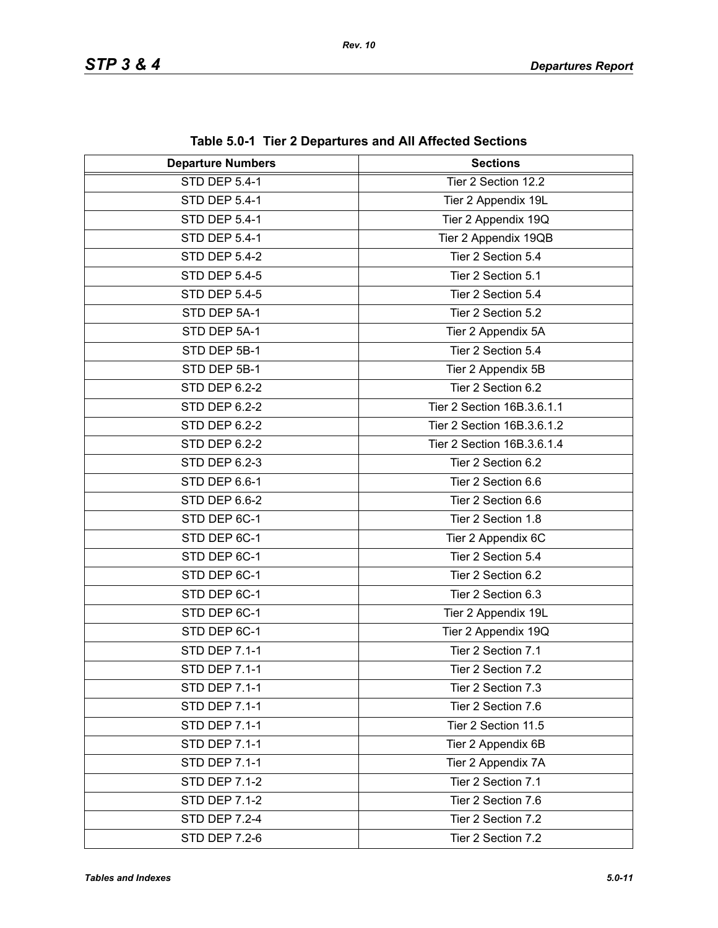| <b>Departure Numbers</b> | $\frac{1}{2}$ and $\frac{1}{2}$ and $\frac{1}{2}$ behaviored the summary control of $\frac{1}{2}$<br><b>Sections</b> |
|--------------------------|----------------------------------------------------------------------------------------------------------------------|
| <b>STD DEP 5.4-1</b>     | Tier 2 Section 12.2                                                                                                  |
| <b>STD DEP 5.4-1</b>     | Tier 2 Appendix 19L                                                                                                  |
| STD DEP 5.4-1            | Tier 2 Appendix 19Q                                                                                                  |
| <b>STD DEP 5.4-1</b>     | Tier 2 Appendix 19QB                                                                                                 |
| <b>STD DEP 5.4-2</b>     | Tier 2 Section 5.4                                                                                                   |
| <b>STD DEP 5.4-5</b>     | Tier 2 Section 5.1                                                                                                   |
| <b>STD DEP 5.4-5</b>     | Tier 2 Section 5.4                                                                                                   |
| STD DEP 5A-1             | Tier 2 Section 5.2                                                                                                   |
| STD DEP 5A-1             | Tier 2 Appendix 5A                                                                                                   |
| STD DEP 5B-1             | Tier 2 Section 5.4                                                                                                   |
|                          |                                                                                                                      |
| STD DEP 5B-1             | Tier 2 Appendix 5B                                                                                                   |
| STD DEP 6.2-2            | Tier 2 Section 6.2                                                                                                   |
| <b>STD DEP 6.2-2</b>     | Tier 2 Section 16B.3.6.1.1                                                                                           |
| STD DEP 6.2-2            | Tier 2 Section 16B.3.6.1.2                                                                                           |
| STD DEP 6.2-2            | Tier 2 Section 16B.3.6.1.4                                                                                           |
| STD DEP 6.2-3            | Tier 2 Section 6.2                                                                                                   |
| STD DEP 6.6-1            | Tier 2 Section 6.6                                                                                                   |
| STD DEP 6.6-2            | Tier 2 Section 6.6                                                                                                   |
| STD DEP 6C-1             | Tier 2 Section 1.8                                                                                                   |
| STD DEP 6C-1             | Tier 2 Appendix 6C                                                                                                   |
| STD DEP 6C-1             | Tier 2 Section 5.4                                                                                                   |
| STD DEP 6C-1             | Tier 2 Section 6.2                                                                                                   |
| STD DEP 6C-1             | Tier 2 Section 6.3                                                                                                   |
| STD DEP 6C-1             | Tier 2 Appendix 19L                                                                                                  |
| STD DEP 6C-1             | Tier 2 Appendix 19Q                                                                                                  |
| <b>STD DEP 7.1-1</b>     | Tier 2 Section 7.1                                                                                                   |
| STD DEP 7.1-1            | Tier 2 Section 7.2                                                                                                   |
| <b>STD DEP 7.1-1</b>     | Tier 2 Section 7.3                                                                                                   |
| <b>STD DEP 7.1-1</b>     | Tier 2 Section 7.6                                                                                                   |
| STD DEP 7.1-1            | Tier 2 Section 11.5                                                                                                  |
| <b>STD DEP 7.1-1</b>     | Tier 2 Appendix 6B                                                                                                   |
| <b>STD DEP 7.1-1</b>     | Tier 2 Appendix 7A                                                                                                   |
| <b>STD DEP 7.1-2</b>     | Tier 2 Section 7.1                                                                                                   |
| <b>STD DEP 7.1-2</b>     | Tier 2 Section 7.6                                                                                                   |
| <b>STD DEP 7.2-4</b>     | Tier 2 Section 7.2                                                                                                   |
| <b>STD DEP 7.2-6</b>     | Tier 2 Section 7.2                                                                                                   |

**Table 5.0-1 Tier 2 Departures and All Affected Sections**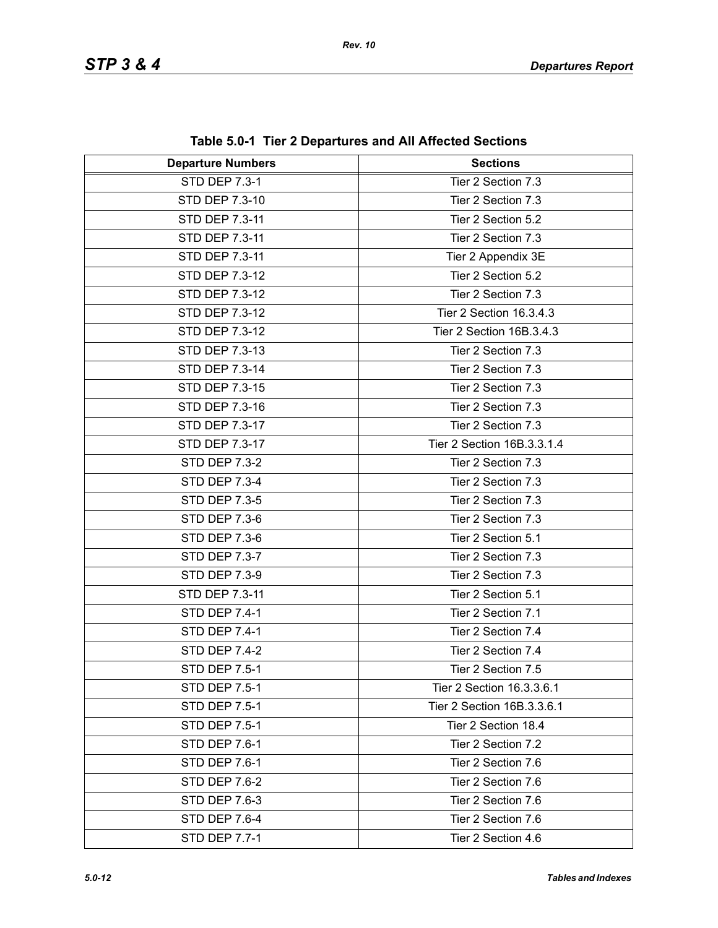| <b>Departure Numbers</b> | <b>Sections</b>            |
|--------------------------|----------------------------|
| <b>STD DEP 7.3-1</b>     | Tier 2 Section 7.3         |
| STD DEP 7.3-10           | Tier 2 Section 7.3         |
| <b>STD DEP 7.3-11</b>    | Tier 2 Section 5.2         |
| STD DEP 7.3-11           | Tier 2 Section 7.3         |
| STD DEP 7.3-11           | Tier 2 Appendix 3E         |
| STD DEP 7.3-12           | Tier 2 Section 5.2         |
| STD DEP 7.3-12           | Tier 2 Section 7.3         |
| STD DEP 7.3-12           | Tier 2 Section 16.3.4.3    |
| STD DEP 7.3-12           | Tier 2 Section 16B.3.4.3   |
| STD DEP 7.3-13           | Tier 2 Section 7.3         |
| STD DEP 7.3-14           | Tier 2 Section 7.3         |
| STD DEP 7.3-15           | Tier 2 Section 7.3         |
| STD DEP 7.3-16           | Tier 2 Section 7.3         |
| STD DEP 7.3-17           | Tier 2 Section 7.3         |
| STD DEP 7.3-17           | Tier 2 Section 16B.3.3.1.4 |
| <b>STD DEP 7.3-2</b>     | Tier 2 Section 7.3         |
| <b>STD DEP 7.3-4</b>     | Tier 2 Section 7.3         |
| <b>STD DEP 7.3-5</b>     | Tier 2 Section 7.3         |
| <b>STD DEP 7.3-6</b>     | Tier 2 Section 7.3         |
| <b>STD DEP 7.3-6</b>     | Tier 2 Section 5.1         |
| <b>STD DEP 7.3-7</b>     | Tier 2 Section 7.3         |
| <b>STD DEP 7.3-9</b>     | Tier 2 Section 7.3         |
| STD DEP 7.3-11           | Tier 2 Section 5.1         |
| <b>STD DEP 7.4-1</b>     | Tier 2 Section 7.1         |
| <b>STD DEP 7.4-1</b>     | Tier 2 Section 7.4         |
| <b>STD DEP 7.4-2</b>     | Tier 2 Section 7.4         |
| STD DEP 7.5-1            | Tier 2 Section 7.5         |
| STD DEP 7.5-1            | Tier 2 Section 16.3.3.6.1  |
| <b>STD DEP 7.5-1</b>     | Tier 2 Section 16B.3.3.6.1 |
| <b>STD DEP 7.5-1</b>     | Tier 2 Section 18.4        |
| STD DEP 7.6-1            | Tier 2 Section 7.2         |
| STD DEP 7.6-1            | Tier 2 Section 7.6         |
| STD DEP 7.6-2            | Tier 2 Section 7.6         |
| STD DEP 7.6-3            | Tier 2 Section 7.6         |
| <b>STD DEP 7.6-4</b>     | Tier 2 Section 7.6         |
| <b>STD DEP 7.7-1</b>     | Tier 2 Section 4.6         |

**Table 5.0-1 Tier 2 Departures and All Affected Sections**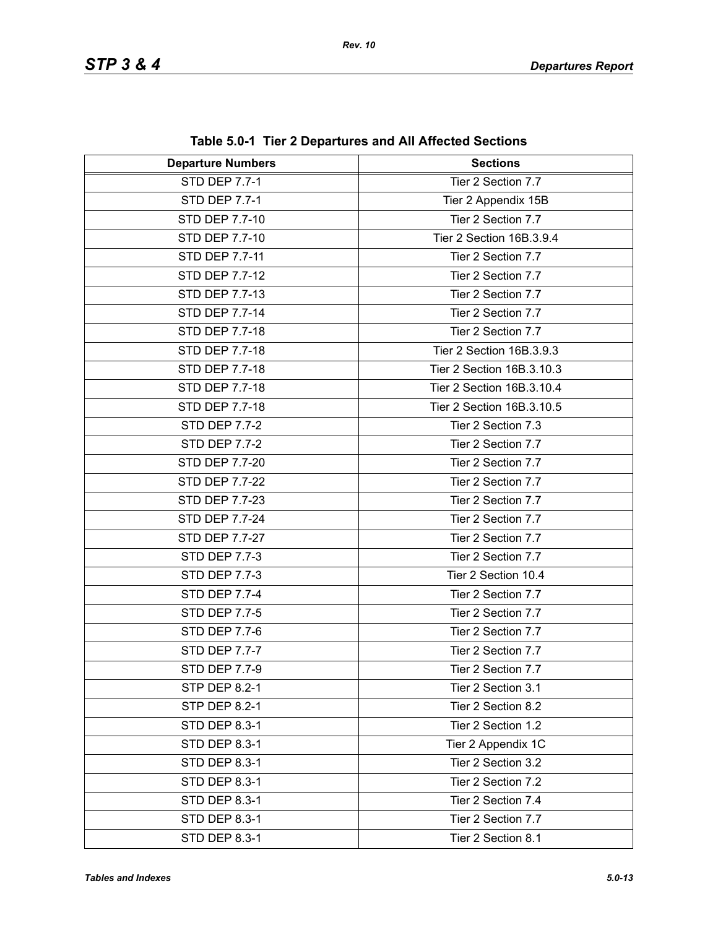| <b>Departure Numbers</b> | <b>Sections</b>           |
|--------------------------|---------------------------|
| <b>STD DEP 7.7-1</b>     | Tier 2 Section 7.7        |
| <b>STD DEP 7.7-1</b>     | Tier 2 Appendix 15B       |
| STD DEP 7.7-10           | Tier 2 Section 7.7        |
| STD DEP 7.7-10           | Tier 2 Section 16B.3.9.4  |
| STD DEP 7.7-11           | Tier 2 Section 7.7        |
| <b>STD DEP 7.7-12</b>    | Tier 2 Section 7.7        |
| STD DEP 7.7-13           | Tier 2 Section 7.7        |
| <b>STD DEP 7.7-14</b>    | Tier 2 Section 7.7        |
| STD DEP 7.7-18           | Tier 2 Section 7.7        |
| STD DEP 7.7-18           | Tier 2 Section 16B.3.9.3  |
| STD DEP 7.7-18           | Tier 2 Section 16B.3.10.3 |
| STD DEP 7.7-18           | Tier 2 Section 16B.3.10.4 |
| STD DEP 7.7-18           | Tier 2 Section 16B.3.10.5 |
| <b>STD DEP 7.7-2</b>     | Tier 2 Section 7.3        |
| STD DEP 7.7-2            | Tier 2 Section 7.7        |
| STD DEP 7.7-20           | Tier 2 Section 7.7        |
| <b>STD DEP 7.7-22</b>    | Tier 2 Section 7.7        |
| STD DEP 7.7-23           | Tier 2 Section 7.7        |
| STD DEP 7.7-24           | Tier 2 Section 7.7        |
| STD DEP 7.7-27           | Tier 2 Section 7.7        |
| STD DEP 7.7-3            | Tier 2 Section 7.7        |
| STD DEP 7.7-3            | Tier 2 Section 10.4       |
| <b>STD DEP 7.7-4</b>     | Tier 2 Section 7.7        |
| STD DEP 7.7-5            | Tier 2 Section 7.7        |
| STD DEP 7.7-6            | Tier 2 Section 7.7        |
| STD DEP 7.7-7            | Tier 2 Section 7.7        |
| STD DEP 7.7-9            | Tier 2 Section 7.7        |
| <b>STP DEP 8.2-1</b>     | Tier 2 Section 3.1        |
| <b>STP DEP 8.2-1</b>     | Tier 2 Section 8.2        |
| <b>STD DEP 8.3-1</b>     | Tier 2 Section 1.2        |
| <b>STD DEP 8.3-1</b>     | Tier 2 Appendix 1C        |
| <b>STD DEP 8.3-1</b>     | Tier 2 Section 3.2        |
| <b>STD DEP 8.3-1</b>     | Tier 2 Section 7.2        |
| <b>STD DEP 8.3-1</b>     | Tier 2 Section 7.4        |
| <b>STD DEP 8.3-1</b>     | Tier 2 Section 7.7        |
| <b>STD DEP 8.3-1</b>     | Tier 2 Section 8.1        |

**Table 5.0-1 Tier 2 Departures and All Affected Sections**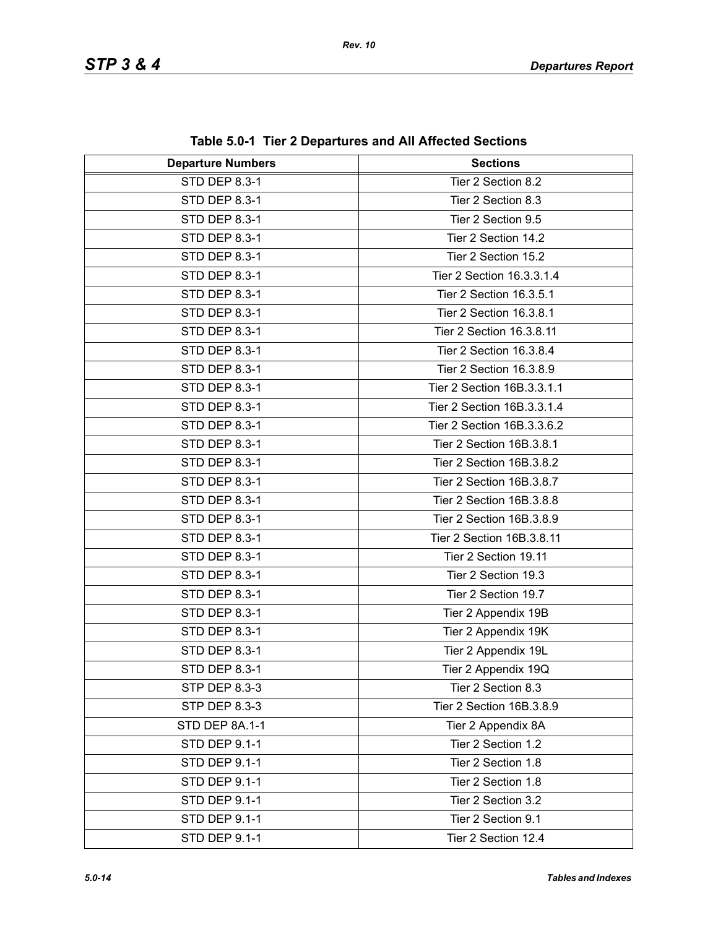| <b>Departure Numbers</b> | <b>Sections</b>            |
|--------------------------|----------------------------|
| STD DEP 8.3-1            | Tier 2 Section 8.2         |
| STD DEP 8.3-1            | Tier 2 Section 8.3         |
| STD DEP 8.3-1            | Tier 2 Section 9.5         |
| STD DEP 8.3-1            | Tier 2 Section 14.2        |
| STD DEP 8.3-1            | Tier 2 Section 15.2        |
| STD DEP 8.3-1            | Tier 2 Section 16.3.3.1.4  |
| STD DEP 8.3-1            | Tier 2 Section 16.3.5.1    |
| STD DEP 8.3-1            | Tier 2 Section 16.3.8.1    |
| STD DEP 8.3-1            | Tier 2 Section 16.3.8.11   |
| STD DEP 8.3-1            | Tier 2 Section 16.3.8.4    |
| STD DEP 8.3-1            | Tier 2 Section 16.3.8.9    |
| STD DEP 8.3-1            | Tier 2 Section 16B.3.3.1.1 |
| STD DEP 8.3-1            | Tier 2 Section 16B.3.3.1.4 |
| STD DEP 8.3-1            | Tier 2 Section 16B.3.3.6.2 |
| STD DEP 8.3-1            | Tier 2 Section 16B.3.8.1   |
| STD DEP 8.3-1            | Tier 2 Section 16B.3.8.2   |
| STD DEP 8.3-1            | Tier 2 Section 16B.3.8.7   |
| STD DEP 8.3-1            | Tier 2 Section 16B.3.8.8   |
| STD DEP 8.3-1            | Tier 2 Section 16B.3.8.9   |
| STD DEP 8.3-1            | Tier 2 Section 16B.3.8.11  |
| STD DEP 8.3-1            | Tier 2 Section 19.11       |
| STD DEP 8.3-1            | Tier 2 Section 19.3        |
| STD DEP 8.3-1            | Tier 2 Section 19.7        |
| STD DEP 8.3-1            | Tier 2 Appendix 19B        |
| STD DEP 8.3-1            | Tier 2 Appendix 19K        |
| <b>STD DEP 8.3-1</b>     | Tier 2 Appendix 19L        |
| STD DEP 8.3-1            | Tier 2 Appendix 19Q        |
| STP DEP 8.3-3            | Tier 2 Section 8.3         |
| STP DEP 8.3-3            | Tier 2 Section 16B.3.8.9   |
| STD DEP 8A.1-1           | Tier 2 Appendix 8A         |
| STD DEP 9.1-1            | Tier 2 Section 1.2         |
| STD DEP 9.1-1            | Tier 2 Section 1.8         |
| STD DEP 9.1-1            | Tier 2 Section 1.8         |
| STD DEP 9.1-1            | Tier 2 Section 3.2         |
| STD DEP 9.1-1            | Tier 2 Section 9.1         |
| STD DEP 9.1-1            | Tier 2 Section 12.4        |

**Table 5.0-1 Tier 2 Departures and All Affected Sections**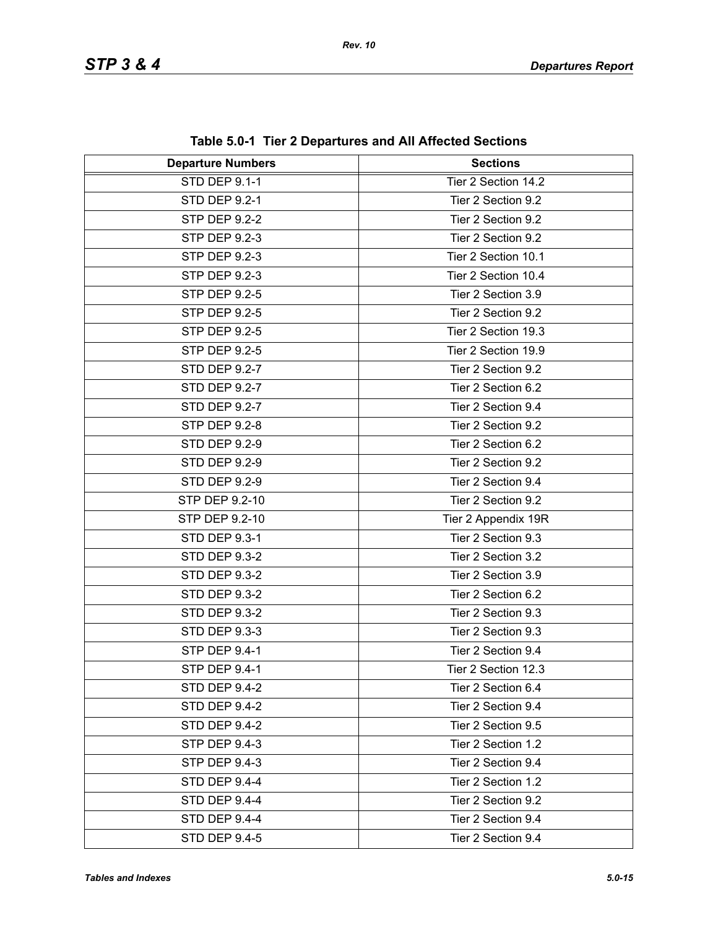| <b>Departure Numbers</b> | $1800$ vives the $\blacktriangle$ propertence and $\blacktriangle$ in $\blacktriangle$ inverted protection<br><b>Sections</b> |
|--------------------------|-------------------------------------------------------------------------------------------------------------------------------|
| <b>STD DEP 9.1-1</b>     | Tier 2 Section 14.2                                                                                                           |
| <b>STD DEP 9.2-1</b>     | Tier 2 Section 9.2                                                                                                            |
| <b>STP DEP 9.2-2</b>     | Tier 2 Section 9.2                                                                                                            |
| STP DEP 9.2-3            | Tier 2 Section 9.2                                                                                                            |
| <b>STP DEP 9.2-3</b>     | Tier 2 Section 10.1                                                                                                           |
| STP DEP 9.2-3            | Tier 2 Section 10.4                                                                                                           |
| STP DEP 9.2-5            | Tier 2 Section 3.9                                                                                                            |
| <b>STP DEP 9.2-5</b>     | Tier 2 Section 9.2                                                                                                            |
| STP DEP 9.2-5            | Tier 2 Section 19.3                                                                                                           |
| STP DEP 9.2-5            | Tier 2 Section 19.9                                                                                                           |
| <b>STD DEP 9.2-7</b>     | Tier 2 Section 9.2                                                                                                            |
| <b>STD DEP 9.2-7</b>     | Tier 2 Section 6.2                                                                                                            |
| STD DEP 9.2-7            | Tier 2 Section 9.4                                                                                                            |
| <b>STP DEP 9.2-8</b>     | Tier 2 Section 9.2                                                                                                            |
| <b>STD DEP 9.2-9</b>     | Tier 2 Section 6.2                                                                                                            |
| <b>STD DEP 9.2-9</b>     | Tier 2 Section 9.2                                                                                                            |
| <b>STD DEP 9.2-9</b>     | Tier 2 Section 9.4                                                                                                            |
| STP DEP 9.2-10           | Tier 2 Section 9.2                                                                                                            |
| STP DEP 9.2-10           | Tier 2 Appendix 19R                                                                                                           |
| STD DEP 9.3-1            | Tier 2 Section 9.3                                                                                                            |
| <b>STD DEP 9.3-2</b>     | Tier 2 Section 3.2                                                                                                            |
| <b>STD DEP 9.3-2</b>     | Tier 2 Section 3.9                                                                                                            |
| <b>STD DEP 9.3-2</b>     | Tier 2 Section 6.2                                                                                                            |
| <b>STD DEP 9.3-2</b>     | Tier 2 Section 9.3                                                                                                            |
| STD DEP 9.3-3            | Tier 2 Section 9.3                                                                                                            |
| <b>STP DEP 9.4-1</b>     | Tier 2 Section 9.4                                                                                                            |
| STP DEP 9.4-1            | Tier 2 Section 12.3                                                                                                           |
| STD DEP 9.4-2            | Tier 2 Section 6.4                                                                                                            |
| STD DEP 9.4-2            | Tier 2 Section 9.4                                                                                                            |
| <b>STD DEP 9.4-2</b>     | Tier 2 Section 9.5                                                                                                            |
| STP DEP 9.4-3            | Tier 2 Section 1.2                                                                                                            |
| STP DEP 9.4-3            | Tier 2 Section 9.4                                                                                                            |
| STD DEP 9.4-4            | Tier 2 Section 1.2                                                                                                            |
| STD DEP 9.4-4            | Tier 2 Section 9.2                                                                                                            |
| <b>STD DEP 9.4-4</b>     | Tier 2 Section 9.4                                                                                                            |
| <b>STD DEP 9.4-5</b>     | Tier 2 Section 9.4                                                                                                            |

**Table 5.0-1 Tier 2 Departures and All Affected Sections**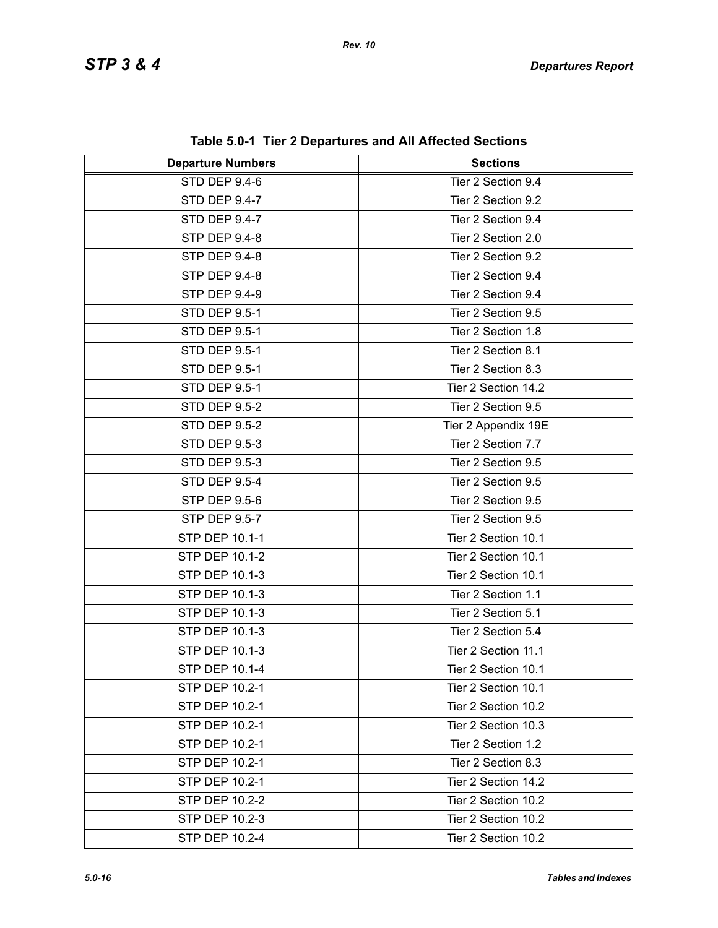| <b>Departure Numbers</b> | $14000$ $0.01$ $1.101$ $\pm$ Departated and full fully died bediening<br><b>Sections</b> |
|--------------------------|------------------------------------------------------------------------------------------|
| STD DEP 9.4-6            | Tier 2 Section 9.4                                                                       |
| STD DEP 9.4-7            | Tier 2 Section 9.2                                                                       |
| <b>STD DEP 9.4-7</b>     | Tier 2 Section 9.4                                                                       |
| STP DEP 9.4-8            | Tier 2 Section 2.0                                                                       |
| <b>STP DEP 9.4-8</b>     | Tier 2 Section 9.2                                                                       |
| STP DEP 9.4-8            | Tier 2 Section 9.4                                                                       |
| <b>STP DEP 9.4-9</b>     | Tier 2 Section 9.4                                                                       |
| <b>STD DEP 9.5-1</b>     | Tier 2 Section 9.5                                                                       |
| <b>STD DEP 9.5-1</b>     | Tier 2 Section 1.8                                                                       |
| <b>STD DEP 9.5-1</b>     | Tier 2 Section 8.1                                                                       |
| <b>STD DEP 9.5-1</b>     | Tier 2 Section 8.3                                                                       |
| <b>STD DEP 9.5-1</b>     | Tier 2 Section 14.2                                                                      |
| <b>STD DEP 9.5-2</b>     | Tier 2 Section 9.5                                                                       |
| <b>STD DEP 9.5-2</b>     | Tier 2 Appendix 19E                                                                      |
| STD DEP 9.5-3            | Tier 2 Section 7.7                                                                       |
| STD DEP 9.5-3            | Tier 2 Section 9.5                                                                       |
| <b>STD DEP 9.5-4</b>     | Tier 2 Section 9.5                                                                       |
| STP DEP 9.5-6            | Tier 2 Section 9.5                                                                       |
| STP DEP 9.5-7            | Tier 2 Section 9.5                                                                       |
| <b>STP DEP 10.1-1</b>    | Tier 2 Section 10.1                                                                      |
| STP DEP 10.1-2           | Tier 2 Section 10.1                                                                      |
| STP DEP 10.1-3           | Tier 2 Section 10.1                                                                      |
| <b>STP DEP 10.1-3</b>    | Tier 2 Section 1.1                                                                       |
| STP DEP 10.1-3           | Tier 2 Section 5.1                                                                       |
| <b>STP DEP 10.1-3</b>    | Tier 2 Section 5.4                                                                       |
| <b>STP DEP 10.1-3</b>    | Tier 2 Section 11.1                                                                      |
| STP DEP 10.1-4           | Tier 2 Section 10.1                                                                      |
| STP DEP 10.2-1           | Tier 2 Section 10.1                                                                      |
| STP DEP 10.2-1           | Tier 2 Section 10.2                                                                      |
| STP DEP 10.2-1           | Tier 2 Section 10.3                                                                      |
| STP DEP 10.2-1           | Tier 2 Section 1.2                                                                       |
| STP DEP 10.2-1           | Tier 2 Section 8.3                                                                       |
| STP DEP 10.2-1           | Tier 2 Section 14.2                                                                      |
| STP DEP 10.2-2           | Tier 2 Section 10.2                                                                      |
| STP DEP 10.2-3           | Tier 2 Section 10.2                                                                      |
| STP DEP 10.2-4           | Tier 2 Section 10.2                                                                      |

**Table 5.0-1 Tier 2 Departures and All Affected Sections**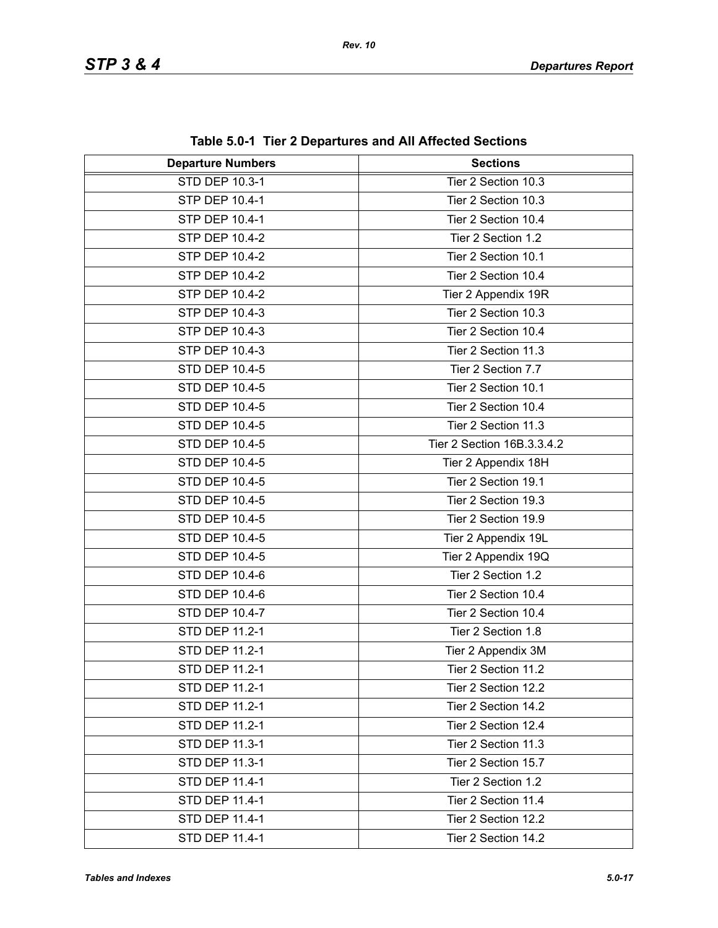| <b>Departure Numbers</b> | <b>Sections</b>            |
|--------------------------|----------------------------|
| STD DEP 10.3-1           | Tier 2 Section 10.3        |
| STP DEP 10.4-1           | Tier 2 Section 10.3        |
| STP DEP 10.4-1           | Tier 2 Section 10.4        |
| STP DEP 10.4-2           | Tier 2 Section 1.2         |
| STP DEP 10.4-2           | Tier 2 Section 10.1        |
| STP DEP 10.4-2           | Tier 2 Section 10.4        |
| STP DEP 10.4-2           | Tier 2 Appendix 19R        |
| STP DEP 10.4-3           | Tier 2 Section 10.3        |
| STP DEP 10.4-3           | Tier 2 Section 10.4        |
| STP DEP 10.4-3           | Tier 2 Section 11.3        |
| STD DEP 10.4-5           | Tier 2 Section 7.7         |
| STD DEP 10.4-5           | Tier 2 Section 10.1        |
| STD DEP 10.4-5           | Tier 2 Section 10.4        |
| STD DEP 10.4-5           | Tier 2 Section 11.3        |
| STD DEP 10.4-5           | Tier 2 Section 16B.3.3.4.2 |
| <b>STD DEP 10.4-5</b>    | Tier 2 Appendix 18H        |
| STD DEP 10.4-5           | Tier 2 Section 19.1        |
| STD DEP 10.4-5           | Tier 2 Section 19.3        |
| STD DEP 10.4-5           | Tier 2 Section 19.9        |
| STD DEP 10.4-5           | Tier 2 Appendix 19L        |
| STD DEP 10.4-5           | Tier 2 Appendix 19Q        |
| STD DEP 10.4-6           | Tier 2 Section 1.2         |
| STD DEP 10.4-6           | Tier 2 Section 10.4        |
| STD DEP 10.4-7           | Tier 2 Section 10.4        |
| STD DEP 11.2-1           | Tier 2 Section 1.8         |
| STD DEP 11.2-1           | Tier 2 Appendix 3M         |
| STD DEP 11.2-1           | Tier 2 Section 11.2        |
| STD DEP 11.2-1           | Tier 2 Section 12.2        |
| STD DEP 11.2-1           | Tier 2 Section 14.2        |
| STD DEP 11.2-1           | Tier 2 Section 12.4        |
| STD DEP 11.3-1           | Tier 2 Section 11.3        |
| STD DEP 11.3-1           | Tier 2 Section 15.7        |
| STD DEP 11.4-1           | Tier 2 Section 1.2         |
| STD DEP 11.4-1           | Tier 2 Section 11.4        |
| STD DEP 11.4-1           | Tier 2 Section 12.2        |
| STD DEP 11.4-1           | Tier 2 Section 14.2        |

**Table 5.0-1 Tier 2 Departures and All Affected Sections**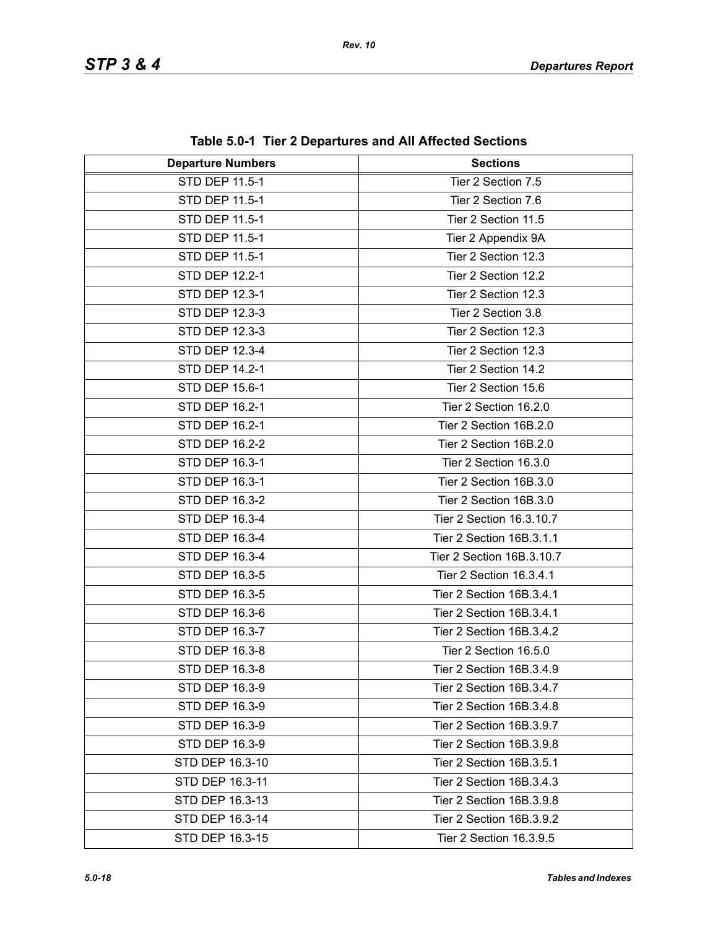| <b>Departure Numbers</b> | <b>Sections</b>           |
|--------------------------|---------------------------|
| <b>STD DEP 11.5-1</b>    | Tier 2 Section 7.5        |
| STD DEP 11.5-1           | Tier 2 Section 7.6        |
| STD DEP 11.5-1           | Tier 2 Section 11.5       |
| STD DEP 11.5-1           | Tier 2 Appendix 9A        |
| STD DEP 11.5-1           | Tier 2 Section 12.3       |
| <b>STD DEP 12.2-1</b>    | Tier 2 Section 12.2       |
| STD DEP 12.3-1           | Tier 2 Section 12.3       |
| STD DEP 12.3-3           | Tier 2 Section 3.8        |
| STD DEP 12.3-3           | Tier 2 Section 12.3       |
| STD DEP 12.3-4           | Tier 2 Section 12.3       |
| STD DEP 14.2-1           | Tier 2 Section 14.2       |
| STD DEP 15.6-1           | Tier 2 Section 15.6       |
| STD DEP 16.2-1           | Tier 2 Section 16.2.0     |
| STD DEP 16.2-1           | Tier 2 Section 16B.2.0    |
| STD DEP 16.2-2           | Tier 2 Section 16B.2.0    |
| STD DEP 16.3-1           | Tier 2 Section 16.3.0     |
| STD DEP 16.3-1           | Tier 2 Section 16B.3.0    |
| STD DEP 16.3-2           | Tier 2 Section 16B.3.0    |
| STD DEP 16.3-4           | Tier 2 Section 16.3.10.7  |
| STD DEP 16.3-4           | Tier 2 Section 16B.3.1.1  |
| STD DEP 16.3-4           | Tier 2 Section 16B.3.10.7 |
| STD DEP 16.3-5           | Tier 2 Section 16.3.4.1   |
| STD DEP 16.3-5           | Tier 2 Section 16B.3.4.1  |
| STD DEP 16.3-6           | Tier 2 Section 16B.3.4.1  |
| STD DEP 16.3-7           | Tier 2 Section 16B.3.4.2  |
| STD DEP 16.3-8           | Tier 2 Section 16.5.0     |
| STD DEP 16.3-8           | Tier 2 Section 16B.3.4.9  |
| STD DEP 16.3-9           | Tier 2 Section 16B.3.4.7  |
| STD DEP 16.3-9           | Tier 2 Section 16B.3.4.8  |
| STD DEP 16.3-9           | Tier 2 Section 16B.3.9.7  |
| STD DEP 16.3-9           | Tier 2 Section 16B.3.9.8  |
| STD DEP 16.3-10          | Tier 2 Section 16B.3.5.1  |
| STD DEP 16.3-11          | Tier 2 Section 16B.3.4.3  |
| STD DEP 16.3-13          | Tier 2 Section 16B.3.9.8  |
| STD DEP 16.3-14          | Tier 2 Section 16B.3.9.2  |
| STD DEP 16.3-15          | Tier 2 Section 16.3.9.5   |

**Table 5.0-1 Tier 2 Departures and All Affected Sections**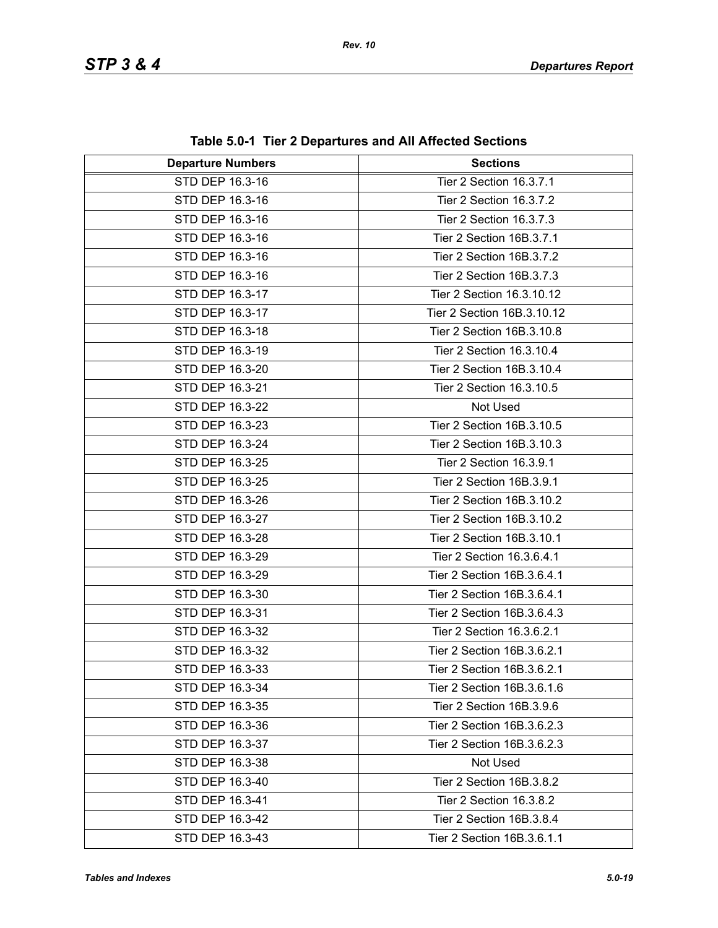| <b>Departure Numbers</b> | $1800$ vives the $\geq$ $\geq$ $\geq$ $\geq$ $\geq$ $\geq$ $\geq$ $\geq$ $\geq$ $\geq$ $\geq$ $\geq$ $\geq$ $\geq$ $\geq$ $\geq$ $\geq$ $\geq$ $\geq$ $\geq$ $\geq$ $\geq$ $\geq$ $\geq$ $\geq$ $\geq$ $\geq$ $\geq$ $\geq$ $\geq$ $\geq$ $\geq$ $\geq$ $\geq$<br><b>Sections</b> |
|--------------------------|-----------------------------------------------------------------------------------------------------------------------------------------------------------------------------------------------------------------------------------------------------------------------------------|
| STD DEP 16.3-16          | Tier 2 Section 16.3.7.1                                                                                                                                                                                                                                                           |
| STD DEP 16.3-16          | Tier 2 Section 16.3.7.2                                                                                                                                                                                                                                                           |
| STD DEP 16.3-16          | Tier 2 Section 16.3.7.3                                                                                                                                                                                                                                                           |
| STD DEP 16.3-16          | Tier 2 Section 16B.3.7.1                                                                                                                                                                                                                                                          |
| STD DEP 16.3-16          | Tier 2 Section 16B.3.7.2                                                                                                                                                                                                                                                          |
| STD DEP 16.3-16          | Tier 2 Section 16B.3.7.3                                                                                                                                                                                                                                                          |
| STD DEP 16.3-17          | Tier 2 Section 16.3.10.12                                                                                                                                                                                                                                                         |
| STD DEP 16.3-17          | Tier 2 Section 16B.3.10.12                                                                                                                                                                                                                                                        |
| STD DEP 16.3-18          | Tier 2 Section 16B.3.10.8                                                                                                                                                                                                                                                         |
| STD DEP 16.3-19          | Tier 2 Section 16.3.10.4                                                                                                                                                                                                                                                          |
| STD DEP 16.3-20          | Tier 2 Section 16B.3.10.4                                                                                                                                                                                                                                                         |
| STD DEP 16.3-21          | Tier 2 Section 16.3.10.5                                                                                                                                                                                                                                                          |
| STD DEP 16.3-22          | Not Used                                                                                                                                                                                                                                                                          |
| STD DEP 16.3-23          | Tier 2 Section 16B.3.10.5                                                                                                                                                                                                                                                         |
| STD DEP 16.3-24          | Tier 2 Section 16B.3.10.3                                                                                                                                                                                                                                                         |
| STD DEP 16.3-25          | Tier 2 Section 16.3.9.1                                                                                                                                                                                                                                                           |
| STD DEP 16.3-25          | Tier 2 Section 16B.3.9.1                                                                                                                                                                                                                                                          |
| STD DEP 16.3-26          | Tier 2 Section 16B.3.10.2                                                                                                                                                                                                                                                         |
| STD DEP 16.3-27          | Tier 2 Section 16B.3.10.2                                                                                                                                                                                                                                                         |
| STD DEP 16.3-28          | Tier 2 Section 16B.3.10.1                                                                                                                                                                                                                                                         |
| STD DEP 16.3-29          | Tier 2 Section 16.3.6.4.1                                                                                                                                                                                                                                                         |
| STD DEP 16.3-29          | Tier 2 Section 16B.3.6.4.1                                                                                                                                                                                                                                                        |
| STD DEP 16.3-30          | Tier 2 Section 16B.3.6.4.1                                                                                                                                                                                                                                                        |
| STD DEP 16.3-31          | Tier 2 Section 16B.3.6.4.3                                                                                                                                                                                                                                                        |
| STD DEP 16.3-32          | Tier 2 Section 16.3.6.2.1                                                                                                                                                                                                                                                         |
| STD DEP 16.3-32          | Tier 2 Section 16B.3.6.2.1                                                                                                                                                                                                                                                        |
| STD DEP 16.3-33          | Tier 2 Section 16B.3.6.2.1                                                                                                                                                                                                                                                        |
| STD DEP 16.3-34          | Tier 2 Section 16B.3.6.1.6                                                                                                                                                                                                                                                        |
| STD DEP 16.3-35          | Tier 2 Section 16B.3.9.6                                                                                                                                                                                                                                                          |
| STD DEP 16.3-36          | Tier 2 Section 16B.3.6.2.3                                                                                                                                                                                                                                                        |
| STD DEP 16.3-37          | Tier 2 Section 16B.3.6.2.3                                                                                                                                                                                                                                                        |
| STD DEP 16.3-38          | Not Used                                                                                                                                                                                                                                                                          |
| STD DEP 16.3-40          | Tier 2 Section 16B.3.8.2                                                                                                                                                                                                                                                          |
| STD DEP 16.3-41          | Tier 2 Section 16.3.8.2                                                                                                                                                                                                                                                           |
| STD DEP 16.3-42          | Tier 2 Section 16B.3.8.4                                                                                                                                                                                                                                                          |
| STD DEP 16.3-43          | Tier 2 Section 16B.3.6.1.1                                                                                                                                                                                                                                                        |

**Table 5.0-1 Tier 2 Departures and All Affected Sections**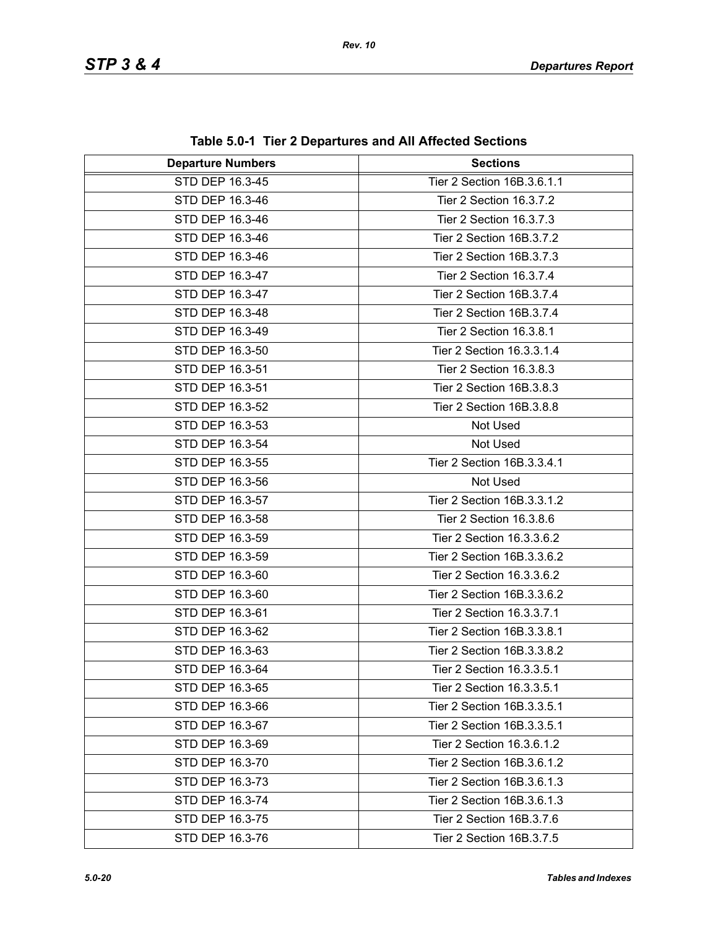| <b>Departure Numbers</b> | <b>Sections</b>            |
|--------------------------|----------------------------|
| STD DEP 16.3-45          | Tier 2 Section 16B.3.6.1.1 |
| STD DEP 16.3-46          | Tier 2 Section 16.3.7.2    |
| STD DEP 16.3-46          | Tier 2 Section 16.3.7.3    |
| STD DEP 16.3-46          | Tier 2 Section 16B.3.7.2   |
| STD DEP 16.3-46          | Tier 2 Section 16B.3.7.3   |
| STD DEP 16.3-47          | Tier 2 Section 16.3.7.4    |
| STD DEP 16.3-47          | Tier 2 Section 16B.3.7.4   |
| STD DEP 16.3-48          | Tier 2 Section 16B.3.7.4   |
| STD DEP 16.3-49          | Tier 2 Section 16.3.8.1    |
| STD DEP 16.3-50          | Tier 2 Section 16.3.3.1.4  |
| STD DEP 16.3-51          | Tier 2 Section 16.3.8.3    |
| STD DEP 16.3-51          | Tier 2 Section 16B.3.8.3   |
| STD DEP 16.3-52          | Tier 2 Section 16B.3.8.8   |
| STD DEP 16.3-53          | Not Used                   |
| STD DEP 16.3-54          | Not Used                   |
| STD DEP 16.3-55          | Tier 2 Section 16B.3.3.4.1 |
| STD DEP 16.3-56          | Not Used                   |
| STD DEP 16.3-57          | Tier 2 Section 16B.3.3.1.2 |
| STD DEP 16.3-58          | Tier 2 Section 16.3.8.6    |
| STD DEP 16.3-59          | Tier 2 Section 16.3.3.6.2  |
| STD DEP 16.3-59          | Tier 2 Section 16B.3.3.6.2 |
| STD DEP 16.3-60          | Tier 2 Section 16.3.3.6.2  |
| STD DEP 16.3-60          | Tier 2 Section 16B.3.3.6.2 |
| STD DEP 16.3-61          | Tier 2 Section 16.3.3.7.1  |
| STD DEP 16.3-62          | Tier 2 Section 16B.3.3.8.1 |
| STD DEP 16.3-63          | Tier 2 Section 16B.3.3.8.2 |
| STD DEP 16.3-64          | Tier 2 Section 16.3.3.5.1  |
| STD DEP 16.3-65          | Tier 2 Section 16.3.3.5.1  |
| STD DEP 16.3-66          | Tier 2 Section 16B.3.3.5.1 |
| STD DEP 16.3-67          | Tier 2 Section 16B.3.3.5.1 |
| STD DEP 16.3-69          | Tier 2 Section 16.3.6.1.2  |
| STD DEP 16.3-70          | Tier 2 Section 16B.3.6.1.2 |
| STD DEP 16.3-73          | Tier 2 Section 16B.3.6.1.3 |
| STD DEP 16.3-74          | Tier 2 Section 16B.3.6.1.3 |
| STD DEP 16.3-75          | Tier 2 Section 16B.3.7.6   |
| STD DEP 16.3-76          | Tier 2 Section 16B.3.7.5   |

**Table 5.0-1 Tier 2 Departures and All Affected Sections**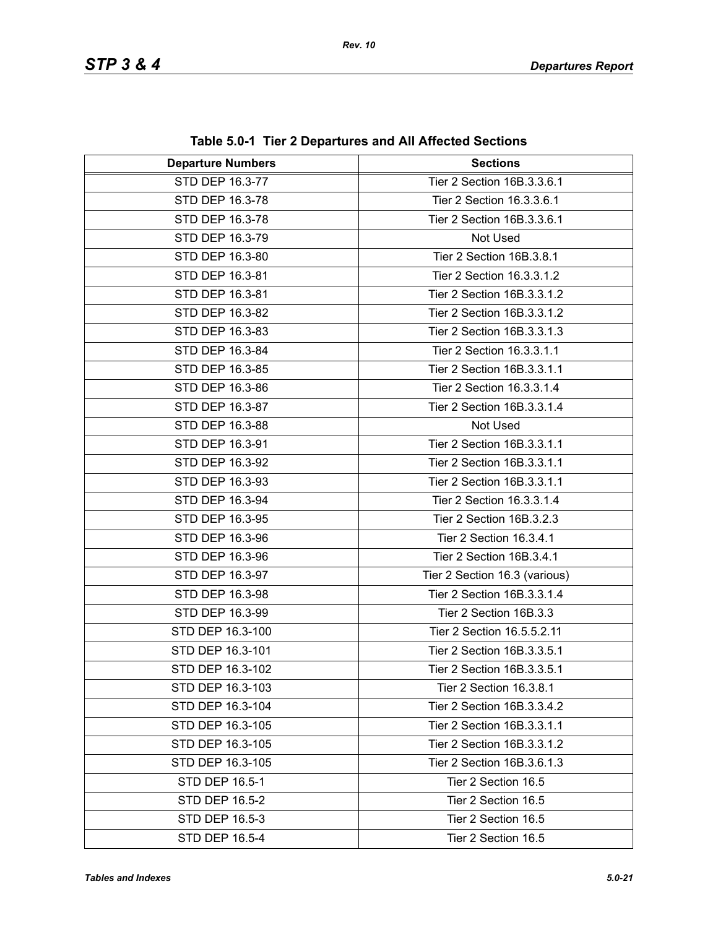| <b>Departure Numbers</b> | <b>Sections</b>               |
|--------------------------|-------------------------------|
| STD DEP 16.3-77          | Tier 2 Section 16B.3.3.6.1    |
| STD DEP 16.3-78          | Tier 2 Section 16.3.3.6.1     |
| STD DEP 16.3-78          | Tier 2 Section 16B.3.3.6.1    |
| STD DEP 16.3-79          | Not Used                      |
| STD DEP 16.3-80          | Tier 2 Section 16B.3.8.1      |
| STD DEP 16.3-81          | Tier 2 Section 16.3.3.1.2     |
| STD DEP 16.3-81          | Tier 2 Section 16B.3.3.1.2    |
| STD DEP 16.3-82          | Tier 2 Section 16B.3.3.1.2    |
| STD DEP 16.3-83          | Tier 2 Section 16B.3.3.1.3    |
| STD DEP 16.3-84          | Tier 2 Section 16.3.3.1.1     |
| STD DEP 16.3-85          | Tier 2 Section 16B.3.3.1.1    |
| STD DEP 16.3-86          | Tier 2 Section 16.3.3.1.4     |
| STD DEP 16.3-87          | Tier 2 Section 16B.3.3.1.4    |
| STD DEP 16.3-88          | Not Used                      |
| STD DEP 16.3-91          | Tier 2 Section 16B.3.3.1.1    |
| STD DEP 16.3-92          | Tier 2 Section 16B.3.3.1.1    |
| STD DEP 16.3-93          | Tier 2 Section 16B.3.3.1.1    |
| STD DEP 16.3-94          | Tier 2 Section 16.3.3.1.4     |
| STD DEP 16.3-95          | Tier 2 Section 16B.3.2.3      |
| STD DEP 16.3-96          | Tier 2 Section 16.3.4.1       |
| STD DEP 16.3-96          | Tier 2 Section 16B.3.4.1      |
| STD DEP 16.3-97          | Tier 2 Section 16.3 (various) |
| STD DEP 16.3-98          | Tier 2 Section 16B.3.3.1.4    |
| STD DEP 16.3-99          | Tier 2 Section 16B.3.3        |
| STD DEP 16.3-100         | Tier 2 Section 16.5.5.2.11    |
| STD DEP 16.3-101         | Tier 2 Section 16B.3.3.5.1    |
| STD DEP 16.3-102         | Tier 2 Section 16B.3.3.5.1    |
| STD DEP 16.3-103         | Tier 2 Section 16.3.8.1       |
| STD DEP 16.3-104         | Tier 2 Section 16B.3.3.4.2    |
| STD DEP 16.3-105         | Tier 2 Section 16B.3.3.1.1    |
| STD DEP 16.3-105         | Tier 2 Section 16B.3.3.1.2    |
| STD DEP 16.3-105         | Tier 2 Section 16B.3.6.1.3    |
| STD DEP 16.5-1           | Tier 2 Section 16.5           |
| STD DEP 16.5-2           | Tier 2 Section 16.5           |
| STD DEP 16.5-3           | Tier 2 Section 16.5           |
| STD DEP 16.5-4           | Tier 2 Section 16.5           |

**Table 5.0-1 Tier 2 Departures and All Affected Sections**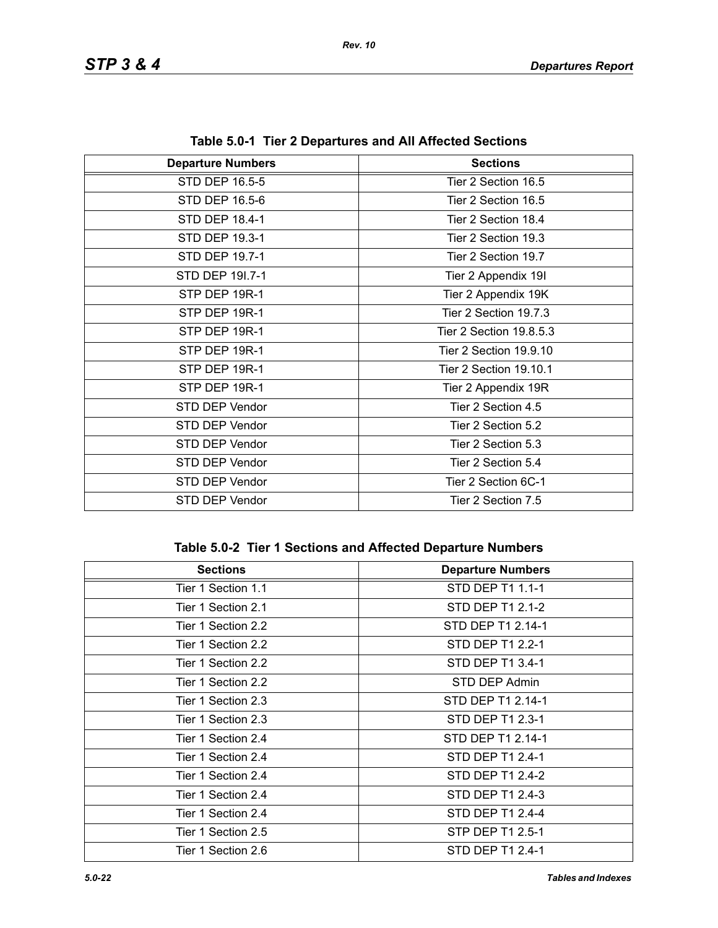| <b>Departure Numbers</b> | <b>Sections</b>         |
|--------------------------|-------------------------|
| STD DEP 16.5-5           | Tier 2 Section 16.5     |
| STD DEP 16.5-6           | Tier 2 Section 16.5     |
| STD DEP 18.4-1           | Tier 2 Section 18.4     |
| STD DEP 19.3-1           | Tier 2 Section 19.3     |
| STD DEP 19.7-1           | Tier 2 Section 19.7     |
| STD DEP 191.7-1          | Tier 2 Appendix 19I     |
| STP DEP 19R-1            | Tier 2 Appendix 19K     |
| STP DEP 19R-1            | Tier 2 Section 19.7.3   |
| STP DEP 19R-1            | Tier 2 Section 19.8.5.3 |
| STP DEP 19R-1            | Tier 2 Section 19.9.10  |
| STP DEP 19R-1            | Tier 2 Section 19.10.1  |
| STP DEP 19R-1            | Tier 2 Appendix 19R     |
| STD DEP Vendor           | Tier 2 Section 4.5      |
| STD DEP Vendor           | Tier 2 Section 5.2      |
| STD DEP Vendor           | Tier 2 Section 5.3      |
| STD DEP Vendor           | Tier 2 Section 5.4      |
| STD DEP Vendor           | Tier 2 Section 6C-1     |
| STD DEP Vendor           | Tier 2 Section 7.5      |

**Table 5.0-1 Tier 2 Departures and All Affected Sections**

## **Table 5.0-2 Tier 1 Sections and Affected Departure Numbers**

| <b>Sections</b>    | <b>Departure Numbers</b> |
|--------------------|--------------------------|
| Tier 1 Section 1.1 | STD DEP T1 1.1-1         |
| Tier 1 Section 2.1 | STD DEP T1 2.1-2         |
| Tier 1 Section 2.2 | STD DEP T1 2.14-1        |
| Tier 1 Section 2.2 | STD DEP T1 2.2-1         |
| Tier 1 Section 2.2 | STD DEP T1 3.4-1         |
| Tier 1 Section 2.2 | STD DEP Admin            |
| Tier 1 Section 2.3 | STD DEP T1 2.14-1        |
| Tier 1 Section 2.3 | STD DEP T1 2.3-1         |
| Tier 1 Section 2.4 | STD DEP T1 2.14-1        |
| Tier 1 Section 2.4 | STD DEP T1 2.4-1         |
| Tier 1 Section 2.4 | STD DEP T1 2.4-2         |
| Tier 1 Section 2.4 | STD DEP T1 2.4-3         |
| Tier 1 Section 2.4 | STD DEP T1 2.4-4         |
| Tier 1 Section 2.5 | STP DEP T1 2.5-1         |
| Tier 1 Section 2.6 | STD DEP T1 2.4-1         |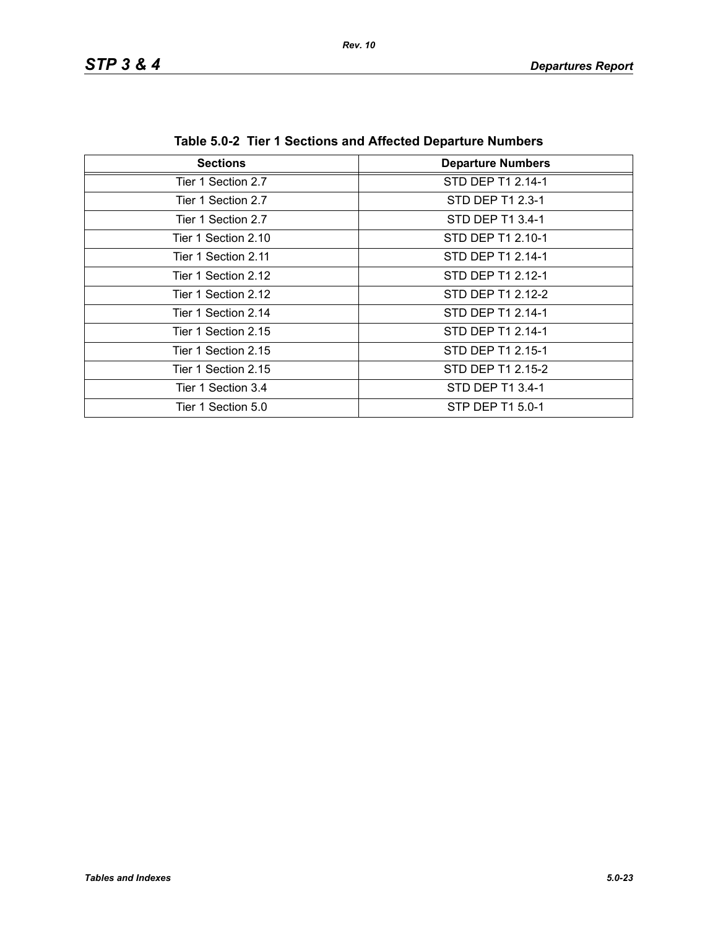| <b>Sections</b>     | <b>Departure Numbers</b> |
|---------------------|--------------------------|
|                     |                          |
| Tier 1 Section 2.7  | STD DEP T1 2.14-1        |
| Tier 1 Section 2.7  | STD DEP T1 2.3-1         |
| Tier 1 Section 2.7  | STD DEP T1 3.4-1         |
| Tier 1 Section 2.10 | STD DEP T1 2.10-1        |
| Tier 1 Section 2.11 | STD DEP T1 2.14-1        |
| Tier 1 Section 2.12 | STD DEP T1 2.12-1        |
| Tier 1 Section 2.12 | STD DEP T1 2.12-2        |
| Tier 1 Section 2.14 | STD DEP T1 2.14-1        |
| Tier 1 Section 2.15 | STD DEP T1 2.14-1        |
| Tier 1 Section 2.15 | STD DEP T1 2.15-1        |
| Tier 1 Section 2.15 | STD DEP T1 2.15-2        |
| Tier 1 Section 3.4  | STD DEP T1 3.4-1         |
| Tier 1 Section 5.0  | STP DEP T1 5.0-1         |

**Table 5.0-2 Tier 1 Sections and Affected Departure Numbers**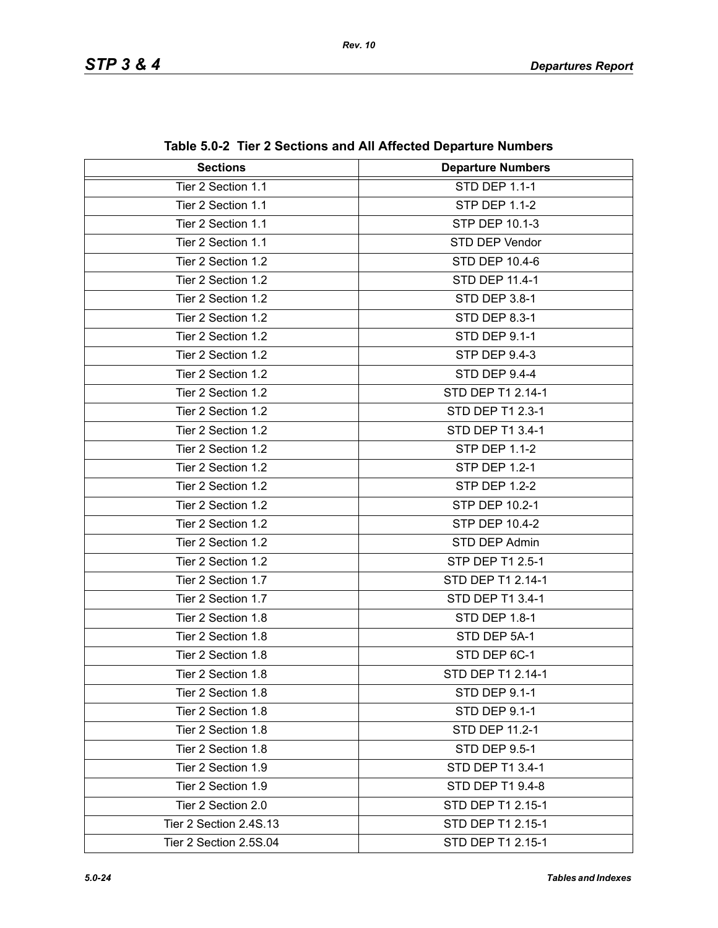| <b>Sections</b>        | <b>Departure Numbers</b> |
|------------------------|--------------------------|
| Tier 2 Section 1.1     | <b>STD DEP 1.1-1</b>     |
| Tier 2 Section 1.1     | STP DEP 1.1-2            |
| Tier 2 Section 1.1     | STP DEP 10.1-3           |
| Tier 2 Section 1.1     | STD DEP Vendor           |
| Tier 2 Section 1.2     | <b>STD DEP 10.4-6</b>    |
| Tier 2 Section 1.2     | STD DEP 11.4-1           |
| Tier 2 Section 1.2     | STD DEP 3.8-1            |
| Tier 2 Section 1.2     | <b>STD DEP 8.3-1</b>     |
| Tier 2 Section 1.2     | <b>STD DEP 9.1-1</b>     |
| Tier 2 Section 1.2     | <b>STP DEP 9.4-3</b>     |
| Tier 2 Section 1.2     | <b>STD DEP 9.4-4</b>     |
| Tier 2 Section 1.2     | STD DEP T1 2.14-1        |
| Tier 2 Section 1.2     | STD DEP T1 2.3-1         |
| Tier 2 Section 1.2     | STD DEP T1 3.4-1         |
| Tier 2 Section 1.2     | <b>STP DEP 1.1-2</b>     |
| Tier 2 Section 1.2     | <b>STP DEP 1.2-1</b>     |
| Tier 2 Section 1.2     | <b>STP DEP 1.2-2</b>     |
| Tier 2 Section 1.2     | STP DEP 10.2-1           |
| Tier 2 Section 1.2     | STP DEP 10.4-2           |
| Tier 2 Section 1.2     | STD DEP Admin            |
| Tier 2 Section 1.2     | STP DEP T1 2.5-1         |
| Tier 2 Section 1.7     | STD DEP T1 2.14-1        |
| Tier 2 Section 1.7     | STD DEP T1 3.4-1         |
| Tier 2 Section 1.8     | <b>STD DEP 1.8-1</b>     |
| Tier 2 Section 1.8     | STD DEP 5A-1             |
| Tier 2 Section 1.8     | STD DEP 6C-1             |
| Tier 2 Section 1.8     | STD DEP T1 2.14-1        |
| Tier 2 Section 1.8     | STD DEP 9.1-1            |
| Tier 2 Section 1.8     | <b>STD DEP 9.1-1</b>     |
| Tier 2 Section 1.8     | STD DEP 11.2-1           |
| Tier 2 Section 1.8     | STD DEP 9.5-1            |
| Tier 2 Section 1.9     | STD DEP T1 3.4-1         |
| Tier 2 Section 1.9     | STD DEP T1 9.4-8         |
| Tier 2 Section 2.0     | STD DEP T1 2.15-1        |
| Tier 2 Section 2.4S.13 | STD DEP T1 2.15-1        |
| Tier 2 Section 2.5S.04 | STD DEP T1 2.15-1        |

**Table 5.0-2 Tier 2 Sections and All Affected Departure Numbers**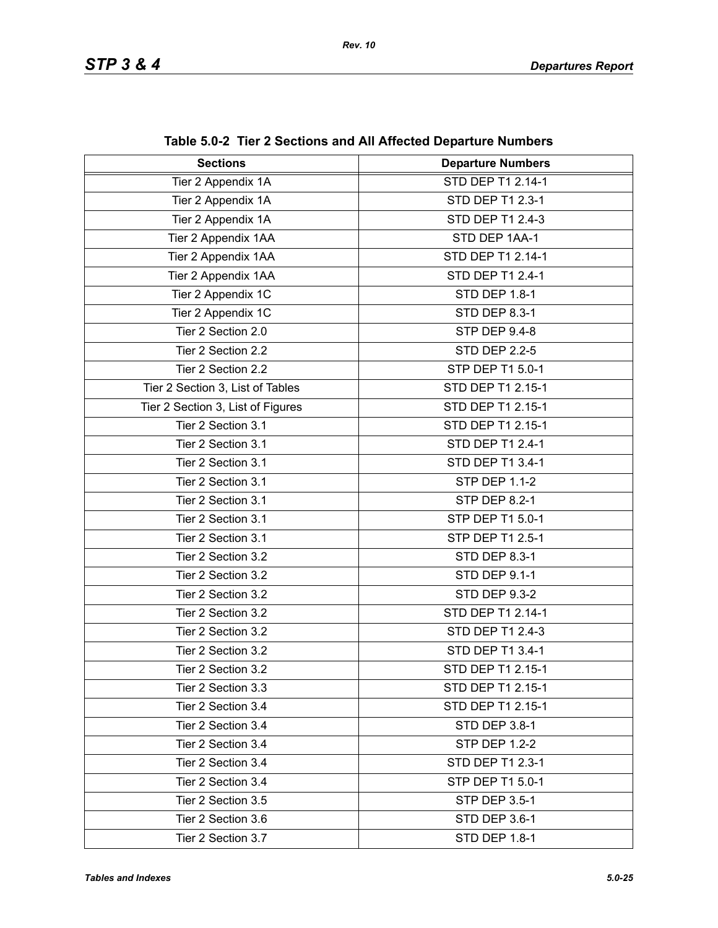| <b>Sections</b>                   | . ,  , oo Dopu. .u. ouo.<br><b>Departure Numbers</b> |
|-----------------------------------|------------------------------------------------------|
| Tier 2 Appendix 1A                | STD DEP T1 2.14-1                                    |
| Tier 2 Appendix 1A                | STD DEP T1 2.3-1                                     |
| Tier 2 Appendix 1A                | STD DEP T1 2.4-3                                     |
| Tier 2 Appendix 1AA               | STD DEP 1AA-1                                        |
| Tier 2 Appendix 1AA               | STD DEP T1 2.14-1                                    |
| Tier 2 Appendix 1AA               | STD DEP T1 2.4-1                                     |
| Tier 2 Appendix 1C                | STD DEP 1.8-1                                        |
| Tier 2 Appendix 1C                | STD DEP 8.3-1                                        |
| Tier 2 Section 2.0                | <b>STP DEP 9.4-8</b>                                 |
| Tier 2 Section 2.2                | <b>STD DEP 2.2-5</b>                                 |
| Tier 2 Section 2.2                | STP DEP T1 5.0-1                                     |
| Tier 2 Section 3, List of Tables  | STD DEP T1 2.15-1                                    |
| Tier 2 Section 3, List of Figures | STD DEP T1 2.15-1                                    |
| Tier 2 Section 3.1                | STD DEP T1 2.15-1                                    |
| Tier 2 Section 3.1                | STD DEP T1 2.4-1                                     |
| Tier 2 Section 3.1                | STD DEP T1 3.4-1                                     |
| Tier 2 Section 3.1                | <b>STP DEP 1.1-2</b>                                 |
| Tier 2 Section 3.1                | <b>STP DEP 8.2-1</b>                                 |
| Tier 2 Section 3.1                | STP DEP T1 5.0-1                                     |
| Tier 2 Section 3.1                | STP DEP T1 2.5-1                                     |
| Tier 2 Section 3.2                | STD DEP 8.3-1                                        |
| Tier 2 Section 3.2                | STD DEP 9.1-1                                        |
| Tier 2 Section 3.2                | <b>STD DEP 9.3-2</b>                                 |
| Tier 2 Section 3.2                | STD DEP T1 2.14-1                                    |
| Tier 2 Section 3.2                | STD DEP T1 2.4-3                                     |
| Tier 2 Section 3.2                | STD DEP T1 3.4-1                                     |
| Tier 2 Section 3.2                | STD DEP T1 2.15-1                                    |
| Tier 2 Section 3.3                | STD DEP T1 2.15-1                                    |
| Tier 2 Section 3.4                | STD DEP T1 2.15-1                                    |
| Tier 2 Section 3.4                | STD DEP 3.8-1                                        |
| Tier 2 Section 3.4                | <b>STP DEP 1.2-2</b>                                 |
| Tier 2 Section 3.4                | STD DEP T1 2.3-1                                     |
| Tier 2 Section 3.4                | STP DEP T1 5.0-1                                     |
| Tier 2 Section 3.5                | <b>STP DEP 3.5-1</b>                                 |
| Tier 2 Section 3.6                | STD DEP 3.6-1                                        |
| Tier 2 Section 3.7                | STD DEP 1.8-1                                        |

**Table 5.0-2 Tier 2 Sections and All Affected Departure Numbers**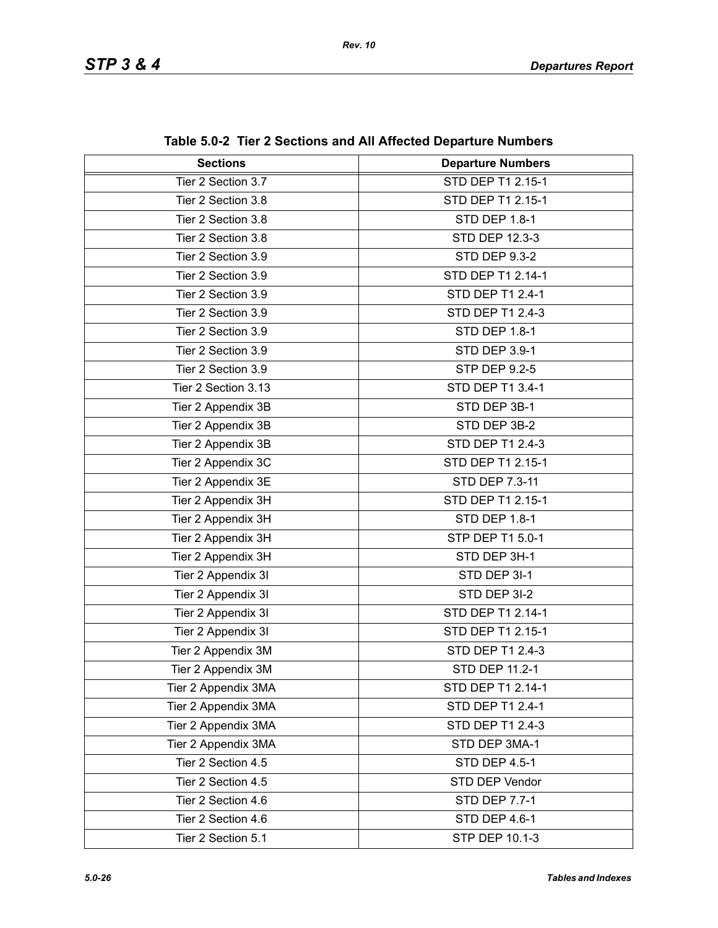| <b>Sections</b>     | <b>Departure Numbers</b> |
|---------------------|--------------------------|
| Tier 2 Section 3.7  | STD DEP T1 2.15-1        |
| Tier 2 Section 3.8  | STD DEP T1 2.15-1        |
| Tier 2 Section 3.8  | STD DEP 1.8-1            |
| Tier 2 Section 3.8  | STD DEP 12.3-3           |
| Tier 2 Section 3.9  | <b>STD DEP 9.3-2</b>     |
| Tier 2 Section 3.9  | STD DEP T1 2.14-1        |
| Tier 2 Section 3.9  | STD DEP T1 2.4-1         |
| Tier 2 Section 3.9  | STD DEP T1 2.4-3         |
| Tier 2 Section 3.9  | <b>STD DEP 1.8-1</b>     |
| Tier 2 Section 3.9  | STD DEP 3.9-1            |
| Tier 2 Section 3.9  | <b>STP DEP 9.2-5</b>     |
| Tier 2 Section 3.13 | STD DEP T1 3.4-1         |
| Tier 2 Appendix 3B  | STD DEP 3B-1             |
| Tier 2 Appendix 3B  | STD DEP 3B-2             |
| Tier 2 Appendix 3B  | STD DEP T1 2.4-3         |
| Tier 2 Appendix 3C  | STD DEP T1 2.15-1        |
| Tier 2 Appendix 3E  | STD DEP 7.3-11           |
| Tier 2 Appendix 3H  | STD DEP T1 2.15-1        |
| Tier 2 Appendix 3H  | STD DEP 1.8-1            |
| Tier 2 Appendix 3H  | STP DEP T1 5.0-1         |
| Tier 2 Appendix 3H  | STD DEP 3H-1             |
| Tier 2 Appendix 3I  | STD DEP 3I-1             |
| Tier 2 Appendix 3I  | STD DEP 3I-2             |
| Tier 2 Appendix 3I  | STD DEP T1 2.14-1        |
| Tier 2 Appendix 3I  | STD DEP T1 2.15-1        |
| Tier 2 Appendix 3M  | STD DEP T1 2.4-3         |
| Tier 2 Appendix 3M  | STD DEP 11.2-1           |
| Tier 2 Appendix 3MA | STD DEP T1 2.14-1        |
| Tier 2 Appendix 3MA | STD DEP T1 2.4-1         |
| Tier 2 Appendix 3MA | STD DEP T1 2.4-3         |
| Tier 2 Appendix 3MA | STD DEP 3MA-1            |
| Tier 2 Section 4.5  | STD DEP 4.5-1            |
| Tier 2 Section 4.5  | STD DEP Vendor           |
| Tier 2 Section 4.6  | <b>STD DEP 7.7-1</b>     |
| Tier 2 Section 4.6  | STD DEP 4.6-1            |
| Tier 2 Section 5.1  | STP DEP 10.1-3           |

| Table 5.0-2 Tier 2 Sections and All Affected Departure Numbers |  |
|----------------------------------------------------------------|--|
|----------------------------------------------------------------|--|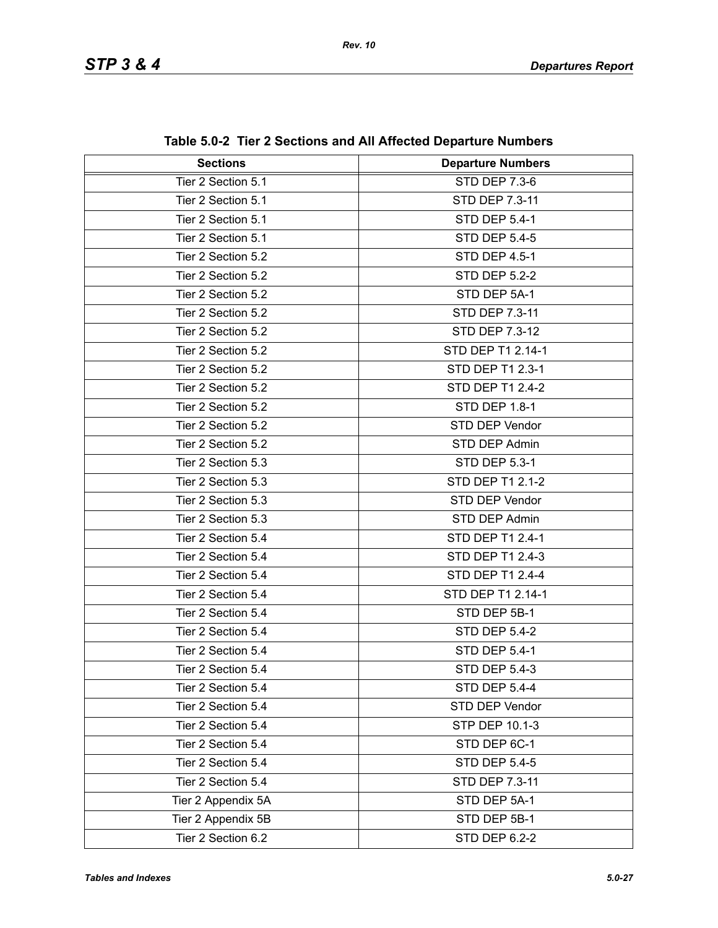| <b>Sections</b>    | adio 0.02 Troi 2 Occupiis and An Ancolou Departare Nambers<br><b>Departure Numbers</b> |
|--------------------|----------------------------------------------------------------------------------------|
| Tier 2 Section 5.1 | STD DEP 7.3-6                                                                          |
| Tier 2 Section 5.1 | STD DEP 7.3-11                                                                         |
| Tier 2 Section 5.1 |                                                                                        |
|                    | <b>STD DEP 5.4-1</b>                                                                   |
| Tier 2 Section 5.1 | <b>STD DEP 5.4-5</b>                                                                   |
| Tier 2 Section 5.2 | <b>STD DEP 4.5-1</b>                                                                   |
| Tier 2 Section 5.2 | <b>STD DEP 5.2-2</b>                                                                   |
| Tier 2 Section 5.2 | STD DEP 5A-1                                                                           |
| Tier 2 Section 5.2 | STD DEP 7.3-11                                                                         |
| Tier 2 Section 5.2 | STD DEP 7.3-12                                                                         |
| Tier 2 Section 5.2 | STD DEP T1 2.14-1                                                                      |
| Tier 2 Section 5.2 | STD DEP T1 2.3-1                                                                       |
| Tier 2 Section 5.2 | STD DEP T1 2.4-2                                                                       |
| Tier 2 Section 5.2 | <b>STD DEP 1.8-1</b>                                                                   |
| Tier 2 Section 5.2 | STD DEP Vendor                                                                         |
| Tier 2 Section 5.2 | STD DEP Admin                                                                          |
| Tier 2 Section 5.3 | STD DEP 5.3-1                                                                          |
| Tier 2 Section 5.3 | <b>STD DEP T1 2.1-2</b>                                                                |
| Tier 2 Section 5.3 | STD DEP Vendor                                                                         |
| Tier 2 Section 5.3 | STD DEP Admin                                                                          |
| Tier 2 Section 5.4 | STD DEP T1 2.4-1                                                                       |
| Tier 2 Section 5.4 | STD DEP T1 2.4-3                                                                       |
| Tier 2 Section 5.4 | STD DEP T1 2.4-4                                                                       |
| Tier 2 Section 5.4 | STD DEP T1 2.14-1                                                                      |
| Tier 2 Section 5.4 | STD DEP 5B-1                                                                           |
| Tier 2 Section 5.4 | <b>STD DEP 5.4-2</b>                                                                   |
| Tier 2 Section 5.4 | <b>STD DEP 5.4-1</b>                                                                   |
| Tier 2 Section 5.4 | <b>STD DEP 5.4-3</b>                                                                   |
| Tier 2 Section 5.4 | <b>STD DEP 5.4-4</b>                                                                   |
| Tier 2 Section 5.4 | STD DEP Vendor                                                                         |
| Tier 2 Section 5.4 | STP DEP 10.1-3                                                                         |
| Tier 2 Section 5.4 | STD DEP 6C-1                                                                           |
| Tier 2 Section 5.4 | <b>STD DEP 5.4-5</b>                                                                   |
| Tier 2 Section 5.4 | STD DEP 7.3-11                                                                         |
| Tier 2 Appendix 5A | STD DEP 5A-1                                                                           |
| Tier 2 Appendix 5B | STD DEP 5B-1                                                                           |
| Tier 2 Section 6.2 | <b>STD DEP 6.2-2</b>                                                                   |

**Table 5.0-2 Tier 2 Sections and All Affected Departure Numbers**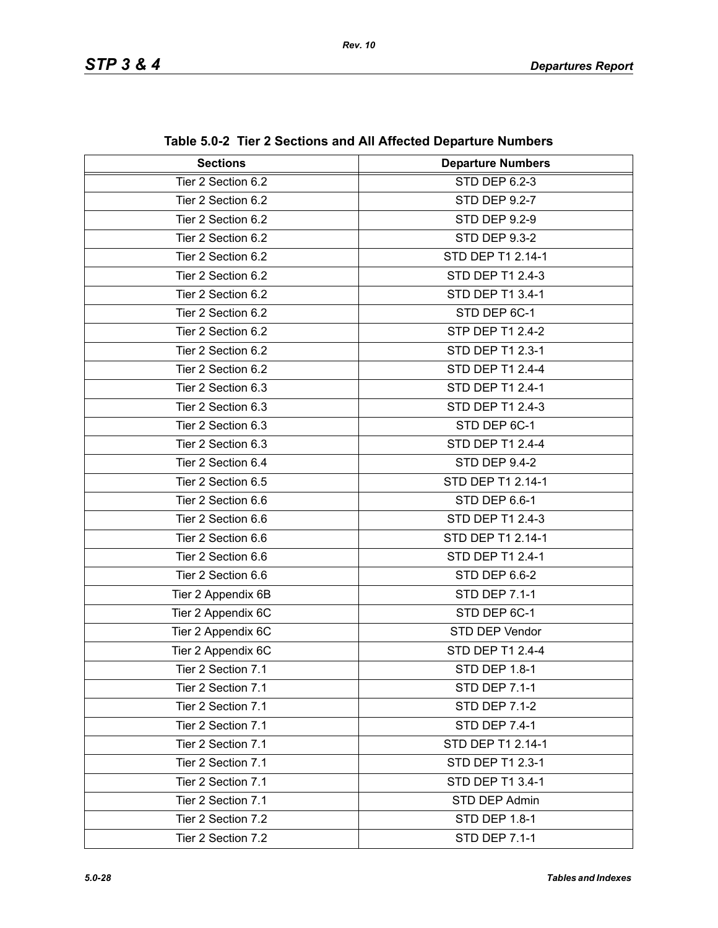| <b>Sections</b>    | <b>Departure Numbers</b> |
|--------------------|--------------------------|
| Tier 2 Section 6.2 | STD DEP 6.2-3            |
| Tier 2 Section 6.2 | <b>STD DEP 9.2-7</b>     |
| Tier 2 Section 6.2 | <b>STD DEP 9.2-9</b>     |
| Tier 2 Section 6.2 | <b>STD DEP 9.3-2</b>     |
| Tier 2 Section 6.2 | STD DEP T1 2.14-1        |
| Tier 2 Section 6.2 | STD DEP T1 2.4-3         |
|                    |                          |
| Tier 2 Section 6.2 | STD DEP T1 3.4-1         |
| Tier 2 Section 6.2 | STD DEP 6C-1             |
| Tier 2 Section 6.2 | STP DEP T1 2.4-2         |
| Tier 2 Section 6.2 | STD DEP T1 2.3-1         |
| Tier 2 Section 6.2 | <b>STD DEP T1 2.4-4</b>  |
| Tier 2 Section 6.3 | STD DEP T1 2.4-1         |
| Tier 2 Section 6.3 | STD DEP T1 2.4-3         |
| Tier 2 Section 6.3 | STD DEP 6C-1             |
| Tier 2 Section 6.3 | STD DEP T1 2.4-4         |
| Tier 2 Section 6.4 | <b>STD DEP 9.4-2</b>     |
| Tier 2 Section 6.5 | STD DEP T1 2.14-1        |
| Tier 2 Section 6.6 | STD DEP 6.6-1            |
| Tier 2 Section 6.6 | STD DEP T1 2.4-3         |
| Tier 2 Section 6.6 | STD DEP T1 2.14-1        |
| Tier 2 Section 6.6 | STD DEP T1 2.4-1         |
| Tier 2 Section 6.6 | STD DEP 6.6-2            |
| Tier 2 Appendix 6B | <b>STD DEP 7.1-1</b>     |
| Tier 2 Appendix 6C | STD DEP 6C-1             |
| Tier 2 Appendix 6C | STD DEP Vendor           |
| Tier 2 Appendix 6C | STD DEP T1 2.4-4         |
| Tier 2 Section 7.1 | STD DEP 1.8-1            |
| Tier 2 Section 7.1 | STD DEP 7.1-1            |
| Tier 2 Section 7.1 | <b>STD DEP 7.1-2</b>     |
| Tier 2 Section 7.1 | <b>STD DEP 7.4-1</b>     |
| Tier 2 Section 7.1 | STD DEP T1 2.14-1        |
| Tier 2 Section 7.1 | STD DEP T1 2.3-1         |
| Tier 2 Section 7.1 | STD DEP T1 3.4-1         |
| Tier 2 Section 7.1 | STD DEP Admin            |
| Tier 2 Section 7.2 | <b>STD DEP 1.8-1</b>     |
| Tier 2 Section 7.2 | <b>STD DEP 7.1-1</b>     |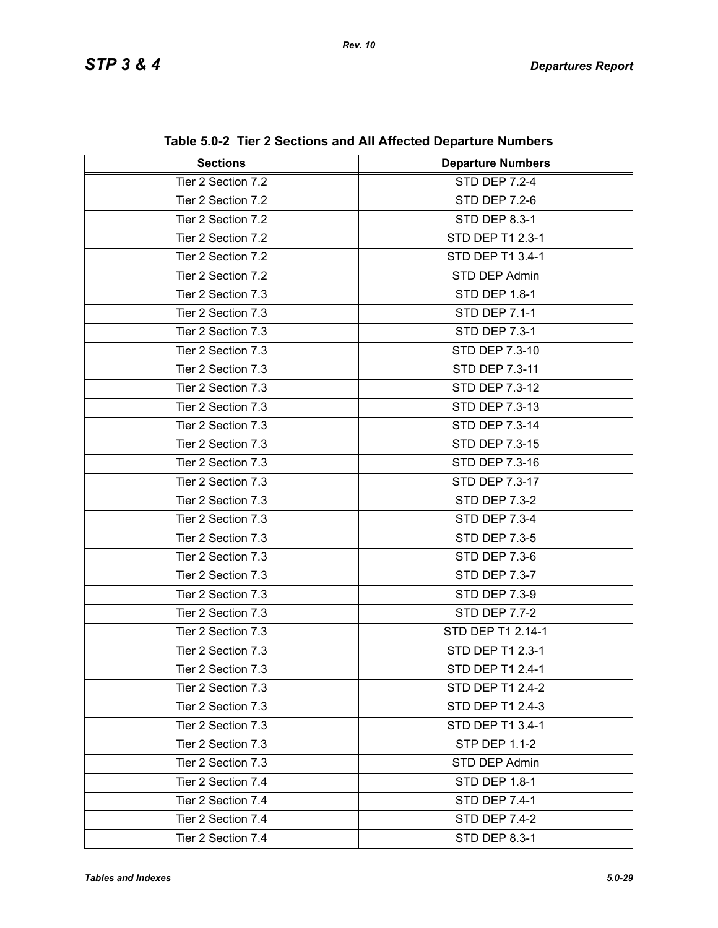| <b>Sections</b>    | <b>Departure Numbers</b> |
|--------------------|--------------------------|
| Tier 2 Section 7.2 | <b>STD DEP 7.2-4</b>     |
| Tier 2 Section 7.2 | <b>STD DEP 7.2-6</b>     |
| Tier 2 Section 7.2 | <b>STD DEP 8.3-1</b>     |
| Tier 2 Section 7.2 | STD DEP T1 2.3-1         |
| Tier 2 Section 7.2 | STD DEP T1 3.4-1         |
| Tier 2 Section 7.2 | STD DEP Admin            |
| Tier 2 Section 7.3 | <b>STD DEP 1.8-1</b>     |
| Tier 2 Section 7.3 | <b>STD DEP 7.1-1</b>     |
| Tier 2 Section 7.3 | <b>STD DEP 7.3-1</b>     |
| Tier 2 Section 7.3 | STD DEP 7.3-10           |
| Tier 2 Section 7.3 | STD DEP 7.3-11           |
| Tier 2 Section 7.3 | STD DEP 7.3-12           |
| Tier 2 Section 7.3 | STD DEP 7.3-13           |
| Tier 2 Section 7.3 | STD DEP 7.3-14           |
| Tier 2 Section 7.3 | STD DEP 7.3-15           |
| Tier 2 Section 7.3 | STD DEP 7.3-16           |
| Tier 2 Section 7.3 | STD DEP 7.3-17           |
| Tier 2 Section 7.3 | <b>STD DEP 7.3-2</b>     |
| Tier 2 Section 7.3 | <b>STD DEP 7.3-4</b>     |
| Tier 2 Section 7.3 | <b>STD DEP 7.3-5</b>     |
| Tier 2 Section 7.3 | <b>STD DEP 7.3-6</b>     |
| Tier 2 Section 7.3 | <b>STD DEP 7.3-7</b>     |
| Tier 2 Section 7.3 | <b>STD DEP 7.3-9</b>     |
| Tier 2 Section 7.3 | <b>STD DEP 7.7-2</b>     |
| Tier 2 Section 7.3 | STD DEP T1 2.14-1        |
| Tier 2 Section 7.3 | STD DEP T1 2.3-1         |
| Tier 2 Section 7.3 | STD DEP T1 2.4-1         |
| Tier 2 Section 7.3 | STD DEP T1 2.4-2         |
| Tier 2 Section 7.3 | STD DEP T1 2.4-3         |
| Tier 2 Section 7.3 | STD DEP T1 3.4-1         |
| Tier 2 Section 7.3 | <b>STP DEP 1.1-2</b>     |
| Tier 2 Section 7.3 | STD DEP Admin            |
| Tier 2 Section 7.4 | <b>STD DEP 1.8-1</b>     |
| Tier 2 Section 7.4 | <b>STD DEP 7.4-1</b>     |
| Tier 2 Section 7.4 | <b>STD DEP 7.4-2</b>     |
| Tier 2 Section 7.4 | STD DEP 8.3-1            |

**Table 5.0-2 Tier 2 Sections and All Affected Departure Numbers**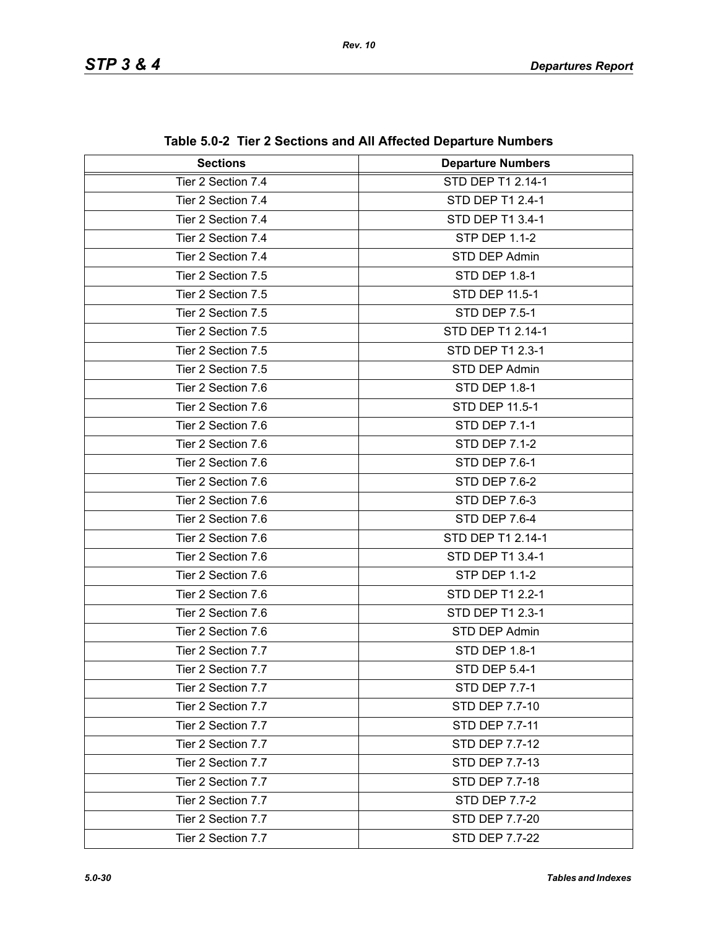| <b>Sections</b>    | <b>Departure Numbers</b> |
|--------------------|--------------------------|
| Tier 2 Section 7.4 | STD DEP T1 2.14-1        |
| Tier 2 Section 7.4 | STD DEP T1 2.4-1         |
| Tier 2 Section 7.4 | STD DEP T1 3.4-1         |
| Tier 2 Section 7.4 | <b>STP DEP 1.1-2</b>     |
| Tier 2 Section 7.4 | STD DEP Admin            |
| Tier 2 Section 7.5 | <b>STD DEP 1.8-1</b>     |
| Tier 2 Section 7.5 | STD DEP 11.5-1           |
| Tier 2 Section 7.5 | <b>STD DEP 7.5-1</b>     |
| Tier 2 Section 7.5 | STD DEP T1 2.14-1        |
| Tier 2 Section 7.5 | STD DEP T1 2.3-1         |
| Tier 2 Section 7.5 | STD DEP Admin            |
| Tier 2 Section 7.6 | <b>STD DEP 1.8-1</b>     |
| Tier 2 Section 7.6 | STD DEP 11.5-1           |
| Tier 2 Section 7.6 | <b>STD DEP 7.1-1</b>     |
| Tier 2 Section 7.6 | <b>STD DEP 7.1-2</b>     |
| Tier 2 Section 7.6 | <b>STD DEP 7.6-1</b>     |
| Tier 2 Section 7.6 | <b>STD DEP 7.6-2</b>     |
| Tier 2 Section 7.6 | STD DEP 7.6-3            |
| Tier 2 Section 7.6 | STD DEP 7.6-4            |
| Tier 2 Section 7.6 | STD DEP T1 2.14-1        |
| Tier 2 Section 7.6 | STD DEP T1 3.4-1         |
| Tier 2 Section 7.6 | <b>STP DEP 1.1-2</b>     |
| Tier 2 Section 7.6 | STD DEP T1 2.2-1         |
| Tier 2 Section 7.6 | STD DEP T1 2.3-1         |
| Tier 2 Section 7.6 | STD DEP Admin            |
| Tier 2 Section 7.7 | <b>STD DEP 1.8-1</b>     |
| Tier 2 Section 7.7 | STD DEP 5.4-1            |
| Tier 2 Section 7.7 | <b>STD DEP 7.7-1</b>     |
| Tier 2 Section 7.7 | STD DEP 7.7-10           |
| Tier 2 Section 7.7 | STD DEP 7.7-11           |
| Tier 2 Section 7.7 | STD DEP 7.7-12           |
| Tier 2 Section 7.7 | STD DEP 7.7-13           |
| Tier 2 Section 7.7 | STD DEP 7.7-18           |
| Tier 2 Section 7.7 | <b>STD DEP 7.7-2</b>     |
| Tier 2 Section 7.7 | STD DEP 7.7-20           |
| Tier 2 Section 7.7 | STD DEP 7.7-22           |

**Table 5.0-2 Tier 2 Sections and All Affected Departure Numbers**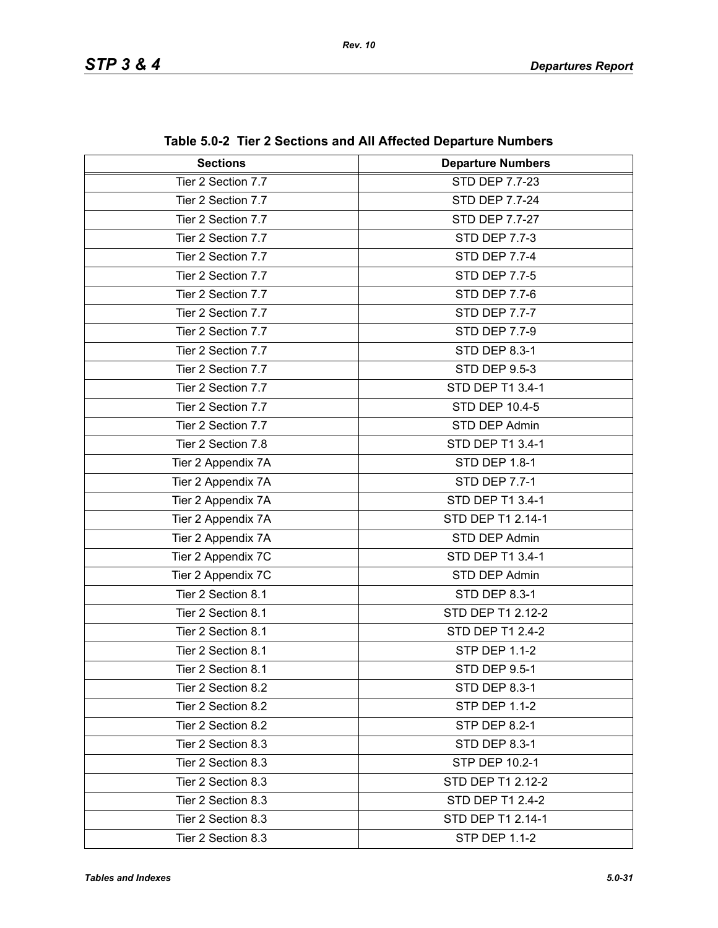| <b>Sections</b>    | <b>Departure Numbers</b> |
|--------------------|--------------------------|
| Tier 2 Section 7.7 | STD DEP 7.7-23           |
| Tier 2 Section 7.7 | <b>STD DEP 7.7-24</b>    |
| Tier 2 Section 7.7 | <b>STD DEP 7.7-27</b>    |
| Tier 2 Section 7.7 | <b>STD DEP 7.7-3</b>     |
| Tier 2 Section 7.7 | <b>STD DEP 7.7-4</b>     |
| Tier 2 Section 7.7 | <b>STD DEP 7.7-5</b>     |
| Tier 2 Section 7.7 | <b>STD DEP 7.7-6</b>     |
| Tier 2 Section 7.7 | <b>STD DEP 7.7-7</b>     |
| Tier 2 Section 7.7 | <b>STD DEP 7.7-9</b>     |
| Tier 2 Section 7.7 | STD DEP 8.3-1            |
| Tier 2 Section 7.7 | <b>STD DEP 9.5-3</b>     |
| Tier 2 Section 7.7 | STD DEP T1 3.4-1         |
| Tier 2 Section 7.7 | <b>STD DEP 10.4-5</b>    |
| Tier 2 Section 7.7 | STD DEP Admin            |
| Tier 2 Section 7.8 | STD DEP T1 3.4-1         |
| Tier 2 Appendix 7A | STD DEP 1.8-1            |
| Tier 2 Appendix 7A | <b>STD DEP 7.7-1</b>     |
| Tier 2 Appendix 7A | STD DEP T1 3.4-1         |
| Tier 2 Appendix 7A | STD DEP T1 2.14-1        |
| Tier 2 Appendix 7A | STD DEP Admin            |
| Tier 2 Appendix 7C | STD DEP T1 3.4-1         |
| Tier 2 Appendix 7C | STD DEP Admin            |
| Tier 2 Section 8.1 | STD DEP 8.3-1            |
| Tier 2 Section 8.1 | STD DEP T1 2.12-2        |
| Tier 2 Section 8.1 | STD DEP T1 2.4-2         |
| Tier 2 Section 8.1 | <b>STP DEP 1.1-2</b>     |
| Tier 2 Section 8.1 | STD DEP 9.5-1            |
| Tier 2 Section 8.2 | STD DEP 8.3-1            |
| Tier 2 Section 8.2 | <b>STP DEP 1.1-2</b>     |
| Tier 2 Section 8.2 | <b>STP DEP 8.2-1</b>     |
| Tier 2 Section 8.3 | STD DEP 8.3-1            |
| Tier 2 Section 8.3 | STP DEP 10.2-1           |
| Tier 2 Section 8.3 | STD DEP T1 2.12-2        |
| Tier 2 Section 8.3 | STD DEP T1 2.4-2         |
| Tier 2 Section 8.3 | STD DEP T1 2.14-1        |
| Tier 2 Section 8.3 | <b>STP DEP 1.1-2</b>     |

**Table 5.0-2 Tier 2 Sections and All Affected Departure Numbers**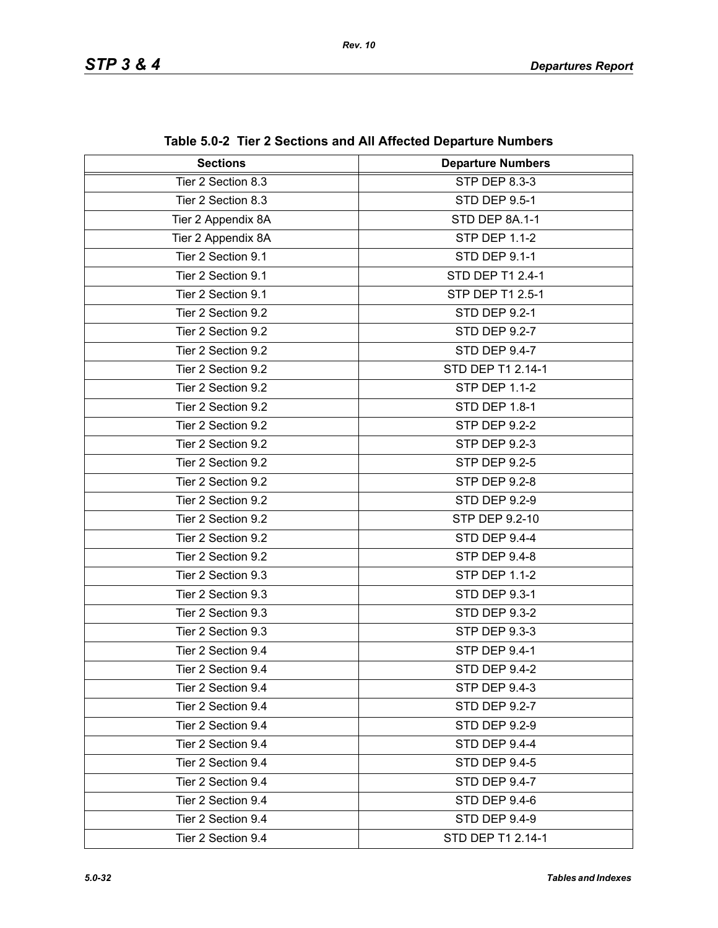| <b>Sections</b>    | <b>Departure Numbers</b> |  |
|--------------------|--------------------------|--|
| Tier 2 Section 8.3 | STP DEP 8.3-3            |  |
| Tier 2 Section 8.3 | <b>STD DEP 9.5-1</b>     |  |
| Tier 2 Appendix 8A | STD DEP 8A.1-1           |  |
| Tier 2 Appendix 8A | <b>STP DEP 1.1-2</b>     |  |
| Tier 2 Section 9.1 | STD DEP 9.1-1            |  |
| Tier 2 Section 9.1 | STD DEP T1 2.4-1         |  |
| Tier 2 Section 9.1 | STP DEP T1 2.5-1         |  |
| Tier 2 Section 9.2 | <b>STD DEP 9.2-1</b>     |  |
| Tier 2 Section 9.2 | <b>STD DEP 9.2-7</b>     |  |
| Tier 2 Section 9.2 | STD DEP 9.4-7            |  |
| Tier 2 Section 9.2 | STD DEP T1 2.14-1        |  |
| Tier 2 Section 9.2 | <b>STP DEP 1.1-2</b>     |  |
| Tier 2 Section 9.2 | <b>STD DEP 1.8-1</b>     |  |
| Tier 2 Section 9.2 | <b>STP DEP 9.2-2</b>     |  |
| Tier 2 Section 9.2 | STP DEP 9.2-3            |  |
| Tier 2 Section 9.2 | <b>STP DEP 9.2-5</b>     |  |
| Tier 2 Section 9.2 | <b>STP DEP 9.2-8</b>     |  |
| Tier 2 Section 9.2 | <b>STD DEP 9.2-9</b>     |  |
| Tier 2 Section 9.2 | STP DEP 9.2-10           |  |
| Tier 2 Section 9.2 | STD DEP 9.4-4            |  |
| Tier 2 Section 9.2 | <b>STP DEP 9.4-8</b>     |  |
| Tier 2 Section 9.3 | <b>STP DEP 1.1-2</b>     |  |
| Tier 2 Section 9.3 | STD DEP 9.3-1            |  |
| Tier 2 Section 9.3 | <b>STD DEP 9.3-2</b>     |  |
| Tier 2 Section 9.3 | STP DEP 9.3-3            |  |
| Tier 2 Section 9.4 | STP DEP 9.4-1            |  |
| Tier 2 Section 9.4 | <b>STD DEP 9.4-2</b>     |  |
| Tier 2 Section 9.4 | STP DEP 9.4-3            |  |
| Tier 2 Section 9.4 | <b>STD DEP 9.2-7</b>     |  |
| Tier 2 Section 9.4 | <b>STD DEP 9.2-9</b>     |  |
| Tier 2 Section 9.4 | STD DEP 9.4-4            |  |
| Tier 2 Section 9.4 | <b>STD DEP 9.4-5</b>     |  |
| Tier 2 Section 9.4 | <b>STD DEP 9.4-7</b>     |  |
| Tier 2 Section 9.4 | STD DEP 9.4-6            |  |
| Tier 2 Section 9.4 | <b>STD DEP 9.4-9</b>     |  |
| Tier 2 Section 9.4 | STD DEP T1 2.14-1        |  |

**Table 5.0-2 Tier 2 Sections and All Affected Departure Numbers**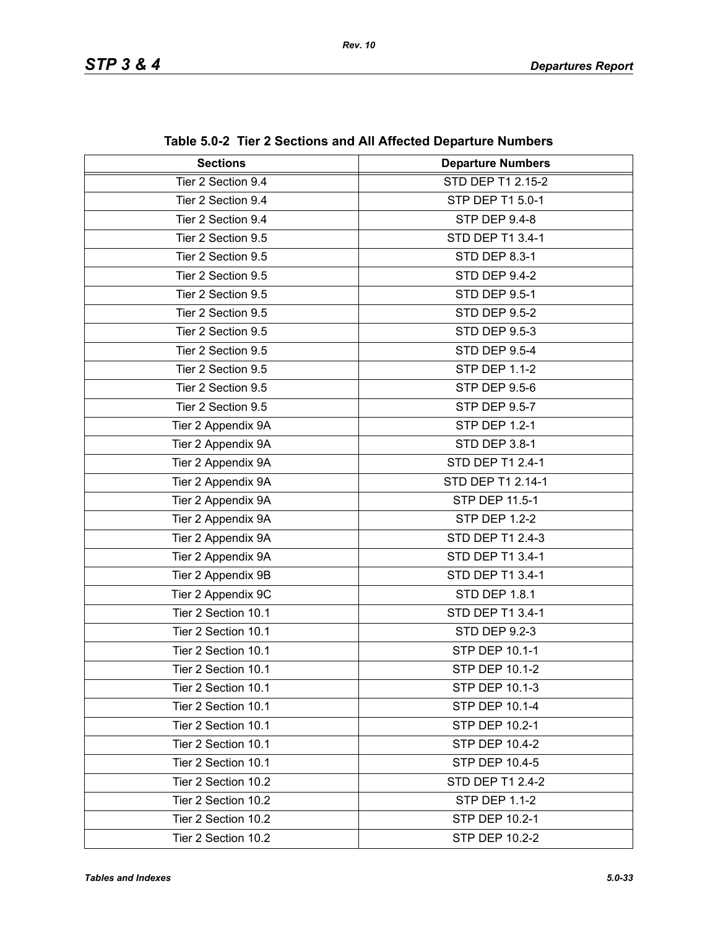| <b>Sections</b>     | $\frac{1}{2}$ and $\frac{1}{2}$ and $\frac{1}{2}$ and $\frac{1}{2}$ and $\frac{1}{2}$ and $\frac{1}{2}$ are paired in the manner of<br><b>Departure Numbers</b> |  |
|---------------------|-----------------------------------------------------------------------------------------------------------------------------------------------------------------|--|
| Tier 2 Section 9.4  | <b>STD DEP T1 2.15-2</b>                                                                                                                                        |  |
| Tier 2 Section 9.4  | STP DEP T1 5.0-1                                                                                                                                                |  |
| Tier 2 Section 9.4  | STP DEP 9.4-8                                                                                                                                                   |  |
| Tier 2 Section 9.5  | STD DEP T1 3.4-1                                                                                                                                                |  |
| Tier 2 Section 9.5  | <b>STD DEP 8.3-1</b>                                                                                                                                            |  |
| Tier 2 Section 9.5  | STD DEP 9.4-2                                                                                                                                                   |  |
| Tier 2 Section 9.5  | <b>STD DEP 9.5-1</b>                                                                                                                                            |  |
| Tier 2 Section 9.5  | <b>STD DEP 9.5-2</b>                                                                                                                                            |  |
| Tier 2 Section 9.5  | <b>STD DEP 9.5-3</b>                                                                                                                                            |  |
| Tier 2 Section 9.5  | <b>STD DEP 9.5-4</b>                                                                                                                                            |  |
| Tier 2 Section 9.5  | <b>STP DEP 1.1-2</b>                                                                                                                                            |  |
| Tier 2 Section 9.5  | <b>STP DEP 9.5-6</b>                                                                                                                                            |  |
| Tier 2 Section 9.5  | <b>STP DEP 9.5-7</b>                                                                                                                                            |  |
|                     |                                                                                                                                                                 |  |
| Tier 2 Appendix 9A  | STP DEP 1.2-1                                                                                                                                                   |  |
| Tier 2 Appendix 9A  | STD DEP 3.8-1                                                                                                                                                   |  |
| Tier 2 Appendix 9A  | STD DEP T1 2.4-1                                                                                                                                                |  |
| Tier 2 Appendix 9A  | STD DEP T1 2.14-1                                                                                                                                               |  |
| Tier 2 Appendix 9A  | STP DEP 11.5-1                                                                                                                                                  |  |
| Tier 2 Appendix 9A  | <b>STP DEP 1.2-2</b>                                                                                                                                            |  |
| Tier 2 Appendix 9A  | STD DEP T1 2.4-3                                                                                                                                                |  |
| Tier 2 Appendix 9A  | STD DEP T1 3.4-1                                                                                                                                                |  |
| Tier 2 Appendix 9B  | STD DEP T1 3.4-1                                                                                                                                                |  |
| Tier 2 Appendix 9C  | <b>STD DEP 1.8.1</b>                                                                                                                                            |  |
| Tier 2 Section 10.1 | STD DEP T1 3.4-1                                                                                                                                                |  |
| Tier 2 Section 10.1 | STD DEP 9.2-3                                                                                                                                                   |  |
| Tier 2 Section 10.1 | <b>STP DEP 10.1-1</b>                                                                                                                                           |  |
| Tier 2 Section 10.1 | STP DEP 10.1-2                                                                                                                                                  |  |
| Tier 2 Section 10.1 | STP DEP 10.1-3                                                                                                                                                  |  |
| Tier 2 Section 10.1 | STP DEP 10.1-4                                                                                                                                                  |  |
| Tier 2 Section 10.1 | STP DEP 10.2-1                                                                                                                                                  |  |
| Tier 2 Section 10.1 | <b>STP DEP 10.4-2</b>                                                                                                                                           |  |
| Tier 2 Section 10.1 | STP DEP 10.4-5                                                                                                                                                  |  |
| Tier 2 Section 10.2 | STD DEP T1 2.4-2                                                                                                                                                |  |
| Tier 2 Section 10.2 | <b>STP DEP 1.1-2</b>                                                                                                                                            |  |
| Tier 2 Section 10.2 | STP DEP 10.2-1                                                                                                                                                  |  |
| Tier 2 Section 10.2 | STP DEP 10.2-2                                                                                                                                                  |  |

**Table 5.0-2 Tier 2 Sections and All Affected Departure Numbers**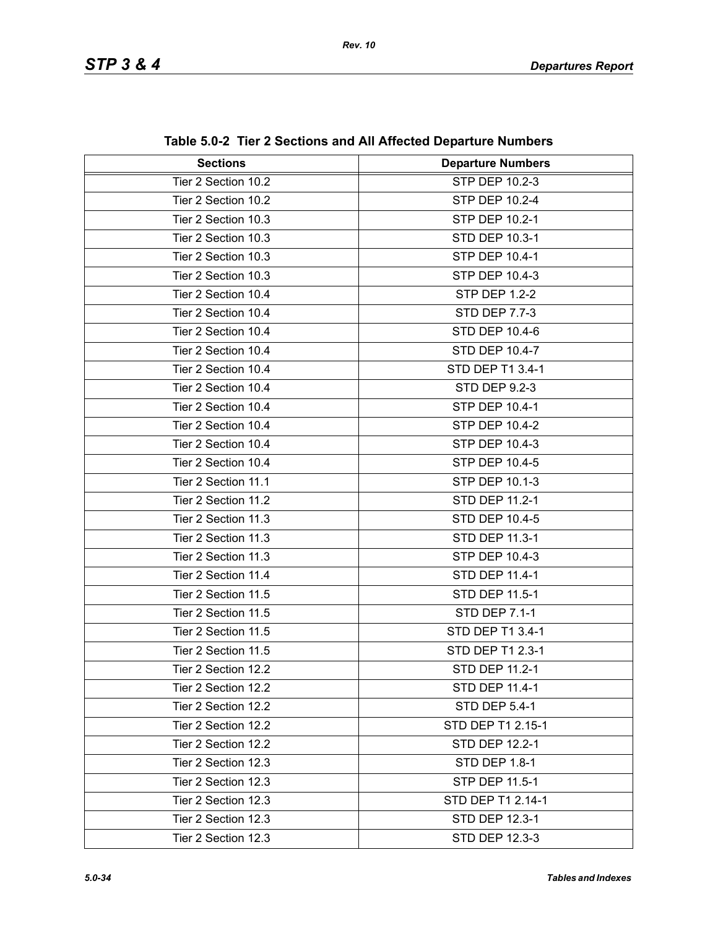| <b>Sections</b>     | <b>Departure Numbers</b> |  |
|---------------------|--------------------------|--|
| Tier 2 Section 10.2 | STP DEP 10.2-3           |  |
| Tier 2 Section 10.2 | STP DEP 10.2-4           |  |
| Tier 2 Section 10.3 | STP DEP 10.2-1           |  |
| Tier 2 Section 10.3 | STD DEP 10.3-1           |  |
| Tier 2 Section 10.3 | STP DEP 10.4-1           |  |
| Tier 2 Section 10.3 | STP DEP 10.4-3           |  |
| Tier 2 Section 10.4 | <b>STP DEP 1.2-2</b>     |  |
| Tier 2 Section 10.4 | <b>STD DEP 7.7-3</b>     |  |
| Tier 2 Section 10.4 | <b>STD DEP 10.4-6</b>    |  |
| Tier 2 Section 10.4 | STD DEP 10.4-7           |  |
| Tier 2 Section 10.4 | STD DEP T1 3.4-1         |  |
| Tier 2 Section 10.4 | <b>STD DEP 9.2-3</b>     |  |
| Tier 2 Section 10.4 | STP DEP 10.4-1           |  |
| Tier 2 Section 10.4 | STP DEP 10.4-2           |  |
| Tier 2 Section 10.4 | STP DEP 10.4-3           |  |
| Tier 2 Section 10.4 | STP DEP 10.4-5           |  |
| Tier 2 Section 11.1 | STP DEP 10.1-3           |  |
| Tier 2 Section 11.2 | STD DEP 11.2-1           |  |
| Tier 2 Section 11.3 | <b>STD DEP 10.4-5</b>    |  |
| Tier 2 Section 11.3 | STD DEP 11.3-1           |  |
| Tier 2 Section 11.3 | STP DEP 10.4-3           |  |
| Tier 2 Section 11.4 | STD DEP 11.4-1           |  |
| Tier 2 Section 11.5 | STD DEP 11.5-1           |  |
| Tier 2 Section 11.5 | STD DEP 7.1-1            |  |
| Tier 2 Section 11.5 | STD DEP T1 3.4-1         |  |
| Tier 2 Section 11.5 | STD DEP T1 2.3-1         |  |
| Tier 2 Section 12.2 | STD DEP 11.2-1           |  |
| Tier 2 Section 12.2 | STD DEP 11.4-1           |  |
| Tier 2 Section 12.2 | <b>STD DEP 5.4-1</b>     |  |
| Tier 2 Section 12.2 | STD DEP T1 2.15-1        |  |
| Tier 2 Section 12.2 | STD DEP 12.2-1           |  |
| Tier 2 Section 12.3 | <b>STD DEP 1.8-1</b>     |  |
| Tier 2 Section 12.3 | STP DEP 11.5-1           |  |
| Tier 2 Section 12.3 | STD DEP T1 2.14-1        |  |
| Tier 2 Section 12.3 | STD DEP 12.3-1           |  |
| Tier 2 Section 12.3 | STD DEP 12.3-3           |  |

**Table 5.0-2 Tier 2 Sections and All Affected Departure Numbers**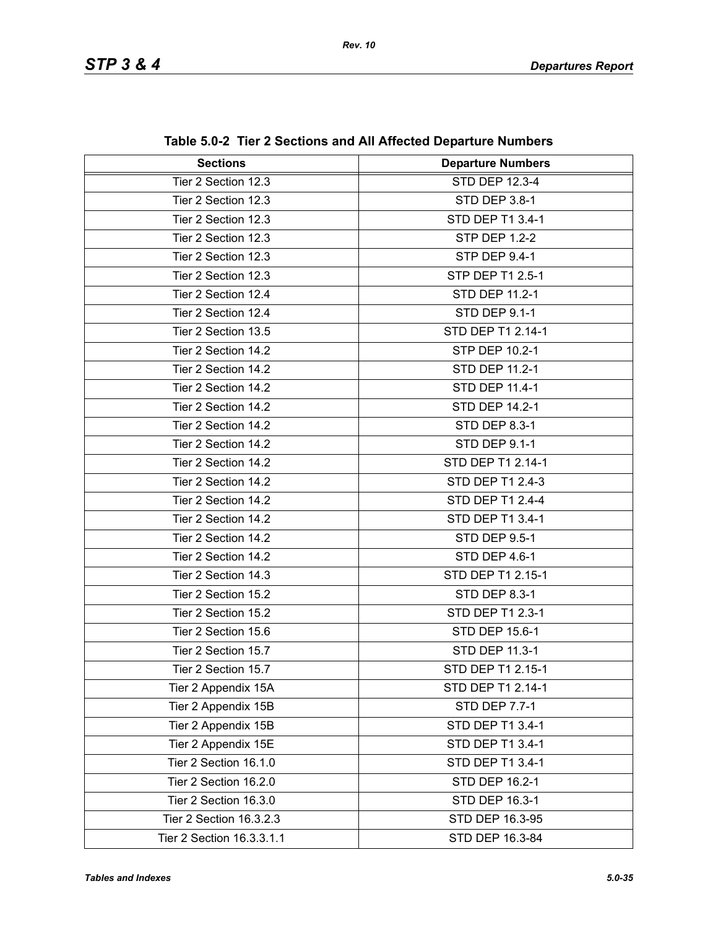| <b>Sections</b>           | <b>Departure Numbers</b> |  |
|---------------------------|--------------------------|--|
| Tier 2 Section 12.3       | STD DEP 12.3-4           |  |
| Tier 2 Section 12.3       | STD DEP 3.8-1            |  |
| Tier 2 Section 12.3       | STD DEP T1 3.4-1         |  |
| Tier 2 Section 12.3       | <b>STP DEP 1.2-2</b>     |  |
| Tier 2 Section 12.3       | STP DEP 9.4-1            |  |
| Tier 2 Section 12.3       | STP DEP T1 2.5-1         |  |
| Tier 2 Section 12.4       | <b>STD DEP 11.2-1</b>    |  |
| Tier 2 Section 12.4       | <b>STD DEP 9.1-1</b>     |  |
| Tier 2 Section 13.5       | STD DEP T1 2.14-1        |  |
| Tier 2 Section 14.2       | STP DEP 10.2-1           |  |
| Tier 2 Section 14.2       | <b>STD DEP 11.2-1</b>    |  |
| Tier 2 Section 14.2       | STD DEP 11.4-1           |  |
| Tier 2 Section 14.2       | <b>STD DEP 14.2-1</b>    |  |
| Tier 2 Section 14.2       | <b>STD DEP 8.3-1</b>     |  |
| Tier 2 Section 14.2       | <b>STD DEP 9.1-1</b>     |  |
| Tier 2 Section 14.2       | STD DEP T1 2.14-1        |  |
| Tier 2 Section 14.2       | STD DEP T1 2.4-3         |  |
| Tier 2 Section 14.2       | STD DEP T1 2.4-4         |  |
| Tier 2 Section 14.2       | STD DEP T1 3.4-1         |  |
| Tier 2 Section 14.2       | <b>STD DEP 9.5-1</b>     |  |
| Tier 2 Section 14.2       | STD DEP 4.6-1            |  |
| Tier 2 Section 14.3       | STD DEP T1 2.15-1        |  |
| Tier 2 Section 15.2       | STD DEP 8.3-1            |  |
| Tier 2 Section 15.2       | STD DEP T1 2.3-1         |  |
| Tier 2 Section 15.6       | <b>STD DEP 15.6-1</b>    |  |
| Tier 2 Section 15.7       | STD DEP 11.3-1           |  |
| Tier 2 Section 15.7       | STD DEP T1 2.15-1        |  |
| Tier 2 Appendix 15A       | STD DEP T1 2.14-1        |  |
| Tier 2 Appendix 15B       | <b>STD DEP 7.7-1</b>     |  |
| Tier 2 Appendix 15B       | STD DEP T1 3.4-1         |  |
| Tier 2 Appendix 15E       | STD DEP T1 3.4-1         |  |
| Tier 2 Section 16.1.0     | STD DEP T1 3.4-1         |  |
| Tier 2 Section 16.2.0     | STD DEP 16.2-1           |  |
| Tier 2 Section 16.3.0     | STD DEP 16.3-1           |  |
| Tier 2 Section 16.3.2.3   | STD DEP 16.3-95          |  |
| Tier 2 Section 16.3.3.1.1 | STD DEP 16.3-84          |  |

|  | Table 5.0-2 Tier 2 Sections and All Affected Departure Numbers |  |  |  |
|--|----------------------------------------------------------------|--|--|--|
|--|----------------------------------------------------------------|--|--|--|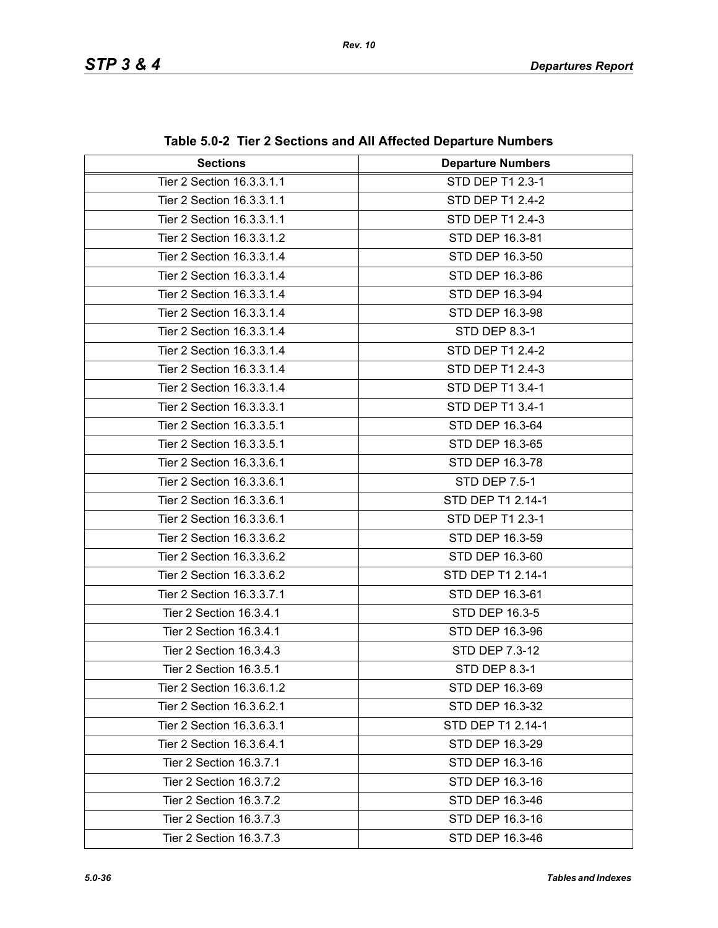| <b>Sections</b>           | <b>Departure Numbers</b> |  |
|---------------------------|--------------------------|--|
| Tier 2 Section 16.3.3.1.1 | STD DEP T1 2.3-1         |  |
| Tier 2 Section 16.3.3.1.1 | STD DEP T1 2.4-2         |  |
| Tier 2 Section 16.3.3.1.1 | STD DEP T1 2.4-3         |  |
| Tier 2 Section 16.3.3.1.2 | STD DEP 16.3-81          |  |
| Tier 2 Section 16.3.3.1.4 | STD DEP 16.3-50          |  |
| Tier 2 Section 16.3.3.1.4 | STD DEP 16.3-86          |  |
| Tier 2 Section 16.3.3.1.4 | STD DEP 16.3-94          |  |
| Tier 2 Section 16.3.3.1.4 | STD DEP 16.3-98          |  |
| Tier 2 Section 16.3.3.1.4 | <b>STD DEP 8.3-1</b>     |  |
| Tier 2 Section 16.3.3.1.4 | STD DEP T1 2.4-2         |  |
| Tier 2 Section 16.3.3.1.4 | STD DEP T1 2.4-3         |  |
| Tier 2 Section 16.3.3.1.4 | STD DEP T1 3.4-1         |  |
| Tier 2 Section 16.3.3.3.1 | STD DEP T1 3.4-1         |  |
| Tier 2 Section 16.3.3.5.1 | STD DEP 16.3-64          |  |
| Tier 2 Section 16.3.3.5.1 | STD DEP 16.3-65          |  |
| Tier 2 Section 16.3.3.6.1 | STD DEP 16.3-78          |  |
| Tier 2 Section 16.3.3.6.1 | STD DEP 7.5-1            |  |
| Tier 2 Section 16.3.3.6.1 | STD DEP T1 2.14-1        |  |
| Tier 2 Section 16.3.3.6.1 | STD DEP T1 2.3-1         |  |
| Tier 2 Section 16.3.3.6.2 | STD DEP 16.3-59          |  |
| Tier 2 Section 16.3.3.6.2 | STD DEP 16.3-60          |  |
| Tier 2 Section 16.3.3.6.2 | STD DEP T1 2.14-1        |  |
| Tier 2 Section 16.3.3.7.1 | STD DEP 16.3-61          |  |
| Tier 2 Section 16.3.4.1   | STD DEP 16.3-5           |  |
| Tier 2 Section 16.3.4.1   | STD DEP 16.3-96          |  |
| Tier 2 Section 16.3.4.3   | STD DEP 7.3-12           |  |
| Tier 2 Section 16.3.5.1   | STD DEP 8.3-1            |  |
| Tier 2 Section 16.3.6.1.2 | STD DEP 16.3-69          |  |
| Tier 2 Section 16.3.6.2.1 | STD DEP 16.3-32          |  |
| Tier 2 Section 16.3.6.3.1 | STD DEP T1 2.14-1        |  |
| Tier 2 Section 16.3.6.4.1 | STD DEP 16.3-29          |  |
| Tier 2 Section 16.3.7.1   | STD DEP 16.3-16          |  |
| Tier 2 Section 16.3.7.2   | STD DEP 16.3-16          |  |
| Tier 2 Section 16.3.7.2   | STD DEP 16.3-46          |  |
| Tier 2 Section 16.3.7.3   | STD DEP 16.3-16          |  |
| Tier 2 Section 16.3.7.3   | STD DEP 16.3-46          |  |

**Table 5.0-2 Tier 2 Sections and All Affected Departure Numbers**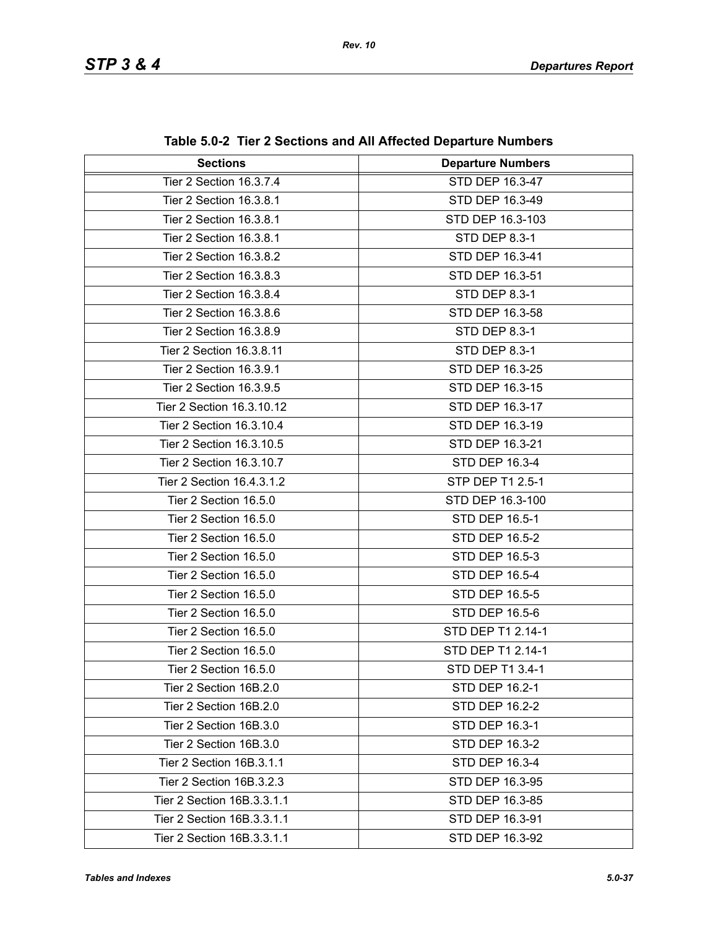| <b>Sections</b>            | <b>Departure Numbers</b> |  |
|----------------------------|--------------------------|--|
| Tier 2 Section 16.3.7.4    | STD DEP 16.3-47          |  |
| Tier 2 Section 16.3.8.1    | STD DEP 16.3-49          |  |
| Tier 2 Section 16.3.8.1    | STD DEP 16.3-103         |  |
| Tier 2 Section 16.3.8.1    | STD DEP 8.3-1            |  |
| Tier 2 Section 16.3.8.2    | STD DEP 16.3-41          |  |
| Tier 2 Section 16.3.8.3    | STD DEP 16.3-51          |  |
| Tier 2 Section 16.3.8.4    | STD DEP 8.3-1            |  |
| Tier 2 Section 16.3.8.6    | STD DEP 16.3-58          |  |
| Tier 2 Section 16.3.8.9    | <b>STD DEP 8.3-1</b>     |  |
| Tier 2 Section 16.3.8.11   | <b>STD DEP 8.3-1</b>     |  |
| Tier 2 Section 16.3.9.1    | STD DEP 16.3-25          |  |
| Tier 2 Section 16.3.9.5    | STD DEP 16.3-15          |  |
| Tier 2 Section 16.3.10.12  | STD DEP 16.3-17          |  |
| Tier 2 Section 16.3.10.4   | STD DEP 16.3-19          |  |
| Tier 2 Section 16.3.10.5   | STD DEP 16.3-21          |  |
| Tier 2 Section 16.3.10.7   | STD DEP 16.3-4           |  |
| Tier 2 Section 16.4.3.1.2  | STP DEP T1 2.5-1         |  |
| Tier 2 Section 16.5.0      | STD DEP 16.3-100         |  |
| Tier 2 Section 16.5.0      | STD DEP 16.5-1           |  |
| Tier 2 Section 16.5.0      | <b>STD DEP 16.5-2</b>    |  |
| Tier 2 Section 16.5.0      | STD DEP 16.5-3           |  |
| Tier 2 Section 16.5.0      | STD DEP 16.5-4           |  |
| Tier 2 Section 16.5.0      | STD DEP 16.5-5           |  |
| Tier 2 Section 16.5.0      | STD DEP 16.5-6           |  |
| Tier 2 Section 16.5.0      | STD DEP T1 2.14-1        |  |
| Tier 2 Section 16.5.0      | STD DEP T1 2.14-1        |  |
| Tier 2 Section 16.5.0      | STD DEP T1 3.4-1         |  |
| Tier 2 Section 16B.2.0     | STD DEP 16.2-1           |  |
| Tier 2 Section 16B.2.0     | STD DEP 16.2-2           |  |
| Tier 2 Section 16B.3.0     | STD DEP 16.3-1           |  |
| Tier 2 Section 16B.3.0     | STD DEP 16.3-2           |  |
| Tier 2 Section 16B.3.1.1   | STD DEP 16.3-4           |  |
| Tier 2 Section 16B.3.2.3   | STD DEP 16.3-95          |  |
| Tier 2 Section 16B.3.3.1.1 | STD DEP 16.3-85          |  |
| Tier 2 Section 16B.3.3.1.1 | STD DEP 16.3-91          |  |
| Tier 2 Section 16B.3.3.1.1 | STD DEP 16.3-92          |  |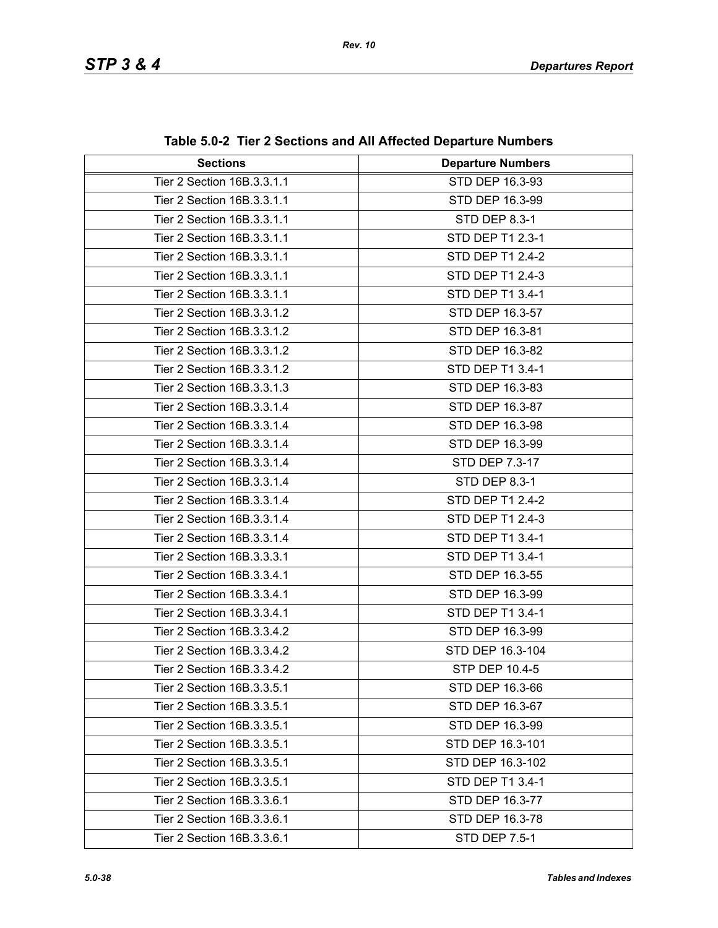| <b>Sections</b>            | <b>Departure Numbers</b> |  |
|----------------------------|--------------------------|--|
| Tier 2 Section 16B.3.3.1.1 | STD DEP 16.3-93          |  |
| Tier 2 Section 16B.3.3.1.1 | STD DEP 16.3-99          |  |
| Tier 2 Section 16B.3.3.1.1 | STD DEP 8.3-1            |  |
| Tier 2 Section 16B.3.3.1.1 | STD DEP T1 2.3-1         |  |
| Tier 2 Section 16B.3.3.1.1 | STD DEP T1 2.4-2         |  |
| Tier 2 Section 16B.3.3.1.1 | STD DEP T1 2.4-3         |  |
| Tier 2 Section 16B.3.3.1.1 | STD DEP T1 3.4-1         |  |
| Tier 2 Section 16B.3.3.1.2 | STD DEP 16.3-57          |  |
| Tier 2 Section 16B.3.3.1.2 | STD DEP 16.3-81          |  |
| Tier 2 Section 16B.3.3.1.2 | STD DEP 16.3-82          |  |
| Tier 2 Section 16B.3.3.1.2 | STD DEP T1 3.4-1         |  |
| Tier 2 Section 16B.3.3.1.3 | STD DEP 16.3-83          |  |
| Tier 2 Section 16B.3.3.1.4 | STD DEP 16.3-87          |  |
| Tier 2 Section 16B.3.3.1.4 | STD DEP 16.3-98          |  |
| Tier 2 Section 16B.3.3.1.4 | STD DEP 16.3-99          |  |
| Tier 2 Section 16B.3.3.1.4 | STD DEP 7.3-17           |  |
| Tier 2 Section 16B.3.3.1.4 | STD DEP 8.3-1            |  |
| Tier 2 Section 16B.3.3.1.4 | STD DEP T1 2.4-2         |  |
| Tier 2 Section 16B.3.3.1.4 | STD DEP T1 2.4-3         |  |
| Tier 2 Section 16B.3.3.1.4 | STD DEP T1 3.4-1         |  |
| Tier 2 Section 16B.3.3.3.1 | STD DEP T1 3.4-1         |  |
| Tier 2 Section 16B.3.3.4.1 | STD DEP 16.3-55          |  |
| Tier 2 Section 16B.3.3.4.1 | STD DEP 16.3-99          |  |
| Tier 2 Section 16B.3.3.4.1 | STD DEP T1 3.4-1         |  |
| Tier 2 Section 16B.3.3.4.2 | STD DEP 16.3-99          |  |
| Tier 2 Section 16B.3.3.4.2 | STD DEP 16.3-104         |  |
| Tier 2 Section 16B.3.3.4.2 | STP DEP 10.4-5           |  |
| Tier 2 Section 16B.3.3.5.1 | STD DEP 16.3-66          |  |
| Tier 2 Section 16B.3.3.5.1 | STD DEP 16.3-67          |  |
| Tier 2 Section 16B.3.3.5.1 | STD DEP 16.3-99          |  |
| Tier 2 Section 16B.3.3.5.1 | STD DEP 16.3-101         |  |
| Tier 2 Section 16B.3.3.5.1 | STD DEP 16.3-102         |  |
| Tier 2 Section 16B.3.3.5.1 | STD DEP T1 3.4-1         |  |
| Tier 2 Section 16B.3.3.6.1 | STD DEP 16.3-77          |  |
| Tier 2 Section 16B.3.3.6.1 | STD DEP 16.3-78          |  |
| Tier 2 Section 16B.3.3.6.1 | <b>STD DEP 7.5-1</b>     |  |

| Table 5.0-2 Tier 2 Sections and All Affected Departure Numbers |
|----------------------------------------------------------------|
|----------------------------------------------------------------|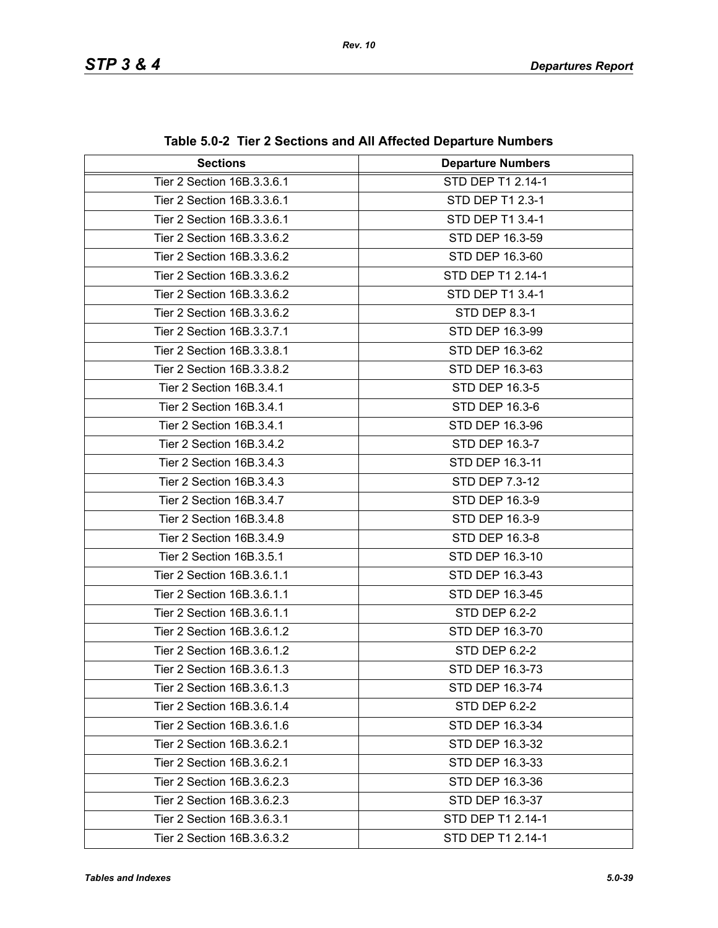| <b>Sections</b>            | <b>Departure Numbers</b> |  |
|----------------------------|--------------------------|--|
| Tier 2 Section 16B.3.3.6.1 | STD DEP T1 2.14-1        |  |
| Tier 2 Section 16B.3.3.6.1 | STD DEP T1 2.3-1         |  |
| Tier 2 Section 16B.3.3.6.1 | STD DEP T1 3.4-1         |  |
| Tier 2 Section 16B.3.3.6.2 | STD DEP 16.3-59          |  |
| Tier 2 Section 16B.3.3.6.2 | STD DEP 16.3-60          |  |
| Tier 2 Section 16B.3.3.6.2 | STD DEP T1 2.14-1        |  |
| Tier 2 Section 16B.3.3.6.2 | STD DEP T1 3.4-1         |  |
| Tier 2 Section 16B.3.3.6.2 | STD DEP 8.3-1            |  |
| Tier 2 Section 16B.3.3.7.1 | STD DEP 16.3-99          |  |
| Tier 2 Section 16B.3.3.8.1 | STD DEP 16.3-62          |  |
| Tier 2 Section 16B.3.3.8.2 | STD DEP 16.3-63          |  |
| Tier 2 Section 16B.3.4.1   | STD DEP 16.3-5           |  |
| Tier 2 Section 16B.3.4.1   | STD DEP 16.3-6           |  |
| Tier 2 Section 16B.3.4.1   | STD DEP 16.3-96          |  |
| Tier 2 Section 16B.3.4.2   | STD DEP 16.3-7           |  |
| Tier 2 Section 16B.3.4.3   | STD DEP 16.3-11          |  |
| Tier 2 Section 16B.3.4.3   | STD DEP 7.3-12           |  |
| Tier 2 Section 16B.3.4.7   | STD DEP 16.3-9           |  |
| Tier 2 Section 16B.3.4.8   | STD DEP 16.3-9           |  |
| Tier 2 Section 16B.3.4.9   | STD DEP 16.3-8           |  |
| Tier 2 Section 16B.3.5.1   | STD DEP 16.3-10          |  |
| Tier 2 Section 16B.3.6.1.1 | STD DEP 16.3-43          |  |
| Tier 2 Section 16B.3.6.1.1 | STD DEP 16.3-45          |  |
| Tier 2 Section 16B.3.6.1.1 | STD DEP 6.2-2            |  |
| Tier 2 Section 16B.3.6.1.2 | STD DEP 16.3-70          |  |
| Tier 2 Section 16B.3.6.1.2 | STD DEP 6.2-2            |  |
| Tier 2 Section 16B.3.6.1.3 | STD DEP 16.3-73          |  |
| Tier 2 Section 16B.3.6.1.3 | STD DEP 16.3-74          |  |
| Tier 2 Section 16B.3.6.1.4 | STD DEP 6.2-2            |  |
| Tier 2 Section 16B.3.6.1.6 | STD DEP 16.3-34          |  |
| Tier 2 Section 16B.3.6.2.1 | STD DEP 16.3-32          |  |
| Tier 2 Section 16B.3.6.2.1 | STD DEP 16.3-33          |  |
| Tier 2 Section 16B.3.6.2.3 | STD DEP 16.3-36          |  |
| Tier 2 Section 16B.3.6.2.3 | STD DEP 16.3-37          |  |
| Tier 2 Section 16B.3.6.3.1 | STD DEP T1 2.14-1        |  |
| Tier 2 Section 16B.3.6.3.2 | STD DEP T1 2.14-1        |  |

| Table 5.0-2 Tier 2 Sections and All Affected Departure Numbers |  |
|----------------------------------------------------------------|--|
|----------------------------------------------------------------|--|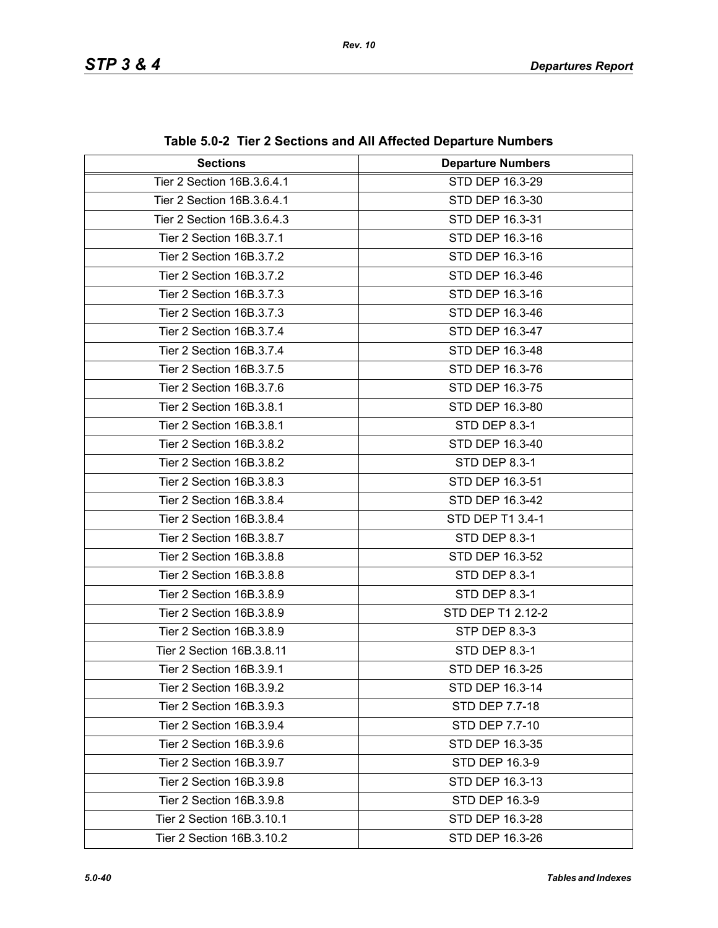| <b>Sections</b>            | <b>Departure Numbers</b> |
|----------------------------|--------------------------|
| Tier 2 Section 16B.3.6.4.1 | STD DEP 16.3-29          |
| Tier 2 Section 16B.3.6.4.1 | STD DEP 16.3-30          |
| Tier 2 Section 16B.3.6.4.3 | STD DEP 16.3-31          |
|                            |                          |
| Tier 2 Section 16B.3.7.1   | STD DEP 16.3-16          |
| Tier 2 Section 16B.3.7.2   | STD DEP 16.3-16          |
| Tier 2 Section 16B.3.7.2   | STD DEP 16.3-46          |
| Tier 2 Section 16B.3.7.3   | STD DEP 16.3-16          |
| Tier 2 Section 16B.3.7.3   | STD DEP 16.3-46          |
| Tier 2 Section 16B.3.7.4   | STD DEP 16.3-47          |
| Tier 2 Section 16B.3.7.4   | STD DEP 16.3-48          |
| Tier 2 Section 16B.3.7.5   | STD DEP 16.3-76          |
| Tier 2 Section 16B.3.7.6   | STD DEP 16.3-75          |
| Tier 2 Section 16B.3.8.1   | STD DEP 16.3-80          |
| Tier 2 Section 16B.3.8.1   | <b>STD DEP 8.3-1</b>     |
| Tier 2 Section 16B.3.8.2   | STD DEP 16.3-40          |
| Tier 2 Section 16B.3.8.2   | STD DEP 8.3-1            |
| Tier 2 Section 16B.3.8.3   | STD DEP 16.3-51          |
| Tier 2 Section 16B.3.8.4   | STD DEP 16.3-42          |
| Tier 2 Section 16B.3.8.4   | STD DEP T1 3.4-1         |
| Tier 2 Section 16B.3.8.7   | STD DEP 8.3-1            |
| Tier 2 Section 16B.3.8.8   | STD DEP 16.3-52          |
| Tier 2 Section 16B.3.8.8   | <b>STD DEP 8.3-1</b>     |
| Tier 2 Section 16B.3.8.9   | STD DEP 8.3-1            |
| Tier 2 Section 16B.3.8.9   | STD DEP T1 2.12-2        |
| Tier 2 Section 16B.3.8.9   | STP DEP 8.3-3            |
| Tier 2 Section 16B.3.8.11  | <b>STD DEP 8.3-1</b>     |
| Tier 2 Section 16B.3.9.1   | STD DEP 16.3-25          |
| Tier 2 Section 16B.3.9.2   | STD DEP 16.3-14          |
| Tier 2 Section 16B.3.9.3   | STD DEP 7.7-18           |
| Tier 2 Section 16B.3.9.4   | STD DEP 7.7-10           |
| Tier 2 Section 16B.3.9.6   | STD DEP 16.3-35          |
| Tier 2 Section 16B.3.9.7   | STD DEP 16.3-9           |
| Tier 2 Section 16B.3.9.8   | STD DEP 16.3-13          |
| Tier 2 Section 16B.3.9.8   | STD DEP 16.3-9           |
| Tier 2 Section 16B.3.10.1  | STD DEP 16.3-28          |
| Tier 2 Section 16B.3.10.2  | STD DEP 16.3-26          |

**Table 5.0-2 Tier 2 Sections and All Affected Departure Numbers**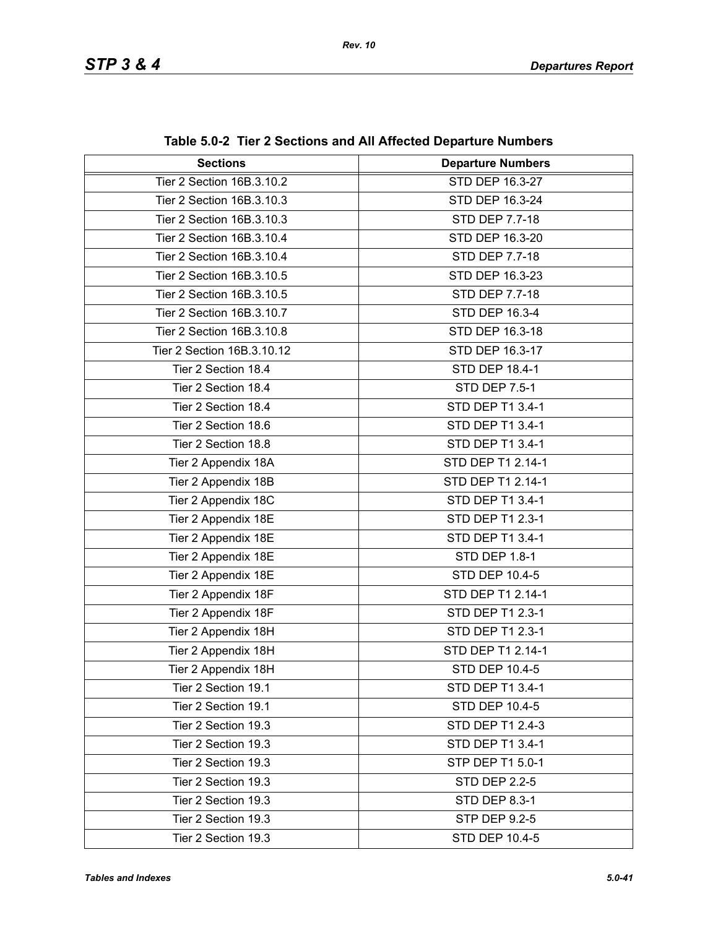| <b>Sections</b>            | <b>Departure Numbers</b> |
|----------------------------|--------------------------|
| Tier 2 Section 16B.3.10.2  | STD DEP 16.3-27          |
| Tier 2 Section 16B.3.10.3  | STD DEP 16.3-24          |
| Tier 2 Section 16B.3.10.3  | <b>STD DEP 7.7-18</b>    |
| Tier 2 Section 16B.3.10.4  | STD DEP 16.3-20          |
| Tier 2 Section 16B.3.10.4  | STD DEP 7.7-18           |
| Tier 2 Section 16B.3.10.5  | STD DEP 16.3-23          |
| Tier 2 Section 16B.3.10.5  | STD DEP 7.7-18           |
| Tier 2 Section 16B.3.10.7  | STD DEP 16.3-4           |
| Tier 2 Section 16B.3.10.8  | STD DEP 16.3-18          |
| Tier 2 Section 16B.3.10.12 | STD DEP 16.3-17          |
| Tier 2 Section 18.4        | STD DEP 18.4-1           |
| Tier 2 Section 18.4        | <b>STD DEP 7.5-1</b>     |
| Tier 2 Section 18.4        | STD DEP T1 3.4-1         |
| Tier 2 Section 18.6        | STD DEP T1 3.4-1         |
| Tier 2 Section 18.8        | STD DEP T1 3.4-1         |
| Tier 2 Appendix 18A        | STD DEP T1 2.14-1        |
| Tier 2 Appendix 18B        | STD DEP T1 2.14-1        |
| Tier 2 Appendix 18C        | STD DEP T1 3.4-1         |
| Tier 2 Appendix 18E        | STD DEP T1 2.3-1         |
| Tier 2 Appendix 18E        | STD DEP T1 3.4-1         |
| Tier 2 Appendix 18E        | <b>STD DEP 1.8-1</b>     |
| Tier 2 Appendix 18E        | <b>STD DEP 10.4-5</b>    |
| Tier 2 Appendix 18F        | STD DEP T1 2.14-1        |
| Tier 2 Appendix 18F        | STD DEP T1 2.3-1         |
| Tier 2 Appendix 18H        | STD DEP T1 2.3-1         |
| Tier 2 Appendix 18H        | STD DEP T1 2.14-1        |
| Tier 2 Appendix 18H        | STD DEP 10.4-5           |
| Tier 2 Section 19.1        | STD DEP T1 3.4-1         |
| Tier 2 Section 19.1        | STD DEP 10.4-5           |
| Tier 2 Section 19.3        | STD DEP T1 2.4-3         |
| Tier 2 Section 19.3        | STD DEP T1 3.4-1         |
| Tier 2 Section 19.3        | STP DEP T1 5.0-1         |
| Tier 2 Section 19.3        | <b>STD DEP 2.2-5</b>     |
| Tier 2 Section 19.3        | <b>STD DEP 8.3-1</b>     |
| Tier 2 Section 19.3        | STP DEP 9.2-5            |
| Tier 2 Section 19.3        | STD DEP 10.4-5           |

**Table 5.0-2 Tier 2 Sections and All Affected Departure Numbers**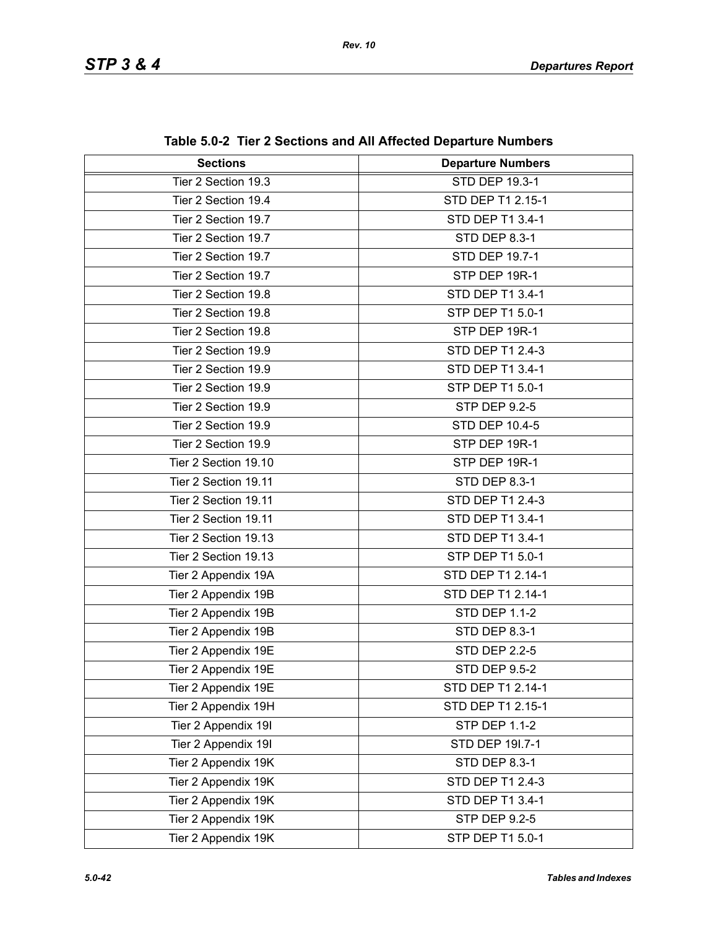| <b>Sections</b>      | <b>Departure Numbers</b> |
|----------------------|--------------------------|
| Tier 2 Section 19.3  | STD DEP 19.3-1           |
| Tier 2 Section 19.4  | STD DEP T1 2.15-1        |
| Tier 2 Section 19.7  | STD DEP T1 3.4-1         |
| Tier 2 Section 19.7  | <b>STD DEP 8.3-1</b>     |
| Tier 2 Section 19.7  | STD DEP 19.7-1           |
| Tier 2 Section 19.7  | STP DEP 19R-1            |
| Tier 2 Section 19.8  | STD DEP T1 3.4-1         |
| Tier 2 Section 19.8  | STP DEP T1 5.0-1         |
| Tier 2 Section 19.8  | STP DEP 19R-1            |
| Tier 2 Section 19.9  | STD DEP T1 2.4-3         |
| Tier 2 Section 19.9  | STD DEP T1 3.4-1         |
| Tier 2 Section 19.9  | STP DEP T1 5.0-1         |
| Tier 2 Section 19.9  | <b>STP DEP 9.2-5</b>     |
| Tier 2 Section 19.9  | STD DEP 10.4-5           |
| Tier 2 Section 19.9  | STP DEP 19R-1            |
| Tier 2 Section 19.10 | STP DEP 19R-1            |
| Tier 2 Section 19.11 | <b>STD DEP 8.3-1</b>     |
| Tier 2 Section 19.11 | STD DEP T1 2.4-3         |
| Tier 2 Section 19.11 | STD DEP T1 3.4-1         |
| Tier 2 Section 19.13 | STD DEP T1 3.4-1         |
| Tier 2 Section 19.13 | STP DEP T1 5.0-1         |
| Tier 2 Appendix 19A  | STD DEP T1 2.14-1        |
| Tier 2 Appendix 19B  | STD DEP T1 2.14-1        |
| Tier 2 Appendix 19B  | <b>STD DEP 1.1-2</b>     |
| Tier 2 Appendix 19B  | <b>STD DEP 8.3-1</b>     |
| Tier 2 Appendix 19E  | <b>STD DEP 2.2-5</b>     |
| Tier 2 Appendix 19E  | <b>STD DEP 9.5-2</b>     |
| Tier 2 Appendix 19E  | STD DEP T1 2.14-1        |
| Tier 2 Appendix 19H  | STD DEP T1 2.15-1        |
| Tier 2 Appendix 19I  | <b>STP DEP 1.1-2</b>     |
| Tier 2 Appendix 19I  | STD DEP 191.7-1          |
| Tier 2 Appendix 19K  | STD DEP 8.3-1            |
| Tier 2 Appendix 19K  | STD DEP T1 2.4-3         |
| Tier 2 Appendix 19K  | STD DEP T1 3.4-1         |
| Tier 2 Appendix 19K  | <b>STP DEP 9.2-5</b>     |
| Tier 2 Appendix 19K  | STP DEP T1 5.0-1         |

| Table 5.0-2 Tier 2 Sections and All Affected Departure Numbers |
|----------------------------------------------------------------|
|----------------------------------------------------------------|